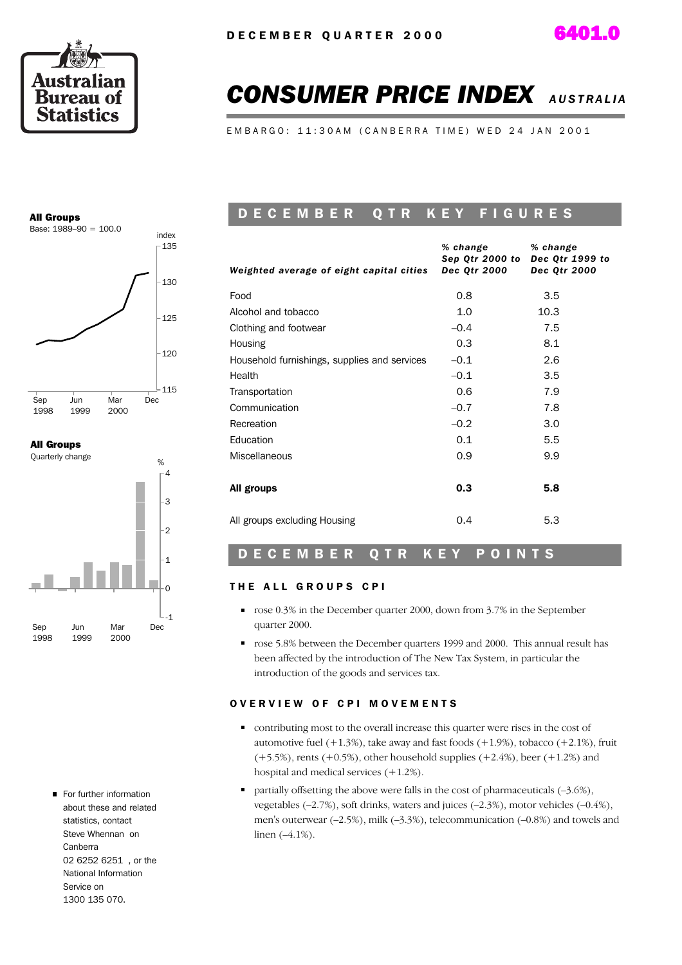



# **CONSUMER PRICE INDEX** AUSTRALIA

E M B A R G O : 11:30 A M ( C A N B E R R A T I M E ) W E D 24 J A N 2001

## All Groups



### All Groups



For further information about these and related statistics, contact Steve Whennan on Canberra 02 6252 6251 , or the National Information Service on 1300 135 070.

## D E C E M B E R Q T R K E Y F I G U R E S

| Weighted average of eight capital cities     | % change<br>Sep Qtr 2000 to<br><b>Dec Qtr 2000</b> | % change<br>Dec Qtr 1999 to<br><b>Dec Qtr 2000</b> |
|----------------------------------------------|----------------------------------------------------|----------------------------------------------------|
| Food                                         | 0.8                                                | 3.5                                                |
| Alcohol and tobacco                          | 1.0                                                | 10.3                                               |
| Clothing and footwear                        | $-0.4$                                             | 7.5                                                |
| Housing                                      | 0.3                                                | 8.1                                                |
| Household furnishings, supplies and services | $-0.1$                                             | 2.6                                                |
| Health                                       | $-0.1$                                             | 3.5                                                |
| Transportation                               | 0.6                                                | 7.9                                                |
| Communication                                | $-0.7$                                             | 7.8                                                |
| Recreation                                   | $-0.2$                                             | 3.0                                                |
| Education                                    | 0.1                                                | 5.5                                                |
| <b>Miscellaneous</b>                         | 0.9                                                | 9.9                                                |
| All groups                                   | 0.3                                                | 5.8                                                |
| All groups excluding Housing                 | 0.4                                                | 5.3                                                |

### D E C E M B E R Q T R K E Y P O I N T S

#### THE ALL GROUPS CPI

- rose 0.3% in the December quarter 2000, down from 3.7% in the September quarter 2000.
- rose 5.8% between the December quarters 1999 and 2000. This annual result has been affected by the introduction of The New Tax System, in particular the introduction of the goods and services tax.

#### OVERVIEW OF CPI MOVEMENTS

- contributing most to the overall increase this quarter were rises in the cost of automotive fuel  $(+1.3%)$ , take away and fast foods  $(+1.9%)$ , tobacco  $(+2.1%)$ , fruit  $(+5.5%)$ , rents  $(+0.5%)$ , other household supplies  $(+2.4%)$ , beer  $(+1.2%)$  and hospital and medical services (+1.2%).
- partially offsetting the above were falls in the cost of pharmaceuticals  $(-3.6\%)$ , vegetables (–2.7%), soft drinks, waters and juices (–2.3%), motor vehicles (–0.4%), men's outerwear (–2.5%), milk (–3.3%), telecommunication (–0.8%) and towels and linen (–4.1%).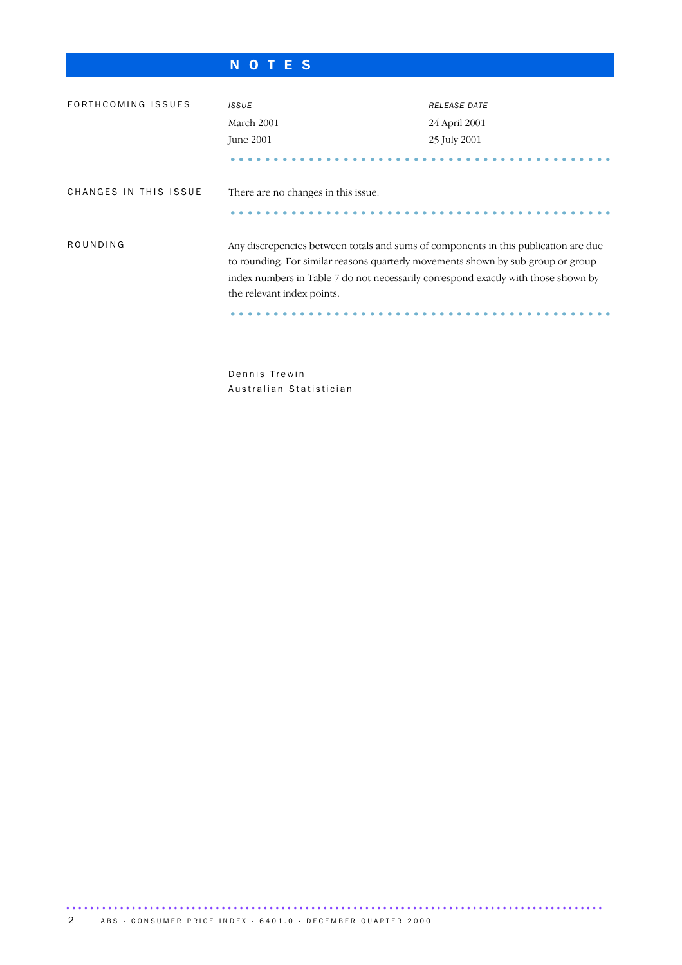# N O T E S

| FORTHCOMING ISSUES    | <b>ISSUE</b>                                                                                                                                                                                                                                                                                | <b>RELEASE DATE</b> |  |  |
|-----------------------|---------------------------------------------------------------------------------------------------------------------------------------------------------------------------------------------------------------------------------------------------------------------------------------------|---------------------|--|--|
|                       | March 2001                                                                                                                                                                                                                                                                                  | 24 April 2001       |  |  |
|                       | <b>June 2001</b>                                                                                                                                                                                                                                                                            | 25 July 2001        |  |  |
|                       |                                                                                                                                                                                                                                                                                             |                     |  |  |
| CHANGES IN THIS ISSUE | There are no changes in this issue.                                                                                                                                                                                                                                                         |                     |  |  |
| ROUNDING              | Any discrepencies between totals and sums of components in this publication are due<br>to rounding. For similar reasons quarterly movements shown by sub-group or group<br>index numbers in Table 7 do not necessarily correspond exactly with those shown by<br>the relevant index points. |                     |  |  |

Dennis Trewin Australian Statistician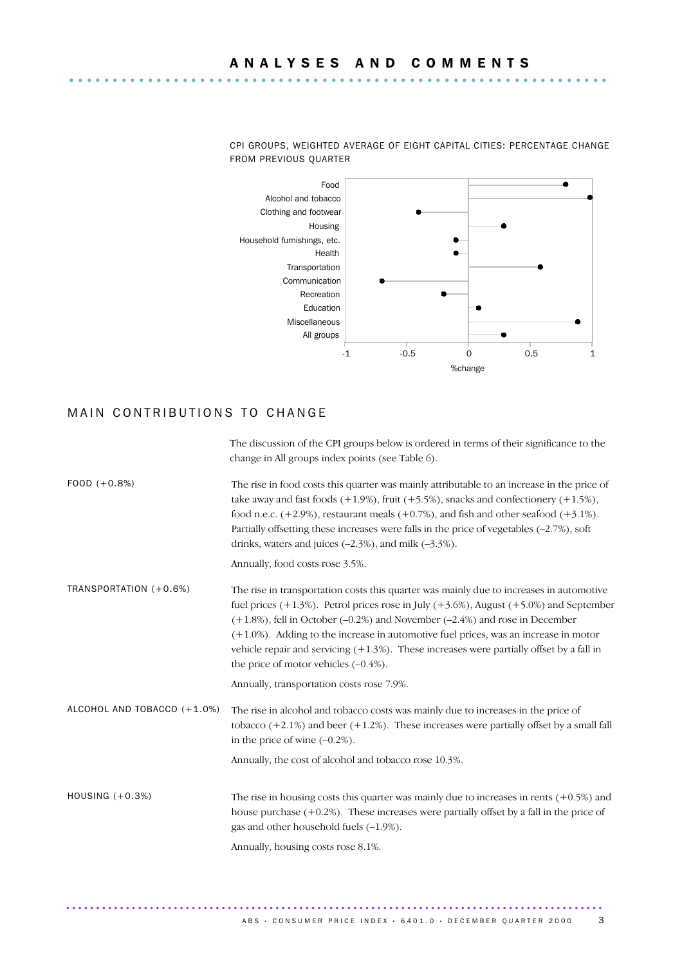

The discussion of the CPI groups below is ordered in terms of their significance to the

CPI GROUPS, WEIGHTED AVERAGE OF EIGHT CAPITAL CITIES: PERCENTAGE CHANGE FROM PREVIOUS QUARTER

### MAIN CONTRIBUTIONS TO CHANGE

|                             | change in All groups index points (see Table 6).                                                                                                                                                                                                                                                                                                                                                                                                                                                                       |
|-----------------------------|------------------------------------------------------------------------------------------------------------------------------------------------------------------------------------------------------------------------------------------------------------------------------------------------------------------------------------------------------------------------------------------------------------------------------------------------------------------------------------------------------------------------|
| $FOOD (+0.8%)$              | The rise in food costs this quarter was mainly attributable to an increase in the price of<br>take away and fast foods $(+1.9\%)$ , fruit $(+5.5\%)$ , snacks and confectionery $(+1.5\%)$ ,<br>food n.e.c. $(+2.9\%)$ , restaurant meals $(+0.7\%)$ , and fish and other seafood $(+3.1\%)$ .<br>Partially offsetting these increases were falls in the price of vegetables $(-2.7\%)$ , soft<br>drinks, waters and juices $(-2.3\%)$ , and milk $(-3.3\%)$ .                                                         |
|                             | Annually, food costs rose 3.5%.                                                                                                                                                                                                                                                                                                                                                                                                                                                                                        |
| TRANSPORTATION (+0.6%)      | The rise in transportation costs this quarter was mainly due to increases in automotive<br>fuel prices $(+1.3\%)$ . Petrol prices rose in July $(+3.6\%)$ , August $(+5.0\%)$ and September<br>$(+1.8%)$ , fell in October $(-0.2%)$ and November $(-2.4%)$ and rose in December<br>$(+1.0\%)$ . Adding to the increase in automotive fuel prices, was an increase in motor<br>vehicle repair and servicing $(+1.3%)$ . These increases were partially offset by a fall in<br>the price of motor vehicles $(-0.4\%)$ . |
|                             | Annually, transportation costs rose 7.9%.                                                                                                                                                                                                                                                                                                                                                                                                                                                                              |
| ALCOHOL AND TOBACCO (+1.0%) | The rise in alcohol and tobacco costs was mainly due to increases in the price of<br>tobacco $(+2.1\%)$ and beer $(+1.2\%)$ . These increases were partially offset by a small fall<br>in the price of wine $(-0.2\%)$ .                                                                                                                                                                                                                                                                                               |
|                             | Annually, the cost of alcohol and tobacco rose 10.3%.                                                                                                                                                                                                                                                                                                                                                                                                                                                                  |
| HOUSING $(+0.3%)$           | The rise in housing costs this quarter was mainly due to increases in rents $(+0.5%)$ and<br>house purchase $(+0.2%)$ . These increases were partially offset by a fall in the price of<br>gas and other household fuels $(-1.9\%)$ .<br>Annually, housing costs rose 8.1%.                                                                                                                                                                                                                                            |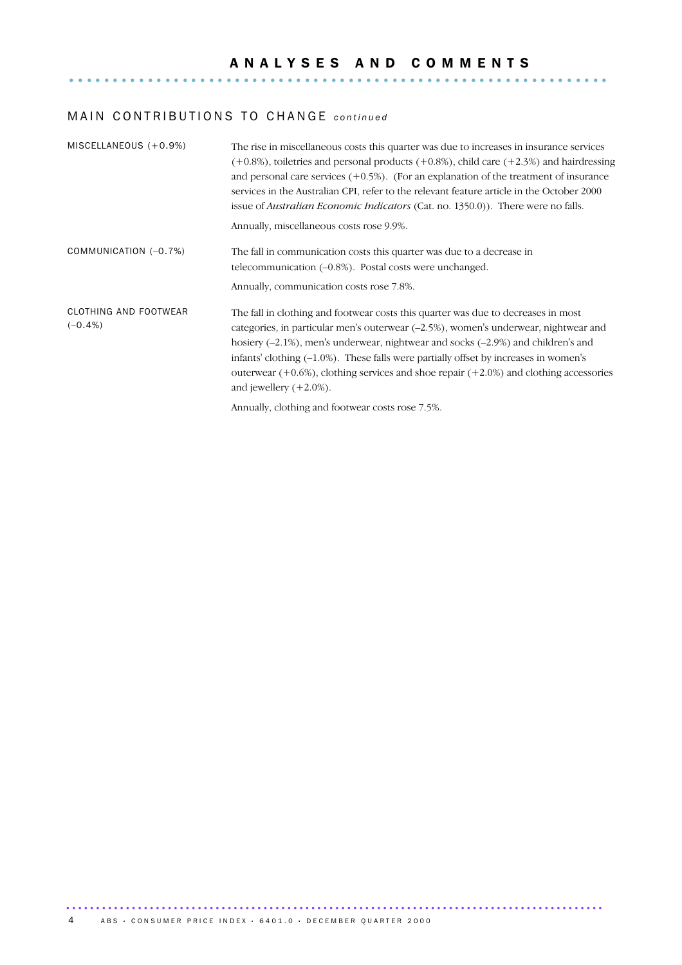## MAIN CONTRIBUTIONS TO CHANGE *continued*

| MISCELLANEOUS $(+0.9\%)$            | The rise in miscellaneous costs this quarter was due to increases in insurance services<br>$(+0.8\%)$ , toiletries and personal products $(+0.8\%)$ , child care $(+2.3\%)$ and hairdressing<br>and personal care services $(+0.5\%)$ . (For an explanation of the treatment of insurance<br>services in the Australian CPI, refer to the relevant feature article in the October 2000<br>issue of <i>Australian Economic Indicators</i> (Cat. no. 1350.0)). There were no falls.<br>Annually, miscellaneous costs rose 9.9%. |
|-------------------------------------|-------------------------------------------------------------------------------------------------------------------------------------------------------------------------------------------------------------------------------------------------------------------------------------------------------------------------------------------------------------------------------------------------------------------------------------------------------------------------------------------------------------------------------|
| COMMUNICATION (-0.7%)               | The fall in communication costs this quarter was due to a decrease in<br>telecommunication $(-0.8\%)$ . Postal costs were unchanged.<br>Annually, communication costs rose 7.8%.                                                                                                                                                                                                                                                                                                                                              |
| CLOTHING AND FOOTWEAR<br>$(-0.4\%)$ | The fall in clothing and footwear costs this quarter was due to decreases in most<br>categories, in particular men's outerwear $(-2.5\%)$ , women's underwear, nightwear and<br>hosiery $(-2.1\%)$ , men's underwear, nightwear and socks $(-2.9\%)$ and children's and<br>infants' clothing $(-1.0\%)$ . These falls were partially offset by increases in women's<br>outerwear $(+0.6%)$ , clothing services and shoe repair $(+2.0%)$ and clothing accessories<br>and jewellery $(+2.0\%)$ .                               |
|                                     | Annually, clothing and footwear costs rose 7.5%.                                                                                                                                                                                                                                                                                                                                                                                                                                                                              |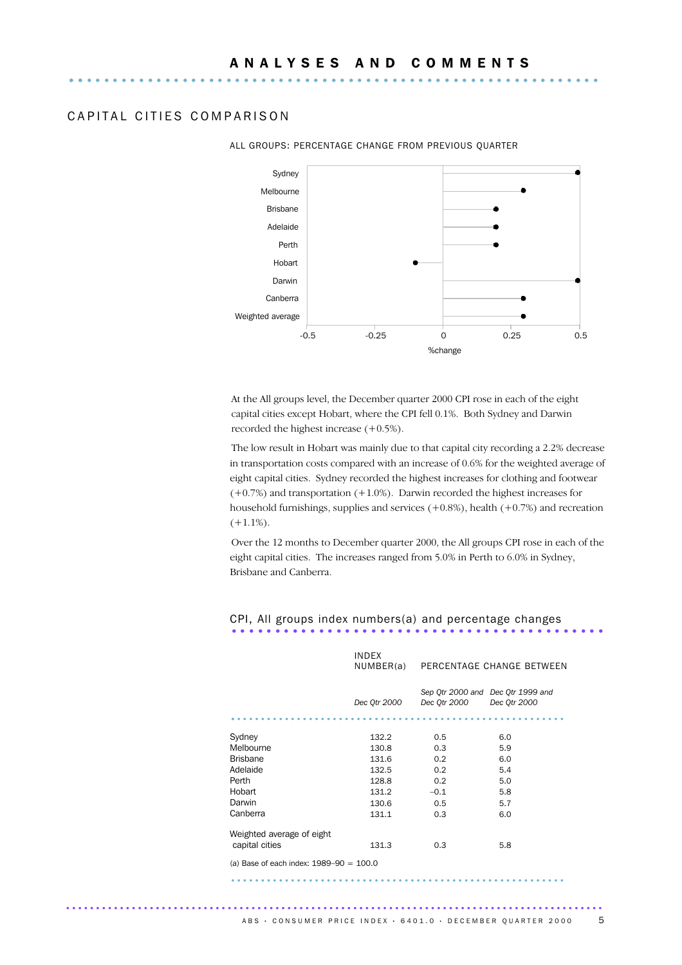### CAPITAL CITIES COMPARISON



#### ALL GROUPS: PERCENTAGE CHANGE FROM PREVIOUS QUARTER

At the All groups level, the December quarter 2000 CPI rose in each of the eight capital cities except Hobart, where the CPI fell 0.1%. Both Sydney and Darwin recorded the highest increase (+0.5%).

The low result in Hobart was mainly due to that capital city recording a 2.2% decrease in transportation costs compared with an increase of 0.6% for the weighted average of eight capital cities. Sydney recorded the highest increases for clothing and footwear (+0.7%) and transportation (+1.0%). Darwin recorded the highest increases for household furnishings, supplies and services  $(+0.8\%)$ , health  $(+0.7\%)$  and recreation  $(+1.1\%).$ 

Over the 12 months to December quarter 2000, the All groups CPI rose in each of the eight capital cities. The increases ranged from 5.0% in Perth to 6.0% in Sydney, Brisbane and Canberra.

# CPI, All groups index numbers(a) and percentage changes ...........................................

|                                             | <b>INDEX</b> | NUMBER(a) PERCENTAGE CHANGE BETWEEN               |              |
|---------------------------------------------|--------------|---------------------------------------------------|--------------|
|                                             | Dec 0tr 2000 | Sep Qtr 2000 and Dec Qtr 1999 and<br>Dec 0tr 2000 | Dec 0tr 2000 |
|                                             |              |                                                   |              |
| Sydney                                      | 132.2        | 0.5                                               | 6.0          |
| Melbourne                                   | 130.8        | 0.3                                               | 5.9          |
| <b>Brisbane</b>                             | 131.6        | 0.2                                               | 6.0          |
| Adelaide                                    | 132.5        | 0.2                                               | 5.4          |
| Perth                                       | 128.8        | 0.2                                               | 5.0          |
| Hobart                                      | 131.2        | $-0.1$                                            | 5.8          |
| Darwin                                      | 130.6        | 0.5                                               | 5.7          |
| Canberra                                    | 131.1        | 0.3                                               | 6.0          |
| Weighted average of eight                   |              |                                                   |              |
| capital cities                              | 131.3        | 0.3                                               | 5.8          |
| (a) Base of each index: $1989 - 90 = 100.0$ |              |                                                   |              |

........................................................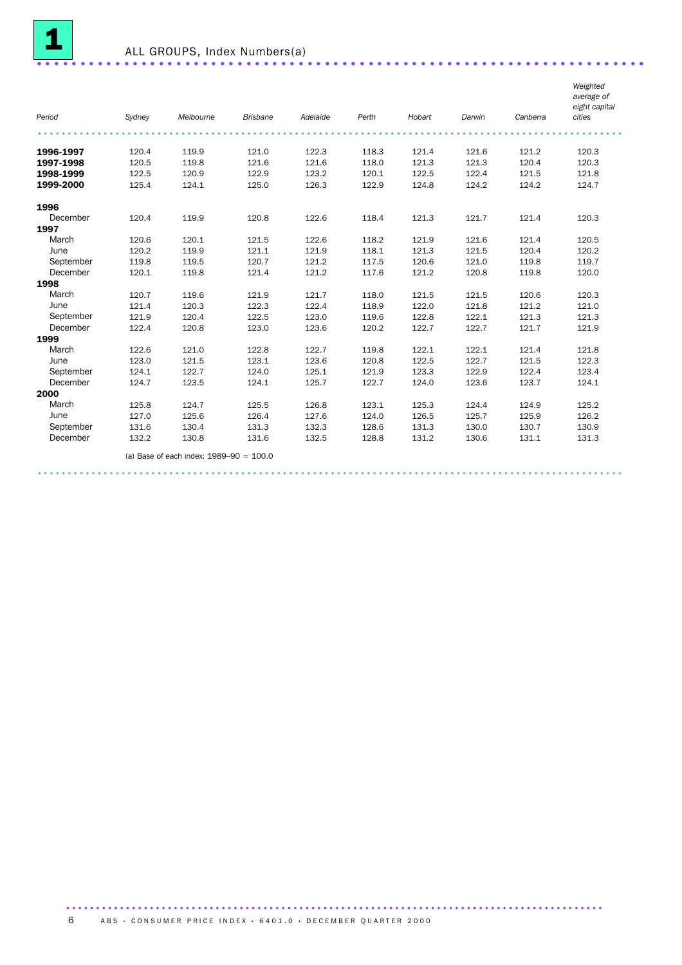

| Period    |        | Melbourne                                 | <b>Brisbane</b> | Adelaide | Perth | Hobart | Darwin | Canberra | Weighted<br>average of<br>eight capital<br>cities |
|-----------|--------|-------------------------------------------|-----------------|----------|-------|--------|--------|----------|---------------------------------------------------|
|           | Sydney |                                           |                 |          |       |        |        |          |                                                   |
|           |        |                                           |                 |          |       |        |        |          |                                                   |
| 1996-1997 | 120.4  | 119.9                                     | 121.0           | 122.3    | 118.3 | 121.4  | 121.6  | 121.2    | 120.3                                             |
| 1997-1998 | 120.5  | 119.8                                     | 121.6           | 121.6    | 118.0 | 121.3  | 121.3  | 120.4    | 120.3                                             |
| 1998-1999 | 122.5  | 120.9                                     | 122.9           | 123.2    | 120.1 | 122.5  | 122.4  | 121.5    | 121.8                                             |
| 1999-2000 | 125.4  | 124.1                                     | 125.0           | 126.3    | 122.9 | 124.8  | 124.2  | 124.2    | 124.7                                             |
| 1996      |        |                                           |                 |          |       |        |        |          |                                                   |
| December  | 120.4  | 119.9                                     | 120.8           | 122.6    | 118.4 | 121.3  | 121.7  | 121.4    | 120.3                                             |
| 1997      |        |                                           |                 |          |       |        |        |          |                                                   |
| March     | 120.6  | 120.1                                     | 121.5           | 122.6    | 118.2 | 121.9  | 121.6  | 121.4    | 120.5                                             |
| June      | 120.2  | 119.9                                     | 121.1           | 121.9    | 118.1 | 121.3  | 121.5  | 120.4    | 120.2                                             |
| September | 119.8  | 119.5                                     | 120.7           | 121.2    | 117.5 | 120.6  | 121.0  | 119.8    | 119.7                                             |
| December  | 120.1  | 119.8                                     | 121.4           | 121.2    | 117.6 | 121.2  | 120.8  | 119.8    | 120.0                                             |
| 1998      |        |                                           |                 |          |       |        |        |          |                                                   |
| March     | 120.7  | 119.6                                     | 121.9           | 121.7    | 118.0 | 121.5  | 121.5  | 120.6    | 120.3                                             |
| June      | 121.4  | 120.3                                     | 122.3           | 122.4    | 118.9 | 122.0  | 121.8  | 121.2    | 121.0                                             |
| September | 121.9  | 120.4                                     | 122.5           | 123.0    | 119.6 | 122.8  | 122.1  | 121.3    | 121.3                                             |
| December  | 122.4  | 120.8                                     | 123.0           | 123.6    | 120.2 | 122.7  | 122.7  | 121.7    | 121.9                                             |
| 1999      |        |                                           |                 |          |       |        |        |          |                                                   |
| March     | 122.6  | 121.0                                     | 122.8           | 122.7    | 119.8 | 122.1  | 122.1  | 121.4    | 121.8                                             |
| June      | 123.0  | 121.5                                     | 123.1           | 123.6    | 120.8 | 122.5  | 122.7  | 121.5    | 122.3                                             |
| September | 124.1  | 122.7                                     | 124.0           | 125.1    | 121.9 | 123.3  | 122.9  | 122.4    | 123.4                                             |
| December  | 124.7  | 123.5                                     | 124.1           | 125.7    | 122.7 | 124.0  | 123.6  | 123.7    | 124.1                                             |
| 2000      |        |                                           |                 |          |       |        |        |          |                                                   |
| March     | 125.8  | 124.7                                     | 125.5           | 126.8    | 123.1 | 125.3  | 124.4  | 124.9    | 125.2                                             |
| June      | 127.0  | 125.6                                     | 126.4           | 127.6    | 124.0 | 126.5  | 125.7  | 125.9    | 126.2                                             |
| September | 131.6  | 130.4                                     | 131.3           | 132.3    | 128.6 | 131.3  | 130.0  | 130.7    | 130.9                                             |
| December  | 132.2  | 130.8                                     | 131.6           | 132.5    | 128.8 | 131.2  | 130.6  | 131.1    | 131.3                                             |
|           |        | (a) Base of each index: $1989-90 = 100.0$ |                 |          |       |        |        |          |                                                   |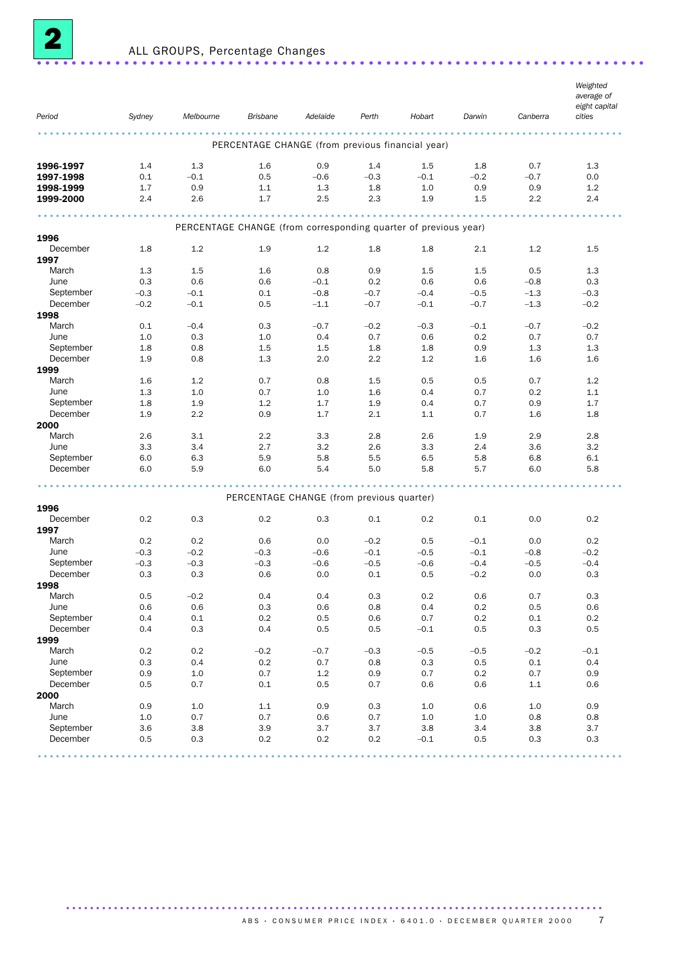

| Period                | Sydney  | Melbourne                                                       | <b>Brisbane</b>                                  | Adelaide | Perth   | Hobart | Darwin  | Canberra | Weighted<br>average of<br>eight capital<br>cities |
|-----------------------|---------|-----------------------------------------------------------------|--------------------------------------------------|----------|---------|--------|---------|----------|---------------------------------------------------|
|                       |         |                                                                 |                                                  |          |         |        |         |          |                                                   |
|                       |         |                                                                 | PERCENTAGE CHANGE (from previous financial year) |          |         |        |         |          |                                                   |
| 1996-1997             | 1.4     | 1.3                                                             | 1.6                                              | 0.9      | 1.4     | 1.5    | 1.8     | 0.7      | 1.3                                               |
| 1997-1998             | 0.1     | $-0.1$                                                          | 0.5                                              | $-0.6$   | $-0.3$  | $-0.1$ | $-0.2$  | $-0.7$   | 0.0                                               |
| 1998-1999             | 1.7     | 0.9                                                             | 1.1                                              | 1.3      | 1.8     | 1.0    | 0.9     | 0.9      | 1.2                                               |
| 1999-2000             | 2.4     | 2.6                                                             | 1.7                                              | 2.5      | 2.3     | 1.9    | 1.5     | 2.2      | 2.4                                               |
|                       |         | PERCENTAGE CHANGE (from corresponding quarter of previous year) | .                                                |          |         |        |         |          |                                                   |
| 1996                  |         |                                                                 |                                                  |          |         |        |         |          |                                                   |
| December              | 1.8     | 1.2                                                             | 1.9                                              | 1.2      | 1.8     | 1.8    | 2.1     | 1.2      | 1.5                                               |
| 1997                  |         |                                                                 |                                                  |          |         |        |         |          |                                                   |
| March                 | 1.3     | 1.5                                                             | 1.6                                              | 0.8      | 0.9     | 1.5    | $1.5\,$ | 0.5      | 1.3                                               |
| June                  | 0.3     | 0.6                                                             | 0.6                                              | $-0.1$   | 0.2     | 0.6    | 0.6     | $-0.8$   | 0.3                                               |
| September             | $-0.3$  | $-0.1$                                                          | 0.1                                              | $-0.8$   | $-0.7$  | $-0.4$ | $-0.5$  | $-1.3$   | $-0.3$                                            |
| December              | $-0.2$  | $-0.1$                                                          | 0.5                                              | $-1.1$   | $-0.7$  | $-0.1$ | $-0.7$  | $-1.3$   | $-0.2$                                            |
| 1998                  |         |                                                                 |                                                  |          |         |        |         |          |                                                   |
| March                 | 0.1     | $-0.4$                                                          | 0.3                                              | $-0.7$   | $-0.2$  | $-0.3$ | $-0.1$  | $-0.7$   | $-0.2$                                            |
| June                  | 1.0     | 0.3                                                             | 1.0                                              | 0.4      | 0.7     | 0.6    | 0.2     | 0.7      | 0.7                                               |
| September             | 1.8     | 0.8                                                             | 1.5                                              | 1.5      | 1.8     | 1.8    | 0.9     | 1.3      | 1.3                                               |
| December              | 1.9     | 0.8                                                             | 1.3                                              | 2.0      | 2.2     | 1.2    | 1.6     | 1.6      | 1.6                                               |
| 1999                  |         |                                                                 |                                                  |          |         |        |         |          |                                                   |
| March                 | 1.6     | 1.2                                                             | 0.7                                              | 0.8      | 1.5     | 0.5    | 0.5     | 0.7      | 1.2                                               |
| June                  | 1.3     | 1.0                                                             | 0.7                                              | 1.0      | 1.6     | 0.4    | 0.7     | 0.2      | 1.1                                               |
| September             | 1.8     | 1.9                                                             | 1.2                                              | 1.7      | 1.9     | 0.4    | 0.7     | 0.9      | 1.7                                               |
| December              | 1.9     | 2.2                                                             | 0.9                                              | 1.7      | 2.1     | 1.1    | 0.7     | 1.6      | 1.8                                               |
| 2000                  |         |                                                                 |                                                  |          |         |        |         |          |                                                   |
| March                 | 2.6     | 3.1                                                             | 2.2                                              | 3.3      | 2.8     | 2.6    | 1.9     | 2.9      | 2.8                                               |
| June                  | 3.3     | 3.4                                                             | 2.7                                              | 3.2      | 2.6     | 3.3    | 2.4     | 3.6      | 3.2                                               |
| September             | 6.0     | 6.3                                                             | 5.9                                              | 5.8      | 5.5     | 6.5    | 5.8     | 6.8      | 6.1                                               |
| December              | 6.0     | 5.9                                                             | 6.0                                              | 5.4      | 5.0     | 5.8    | 5.7     | 6.0      | 5.8                                               |
|                       |         |                                                                 |                                                  |          |         |        |         |          |                                                   |
| 1996                  |         |                                                                 | PERCENTAGE CHANGE (from previous quarter)        |          |         |        |         |          |                                                   |
| December              | 0.2     | 0.3                                                             | 0.2                                              | 0.3      | 0.1     | 0.2    | 0.1     | 0.0      | 0.2                                               |
| 1997                  |         |                                                                 |                                                  |          |         |        |         |          |                                                   |
| March                 | 0.2     | 0.2                                                             | 0.6                                              | 0.0      | $-0.2$  | 0.5    | $-0.1$  | 0.0      | 0.2                                               |
| June                  | $-0.3$  | $-0.2$                                                          | $-0.3$                                           | $-0.6$   | $-0.1$  | $-0.5$ | $-0.1$  | $-0.8$   | $-0.2$                                            |
| September             | $-0.3$  | $-0.3$                                                          | $-0.3$                                           | $-0.6$   | $-0.5$  | $-0.6$ | $-0.4$  | $-0.5$   | $-0.4$                                            |
| December              | 0.3     | 0.3                                                             | 0.6                                              | 0.0      | 0.1     | 0.5    | $-0.2$  | 0.0      | 0.3                                               |
| 1998                  |         |                                                                 |                                                  |          |         |        |         |          |                                                   |
| March                 | 0.5     | $-0.2$                                                          | 0.4                                              | 0.4      | 0.3     | 0.2    | 0.6     | 0.7      | 0.3                                               |
|                       | 0.6     |                                                                 |                                                  |          |         |        |         |          |                                                   |
| June                  |         | $0.6\,$                                                         | $0.3\,$<br>0.2                                   | 0.6      | $0.8\,$ | 0.4    | $0.2\,$ | 0.5      | 0.6                                               |
| September<br>December | 0.4     | $0.1\,$                                                         |                                                  | 0.5      | 0.6     | 0.7    | 0.2     | $0.1\,$  | $0.2\,$                                           |
|                       | 0.4     | 0.3                                                             | 0.4                                              | 0.5      | 0.5     | $-0.1$ | 0.5     | 0.3      | 0.5                                               |
| 1999                  |         |                                                                 |                                                  |          |         |        |         |          |                                                   |
| March                 | 0.2     | 0.2                                                             | $-0.2$                                           | $-0.7$   | $-0.3$  | $-0.5$ | $-0.5$  | $-0.2$   | $-0.1$                                            |
| June                  | $0.3\,$ | 0.4                                                             | $0.2\,$                                          | 0.7      | 0.8     | 0.3    | $0.5\,$ | $0.1\,$  | 0.4                                               |
| September             | 0.9     | 1.0                                                             | 0.7                                              | 1.2      | 0.9     | 0.7    | 0.2     | 0.7      | 0.9                                               |
| December              | 0.5     | 0.7                                                             | 0.1                                              | 0.5      | 0.7     | 0.6    | 0.6     | $1.1\,$  | 0.6                                               |
| 2000                  |         |                                                                 |                                                  |          |         |        |         |          |                                                   |
| March                 | 0.9     | 1.0                                                             | 1.1                                              | 0.9      | 0.3     | 1.0    | 0.6     | $1.0$    | 0.9                                               |
| June                  | 1.0     | 0.7                                                             | 0.7                                              | $0.6\,$  | 0.7     | $1.0$  | $1.0\,$ | 0.8      | 0.8                                               |
| September             | 3.6     | 3.8                                                             | 3.9                                              | 3.7      | 3.7     | 3.8    | 3.4     | 3.8      | 3.7                                               |
| December              | 0.5     | $0.3\,$                                                         | 0.2                                              | 0.2      | 0.2     | $-0.1$ | 0.5     | 0.3      | 0.3                                               |
|                       |         |                                                                 |                                                  |          |         |        |         |          |                                                   |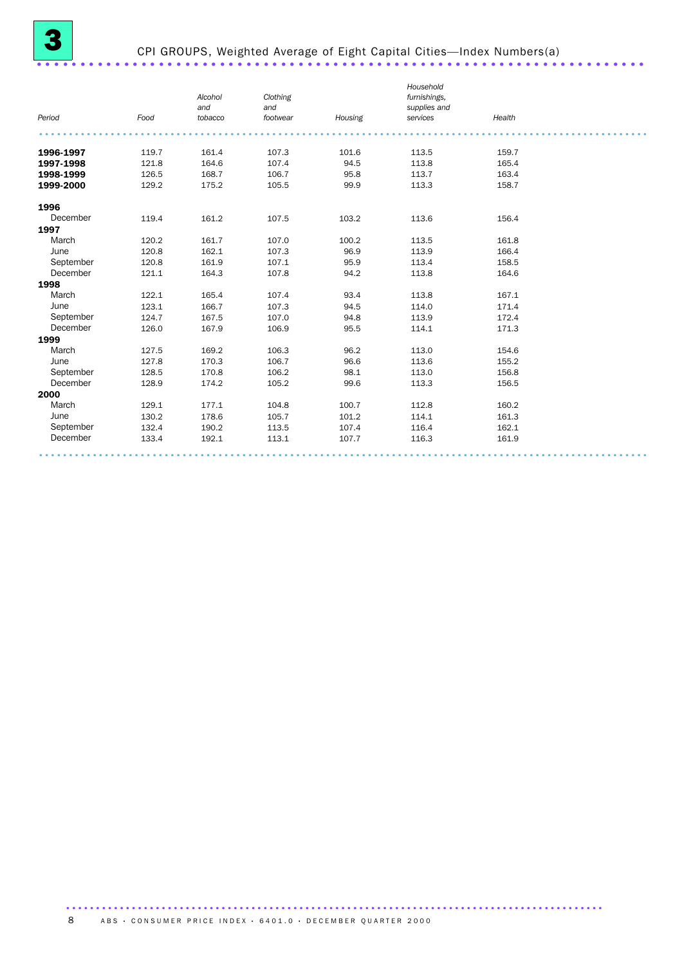# CPI GROUPS, Weighted Average of Eight Capital Cities—Index Numbers(a) ......................................................................

|           |       | Alcohol<br>and | Clothing<br>and |         | Household<br>furnishings,<br>supplies and |        |  |
|-----------|-------|----------------|-----------------|---------|-------------------------------------------|--------|--|
| Period    | Food  | tobacco        | footwear        | Housing | services                                  | Health |  |
|           |       |                |                 |         |                                           |        |  |
| 1996-1997 | 119.7 | 161.4          | 107.3           | 101.6   | 113.5                                     | 159.7  |  |
| 1997-1998 | 121.8 | 164.6          | 107.4           | 94.5    | 113.8                                     | 165.4  |  |
| 1998-1999 | 126.5 | 168.7          | 106.7           | 95.8    | 113.7                                     | 163.4  |  |
| 1999-2000 | 129.2 | 175.2          | 105.5           | 99.9    | 113.3                                     | 158.7  |  |
| 1996      |       |                |                 |         |                                           |        |  |
| December  | 119.4 | 161.2          | 107.5           | 103.2   | 113.6                                     | 156.4  |  |
| 1997      |       |                |                 |         |                                           |        |  |
| March     | 120.2 | 161.7          | 107.0           | 100.2   | 113.5                                     | 161.8  |  |
| June      | 120.8 | 162.1          | 107.3           | 96.9    | 113.9                                     | 166.4  |  |
| September | 120.8 | 161.9          | 107.1           | 95.9    | 113.4                                     | 158.5  |  |
| December  | 121.1 | 164.3          | 107.8           | 94.2    | 113.8                                     | 164.6  |  |
| 1998      |       |                |                 |         |                                           |        |  |
| March     | 122.1 | 165.4          | 107.4           | 93.4    | 113.8                                     | 167.1  |  |
| June      | 123.1 | 166.7          | 107.3           | 94.5    | 114.0                                     | 171.4  |  |
| September | 124.7 | 167.5          | 107.0           | 94.8    | 113.9                                     | 172.4  |  |
| December  | 126.0 | 167.9          | 106.9           | 95.5    | 114.1                                     | 171.3  |  |
| 1999      |       |                |                 |         |                                           |        |  |
| March     | 127.5 | 169.2          | 106.3           | 96.2    | 113.0                                     | 154.6  |  |
| June      | 127.8 | 170.3          | 106.7           | 96.6    | 113.6                                     | 155.2  |  |
| September | 128.5 | 170.8          | 106.2           | 98.1    | 113.0                                     | 156.8  |  |
| December  | 128.9 | 174.2          | 105.2           | 99.6    | 113.3                                     | 156.5  |  |
| 2000      |       |                |                 |         |                                           |        |  |
| March     | 129.1 | 177.1          | 104.8           | 100.7   | 112.8                                     | 160.2  |  |
| June      | 130.2 | 178.6          | 105.7           | 101.2   | 114.1                                     | 161.3  |  |
| September | 132.4 | 190.2          | 113.5           | 107.4   | 116.4                                     | 162.1  |  |
| December  | 133.4 | 192.1          | 113.1           | 107.7   | 116.3                                     | 161.9  |  |
|           |       |                |                 |         |                                           |        |  |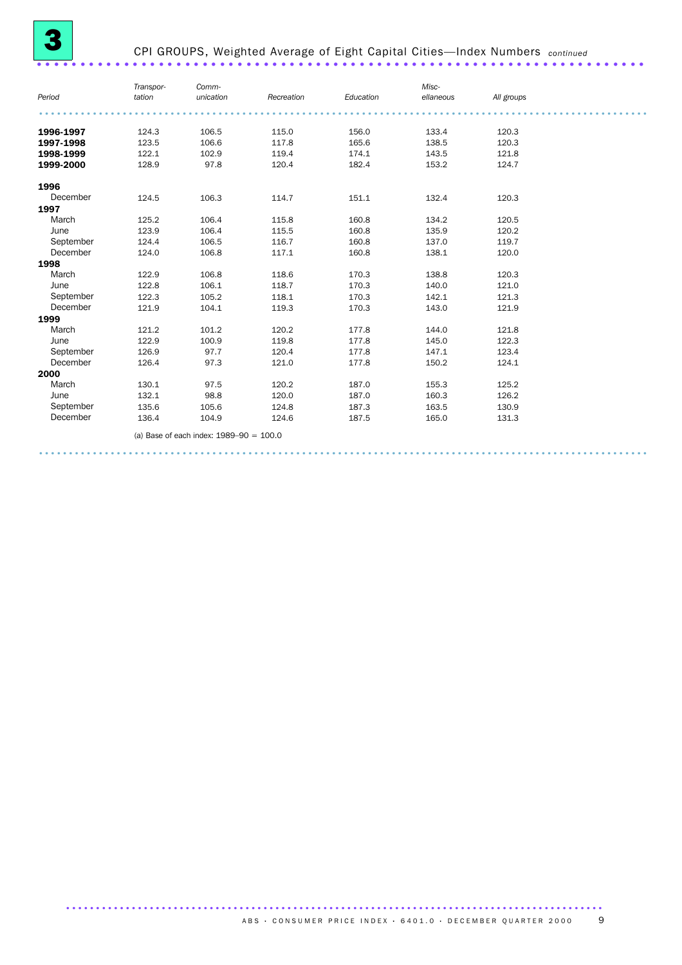| Period    | Transpor-<br>tation | Comm-<br>unication                        | Recreation | Education | Misc-<br>ellaneous | All groups |  |
|-----------|---------------------|-------------------------------------------|------------|-----------|--------------------|------------|--|
|           |                     |                                           |            |           |                    |            |  |
| 1996-1997 | 124.3               | 106.5                                     | 115.0      | 156.0     | 133.4              | 120.3      |  |
| 1997-1998 | 123.5               | 106.6                                     | 117.8      | 165.6     | 138.5              | 120.3      |  |
| 1998-1999 | 122.1               | 102.9                                     | 119.4      | 174.1     | 143.5              | 121.8      |  |
| 1999-2000 | 128.9               | 97.8                                      | 120.4      | 182.4     | 153.2              | 124.7      |  |
| 1996      |                     |                                           |            |           |                    |            |  |
| December  | 124.5               | 106.3                                     | 114.7      | 151.1     | 132.4              | 120.3      |  |
| 1997      |                     |                                           |            |           |                    |            |  |
| March     | 125.2               | 106.4                                     | 115.8      | 160.8     | 134.2              | 120.5      |  |
| June      | 123.9               | 106.4                                     | 115.5      | 160.8     | 135.9              | 120.2      |  |
| September | 124.4               | 106.5                                     | 116.7      | 160.8     | 137.0              | 119.7      |  |
| December  | 124.0               | 106.8                                     | 117.1      | 160.8     | 138.1              | 120.0      |  |
| 1998      |                     |                                           |            |           |                    |            |  |
| March     | 122.9               | 106.8                                     | 118.6      | 170.3     | 138.8              | 120.3      |  |
| June      | 122.8               | 106.1                                     | 118.7      | 170.3     | 140.0              | 121.0      |  |
| September | 122.3               | 105.2                                     | 118.1      | 170.3     | 142.1              | 121.3      |  |
| December  | 121.9               | 104.1                                     | 119.3      | 170.3     | 143.0              | 121.9      |  |
| 1999      |                     |                                           |            |           |                    |            |  |
| March     | 121.2               | 101.2                                     | 120.2      | 177.8     | 144.0              | 121.8      |  |
| June      | 122.9               | 100.9                                     | 119.8      | 177.8     | 145.0              | 122.3      |  |
| September | 126.9               | 97.7                                      | 120.4      | 177.8     | 147.1              | 123.4      |  |
| December  | 126.4               | 97.3                                      | 121.0      | 177.8     | 150.2              | 124.1      |  |
| 2000      |                     |                                           |            |           |                    |            |  |
| March     | 130.1               | 97.5                                      | 120.2      | 187.0     | 155.3              | 125.2      |  |
| June      | 132.1               | 98.8                                      | 120.0      | 187.0     | 160.3              | 126.2      |  |
| September | 135.6               | 105.6                                     | 124.8      | 187.3     | 163.5              | 130.9      |  |
| December  | 136.4               | 104.9                                     | 124.6      | 187.5     | 165.0              | 131.3      |  |
|           |                     | (a) Base of each index: $1989-90 = 100.0$ |            |           |                    |            |  |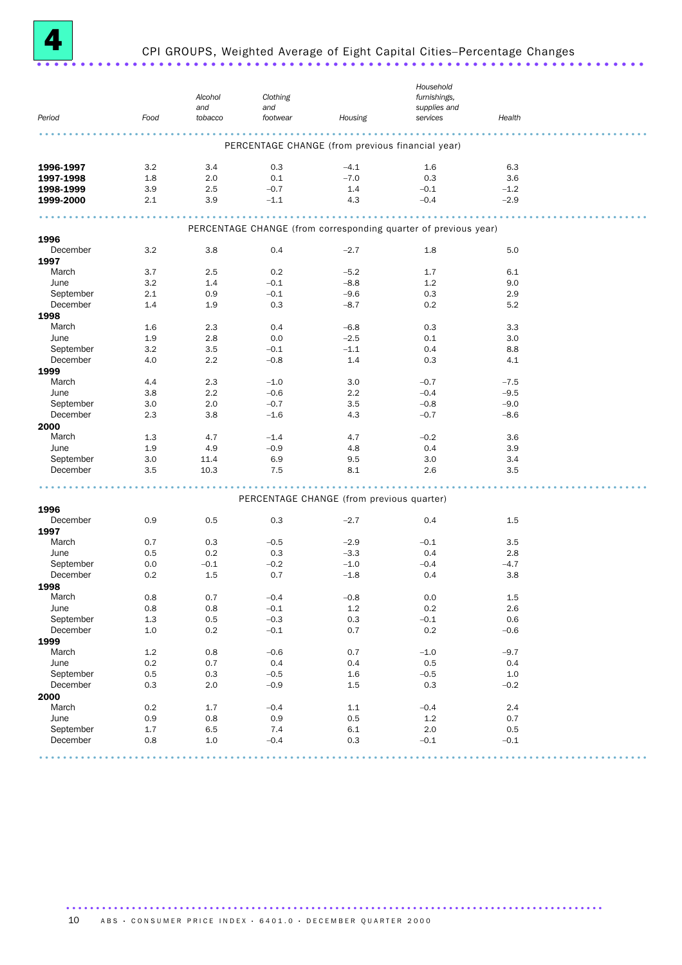

# CPI GROUPS, Weighted Average of Eight Capital Cities–Percentage Changes ......................................................................

|           |         | Alcohol<br>and | Clothing<br>and |                                                  | Household<br>furnishings,<br>supplies and                       |         |  |
|-----------|---------|----------------|-----------------|--------------------------------------------------|-----------------------------------------------------------------|---------|--|
| Period    | Food    | tobacco        | footwear        | Housing                                          | services                                                        | Health  |  |
|           |         |                |                 | PERCENTAGE CHANGE (from previous financial year) |                                                                 |         |  |
| 1996-1997 | 3.2     | 3.4            | 0.3             | $-4.1$                                           | 1.6                                                             | 6.3     |  |
| 1997-1998 | 1.8     | 2.0            | 0.1             | $-7.0$                                           | 0.3                                                             | 3.6     |  |
| 1998-1999 | 3.9     | 2.5            | $-0.7$          | 1.4                                              | $-0.1$                                                          | $-1.2$  |  |
| 1999-2000 | 2.1     | 3.9            | $-1.1$          | 4.3                                              | $-0.4$                                                          | $-2.9$  |  |
|           |         |                |                 |                                                  | PERCENTAGE CHANGE (from corresponding quarter of previous year) |         |  |
| 1996      |         |                |                 |                                                  |                                                                 |         |  |
| December  | 3.2     | 3.8            | 0.4             | $-2.7$                                           | 1.8                                                             | 5.0     |  |
| 1997      |         |                |                 |                                                  |                                                                 |         |  |
| March     | 3.7     | 2.5            | 0.2             | $-5.2$                                           | 1.7                                                             | 6.1     |  |
| June      | 3.2     | 1.4            | $-0.1$          | $-8.8$                                           | 1.2                                                             | 9.0     |  |
| September | 2.1     | 0.9            | $-0.1$          | $-9.6$                                           | 0.3                                                             | 2.9     |  |
| December  | 1.4     | 1.9            | 0.3             | $-8.7$                                           | 0.2                                                             | 5.2     |  |
| 1998      |         |                |                 |                                                  |                                                                 |         |  |
| March     | 1.6     | 2.3            | 0.4             | $-6.8$                                           | 0.3                                                             | 3.3     |  |
| June      | 1.9     | 2.8            | 0.0             | $-2.5$                                           | 0.1                                                             | 3.0     |  |
| September | 3.2     | 3.5            | $-0.1$          | $-1.1$                                           | 0.4                                                             | 8.8     |  |
| December  | 4.0     | 2.2            | $-0.8$          | 1.4                                              | 0.3                                                             | 4.1     |  |
| 1999      |         |                |                 |                                                  |                                                                 |         |  |
| March     | 4.4     | 2.3            | $-1.0$          | 3.0                                              | $-0.7$                                                          | $-7.5$  |  |
| June      | 3.8     | 2.2            | $-0.6$          | 2.2                                              | $-0.4$                                                          | $-9.5$  |  |
| September | 3.0     | 2.0            | $-0.7$          | 3.5                                              | $-0.8$                                                          | $-9.0$  |  |
| December  | 2.3     | 3.8            | $-1.6$          | 4.3                                              | $-0.7$                                                          | $-8.6$  |  |
| 2000      |         |                |                 |                                                  |                                                                 |         |  |
| March     | 1.3     | 4.7            | $-1.4$          | 4.7                                              | $-0.2$                                                          | 3.6     |  |
| June      | 1.9     |                | $-0.9$          |                                                  |                                                                 |         |  |
|           |         | 4.9            |                 | 4.8                                              | 0.4                                                             | 3.9     |  |
| September | 3.0     | 11.4           | 6.9             | 9.5                                              | 3.0                                                             | 3.4     |  |
| December  | 3.5     | 10.3           | 7.5             | 8.1                                              | 2.6                                                             | 3.5     |  |
|           |         |                |                 | PERCENTAGE CHANGE (from previous quarter)        |                                                                 |         |  |
| 1996      |         |                |                 |                                                  |                                                                 |         |  |
| December  | 0.9     | 0.5            | 0.3             | $-2.7$                                           | 0.4                                                             | 1.5     |  |
| 1997      |         |                |                 |                                                  |                                                                 |         |  |
| March     | 0.7     | 0.3            | $-0.5$          | $-2.9$                                           | $-0.1$                                                          | 3.5     |  |
| June      | 0.5     | 0.2            | 0.3             | $-3.3$                                           | 0.4                                                             | 2.8     |  |
| September | 0.0     | $-0.1$         | $-0.2$          | $-1.0$                                           | $-0.4$                                                          | $-4.7$  |  |
| December  | 0.2     | 1.5            | 0.7             | $-1.8$                                           | 0.4                                                             | 3.8     |  |
| 1998      |         |                |                 |                                                  |                                                                 |         |  |
| March     | 0.8     | 0.7            | $-0.4$          | $-0.8$                                           | 0.0                                                             | 1.5     |  |
| June      | 0.8     | 0.8            | $-0.1$          | 1.2                                              | $0.2\,$                                                         | 2.6     |  |
| September | $1.3\,$ | $0.5\,$        | $-0.3$          | $0.3\,$                                          | $-0.1$                                                          | 0.6     |  |
| December  | $1.0\,$ | $0.2\,$        | $-0.1$          | 0.7                                              | $0.2\,$                                                         | $-0.6$  |  |
| 1999      |         |                |                 |                                                  |                                                                 |         |  |
| March     | $1.2\,$ | 0.8            | $-0.6$          | 0.7                                              | $-1.0$                                                          | $-9.7$  |  |
| June      | $0.2\,$ | 0.7            | 0.4             | 0.4                                              | 0.5                                                             | 0.4     |  |
| September | $0.5\,$ | $0.3\,$        | $-0.5$          | $1.6\,$                                          | $-0.5$                                                          | $1.0\,$ |  |
| December  | 0.3     | $2.0\,$        | $-0.9$          | $1.5\,$                                          | 0.3                                                             | $-0.2$  |  |
| 2000      |         |                |                 |                                                  |                                                                 |         |  |
| March     | $0.2\,$ | 1.7            | $-0.4$          | $1.1\,$                                          | $-0.4$                                                          | 2.4     |  |
| June      | 0.9     | 0.8            | 0.9             | 0.5                                              | $1.2\,$                                                         | 0.7     |  |
| September | 1.7     | 6.5            | 7.4             | $6.1\,$                                          | 2.0                                                             | $0.5\,$ |  |
| December  | 0.8     | $1.0$          | $-0.4$          | 0.3                                              | $-0.1$                                                          | $-0.1$  |  |
|           |         |                |                 |                                                  |                                                                 |         |  |
|           |         |                |                 |                                                  |                                                                 |         |  |

10 ABS · CONSUMER PRICE INDEX · 6401.0 · DECEMBER QUARTER 2000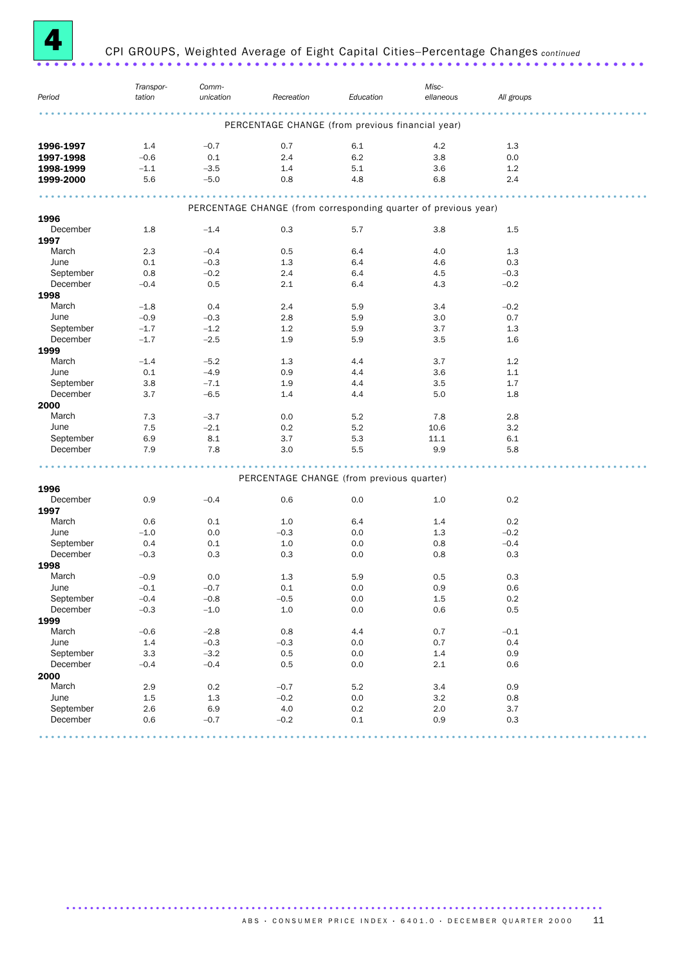

# CPI GROUPS, Weighted Average of Eight Capital Cities–Percentage Changes *continued* ......................................................................

| Period    | Transpor-<br>tation | Comm-<br>unication | Recreation                                                      | Education | Misc-<br>ellaneous | All groups |  |
|-----------|---------------------|--------------------|-----------------------------------------------------------------|-----------|--------------------|------------|--|
|           |                     |                    | PERCENTAGE CHANGE (from previous financial year)                |           |                    |            |  |
| 1996-1997 | 1.4                 | $-0.7$             | 0.7                                                             | 6.1       | 4.2                | 1.3        |  |
| 1997-1998 | $-0.6$              | 0.1                | 2.4                                                             | 6.2       | 3.8                | 0.0        |  |
| 1998-1999 | $-1.1$              | $-3.5$             | 1.4                                                             | 5.1       | 3.6                | 1.2        |  |
| 1999-2000 | 5.6                 | $-5.0$             | 0.8                                                             | 4.8       | 6.8                | 2.4        |  |
|           |                     |                    |                                                                 |           |                    |            |  |
| 1996      |                     |                    | PERCENTAGE CHANGE (from corresponding quarter of previous year) |           |                    |            |  |
| December  | 1.8                 | $-1.4$             | 0.3                                                             | 5.7       | 3.8                | 1.5        |  |
| 1997      |                     |                    |                                                                 |           |                    |            |  |
| March     | 2.3                 | $-0.4$             | 0.5                                                             | 6.4       | 4.0                | 1.3        |  |
| June      | 0.1                 | $-0.3$             | 1.3                                                             | 6.4       | 4.6                | 0.3        |  |
| September | 0.8                 | $-0.2$             | 2.4                                                             | 6.4       | 4.5                | $-0.3$     |  |
| December  | $-0.4$              | 0.5                | 2.1                                                             | 6.4       | 4.3                | $-0.2$     |  |
| 1998      |                     |                    |                                                                 |           |                    |            |  |
| March     | $-1.8$              | 0.4                | 2.4                                                             | 5.9       | 3.4                | $-0.2$     |  |
|           |                     |                    |                                                                 |           |                    |            |  |
| June      | $-0.9$              | $-0.3$             | 2.8                                                             | 5.9       | 3.0                | 0.7        |  |
| September | $-1.7$              | $-1.2$             | 1.2                                                             | 5.9       | 3.7                | 1.3        |  |
| December  | $-1.7$              | $-2.5$             | 1.9                                                             | 5.9       | 3.5                | 1.6        |  |
| 1999      |                     |                    |                                                                 |           |                    |            |  |
| March     | $-1.4$              | $-5.2$             | 1.3                                                             | 4.4       | 3.7                | 1.2        |  |
| June      | 0.1                 | $-4.9$             | 0.9                                                             | 4.4       | 3.6                | 1.1        |  |
| September | 3.8                 | $-7.1$             | 1.9                                                             | 4.4       | 3.5                | 1.7        |  |
| December  | 3.7                 | $-6.5$             | 1.4                                                             | 4.4       | 5.0                | 1.8        |  |
| 2000      |                     |                    |                                                                 |           |                    |            |  |
| March     | 7.3                 | $-3.7$             | 0.0                                                             | 5.2       | 7.8                | 2.8        |  |
| June      | 7.5                 | $-2.1$             | 0.2                                                             | 5.2       | 10.6               | 3.2        |  |
| September |                     | 8.1                |                                                                 | 5.3       |                    |            |  |
|           | 6.9                 |                    | 3.7                                                             |           | 11.1               | 6.1        |  |
| December  | 7.9                 | 7.8                | 3.0                                                             | 5.5       | 9.9                | 5.8        |  |
|           |                     |                    | PERCENTAGE CHANGE (from previous quarter)                       |           |                    |            |  |
| 1996      |                     |                    |                                                                 |           |                    |            |  |
| December  | 0.9                 | $-0.4$             | 0.6                                                             | 0.0       | 1.0                | 0.2        |  |
| 1997      |                     |                    |                                                                 |           |                    |            |  |
| March     | 0.6                 | 0.1                | 1.0                                                             | 6.4       | 1.4                | 0.2        |  |
| June      | $-1.0$              | 0.0                | $-0.3$                                                          | 0.0       | 1.3                | $-0.2$     |  |
|           |                     |                    |                                                                 |           |                    |            |  |
| September | 0.4                 | 0.1                | 1.0                                                             | 0.0       | 0.8                | $-0.4$     |  |
| December  | $-0.3$              | 0.3                | 0.3                                                             | 0.0       | 0.8                | 0.3        |  |
| 1998      |                     |                    |                                                                 |           |                    |            |  |
| March     | $-0.9$              | 0.0                | 1.3                                                             | 5.9       | 0.5                | 0.3        |  |
| June      | $-0.1$              | $-0.7$             | 0.1                                                             | 0.0       | 0.9                | 0.6        |  |
| September | $-0.4$              | $-0.8$             | $-0.5$                                                          | 0.0       | $1.5\,$            | $0.2\,$    |  |
| December  | $-0.3$              | $-1.0$             | $1.0\,$                                                         | $0.0\,$   | $0.6\,$            | $0.5\,$    |  |
| 1999      |                     |                    |                                                                 |           |                    |            |  |
| March     | $-0.6$              | $-2.8$             | 0.8                                                             | 4.4       | 0.7                | $-0.1$     |  |
| June      | 1.4                 | $-0.3$             | $-0.3$                                                          | 0.0       | 0.7                | 0.4        |  |
| September | 3.3                 | $-3.2$             | 0.5                                                             | 0.0       | 1.4                | 0.9        |  |
| December  | $-0.4$              | $-0.4$             | 0.5                                                             | 0.0       | 2.1                | 0.6        |  |
|           |                     |                    |                                                                 |           |                    |            |  |
| 2000      |                     |                    |                                                                 |           |                    |            |  |
| March     | 2.9                 | 0.2                | $-0.7$                                                          | 5.2       | 3.4                | 0.9        |  |
| June      | 1.5                 | 1.3                | $-0.2$                                                          | 0.0       | 3.2                | 0.8        |  |
| September | 2.6                 | 6.9                | $4.0\,$                                                         | $0.2\,$   | $2.0\,$            | 3.7        |  |
| December  | 0.6                 | $-0.7$             | $-0.2$                                                          | $0.1\,$   | 0.9                | $0.3\,$    |  |
|           |                     |                    |                                                                 |           |                    |            |  |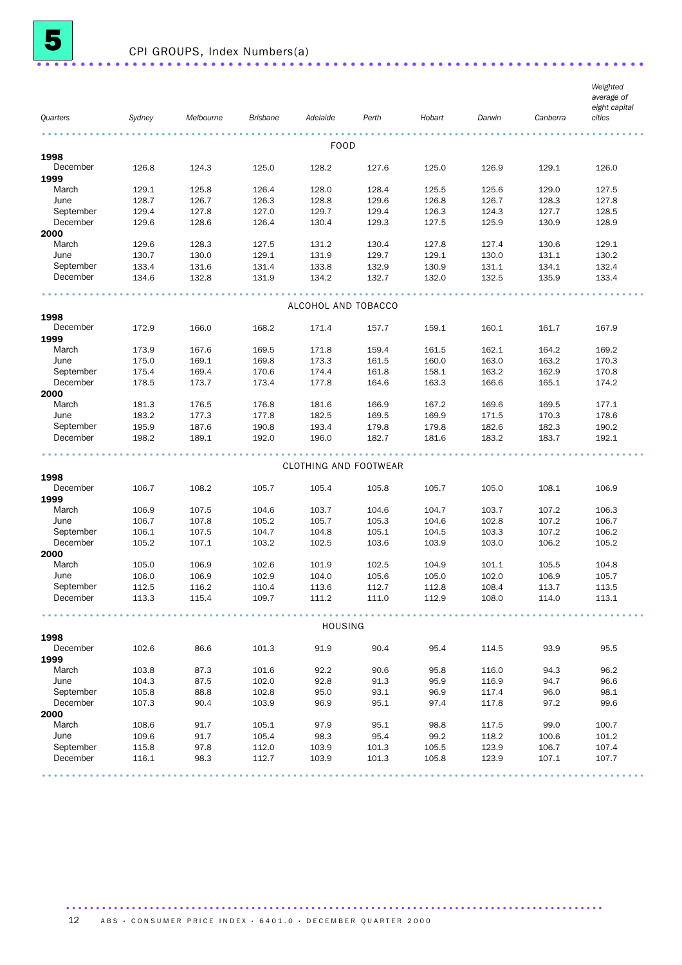

| Quarters          | Sydney         | Melbourne      | <b>Brisbane</b> | Adelaide                     | Perth          | Hobart         | Darwin         | Canberra       | Weighted<br>average of<br>eight capital<br>cities |
|-------------------|----------------|----------------|-----------------|------------------------------|----------------|----------------|----------------|----------------|---------------------------------------------------|
|                   |                |                |                 |                              |                |                |                |                |                                                   |
|                   |                |                |                 | <b>FOOD</b>                  |                |                |                |                |                                                   |
| 1998              |                |                |                 |                              |                |                |                |                |                                                   |
| December          | 126.8          | 124.3          | 125.0           | 128.2                        | 127.6          | 125.0          | 126.9          | 129.1          | 126.0                                             |
| 1999<br>March     | 129.1          | 125.8          | 126.4           | 128.0                        | 128.4          | 125.5          | 125.6          | 129.0          | 127.5                                             |
| June              | 128.7          | 126.7          | 126.3           | 128.8                        | 129.6          | 126.8          | 126.7          | 128.3          | 127.8                                             |
| September         | 129.4          | 127.8          | 127.0           | 129.7                        | 129.4          | 126.3          | 124.3          | 127.7          | 128.5                                             |
| December          | 129.6          | 128.6          | 126.4           | 130.4                        | 129.3          | 127.5          | 125.9          | 130.9          | 128.9                                             |
| 2000              |                |                |                 |                              |                |                |                |                |                                                   |
| March             | 129.6          | 128.3          | 127.5           | 131.2                        | 130.4          | 127.8          | 127.4          | 130.6          | 129.1                                             |
| June              | 130.7          | 130.0          | 129.1           | 131.9                        | 129.7          | 129.1          | 130.0          | 131.1          | 130.2                                             |
| September         | 133.4          | 131.6          | 131.4           | 133.8                        | 132.9          | 130.9          | 131.1          | 134.1          | 132.4                                             |
| December          | 134.6          | 132.8          | 131.9           | 134.2                        | 132.7          | 132.0          | 132.5          | 135.9          | 133.4                                             |
|                   |                |                |                 | ALCOHOL AND TOBACCO          |                |                |                |                |                                                   |
| 1998              |                |                |                 |                              |                |                |                |                |                                                   |
| December          | 172.9          | 166.0          | 168.2           | 171.4                        | 157.7          | 159.1          | 160.1          | 161.7          | 167.9                                             |
| 1999              |                |                |                 |                              |                |                |                |                |                                                   |
| March             | 173.9          | 167.6          | 169.5           | 171.8                        | 159.4          | 161.5          | 162.1          | 164.2          | 169.2                                             |
| June              | 175.0          | 169.1          | 169.8           | 173.3                        | 161.5          | 160.0          | 163.0          | 163.2          | 170.3                                             |
| September         | 175.4          | 169.4          | 170.6           | 174.4                        | 161.8          | 158.1          | 163.2          | 162.9          | 170.8                                             |
| December          | 178.5          | 173.7          | 173.4           | 177.8                        | 164.6          | 163.3          | 166.6          | 165.1          | 174.2                                             |
| 2000              |                |                |                 |                              |                |                |                |                |                                                   |
| March             | 181.3          | 176.5          | 176.8           | 181.6                        | 166.9          | 167.2          | 169.6          | 169.5          | 177.1                                             |
| June<br>September | 183.2<br>195.9 | 177.3<br>187.6 | 177.8           | 182.5<br>193.4               | 169.5          | 169.9<br>179.8 | 171.5<br>182.6 | 170.3          | 178.6<br>190.2                                    |
| December          | 198.2          | 189.1          | 190.8<br>192.0  | 196.0                        | 179.8<br>182.7 | 181.6          | 183.2          | 182.3<br>183.7 | 192.1                                             |
|                   |                |                |                 |                              |                |                |                |                |                                                   |
|                   |                |                |                 | <b>CLOTHING AND FOOTWEAR</b> |                |                |                |                |                                                   |
| 1998              |                |                |                 |                              |                |                |                |                |                                                   |
| December          | 106.7          | 108.2          | 105.7           | 105.4                        | 105.8          | 105.7          | 105.0          | 108.1          | 106.9                                             |
| 1999<br>March     |                |                |                 |                              |                | 104.7          |                |                | 106.3                                             |
| June              | 106.9<br>106.7 | 107.5<br>107.8 | 104.6<br>105.2  | 103.7<br>105.7               | 104.6<br>105.3 | 104.6          | 103.7<br>102.8 | 107.2<br>107.2 | 106.7                                             |
| September         | 106.1          | 107.5          | 104.7           | 104.8                        | 105.1          | 104.5          | 103.3          | 107.2          | 106.2                                             |
| December          | 105.2          | 107.1          | 103.2           | 102.5                        | 103.6          | 103.9          | 103.0          | 106.2          | 105.2                                             |
| 2000              |                |                |                 |                              |                |                |                |                |                                                   |
| March             | 105.0          | 106.9          | 102.6           | 101.9                        | 102.5          | 104.9          | 101.1          | 105.5          | 104.8                                             |
| June              | 106.0          | 106.9          | 102.9           | 104.0                        | 105.6          | 105.0          | 102.0          | 106.9          | 105.7                                             |
| September         | 112.5          | 116.2          | 110.4           | 113.6                        | 112.7          | 112.8          | 108.4          | 113.7          | 113.5                                             |
| December          | 113.3          | 115.4          | 109.7           | 111.2                        | 111.0          | 112.9          | 108.0          | 114.0          | 113.1                                             |
|                   |                |                |                 | <b>HOUSING</b>               |                |                |                |                |                                                   |
| 1998              |                |                |                 |                              |                |                |                |                |                                                   |
| December<br>1999  | 102.6          | 86.6           | 101.3           | 91.9                         | 90.4           | 95.4           | 114.5          | 93.9           | 95.5                                              |
| March             | 103.8          | 87.3           | 101.6           | 92.2                         | 90.6           | 95.8           | 116.0          | 94.3           | 96.2                                              |
| June              | 104.3          | 87.5           | 102.0           | 92.8                         | 91.3           | 95.9           | 116.9          | 94.7           | 96.6                                              |
| September         | 105.8          | 88.8           | 102.8           | 95.0                         | 93.1           | 96.9           | 117.4          | 96.0           | 98.1                                              |
| December          | 107.3          | 90.4           | 103.9           | 96.9                         | 95.1           | 97.4           | 117.8          | 97.2           | 99.6                                              |
| 2000              |                |                |                 |                              |                |                |                |                |                                                   |
| March             | 108.6          | 91.7           | 105.1           | 97.9                         | 95.1           | 98.8           | 117.5          | 99.0           | 100.7                                             |
| June              | 109.6          | 91.7           | 105.4           | 98.3                         | 95.4           | 99.2           | 118.2          | 100.6          | 101.2                                             |
| September         | 115.8          | 97.8           | 112.0           | 103.9                        | 101.3          | 105.5          | 123.9          | 106.7          | 107.4                                             |
| December          | 116.1          | 98.3           | 112.7           | 103.9                        | 101.3          | 105.8          | 123.9          | 107.1          | 107.7                                             |
|                   |                |                |                 |                              |                |                |                |                |                                                   |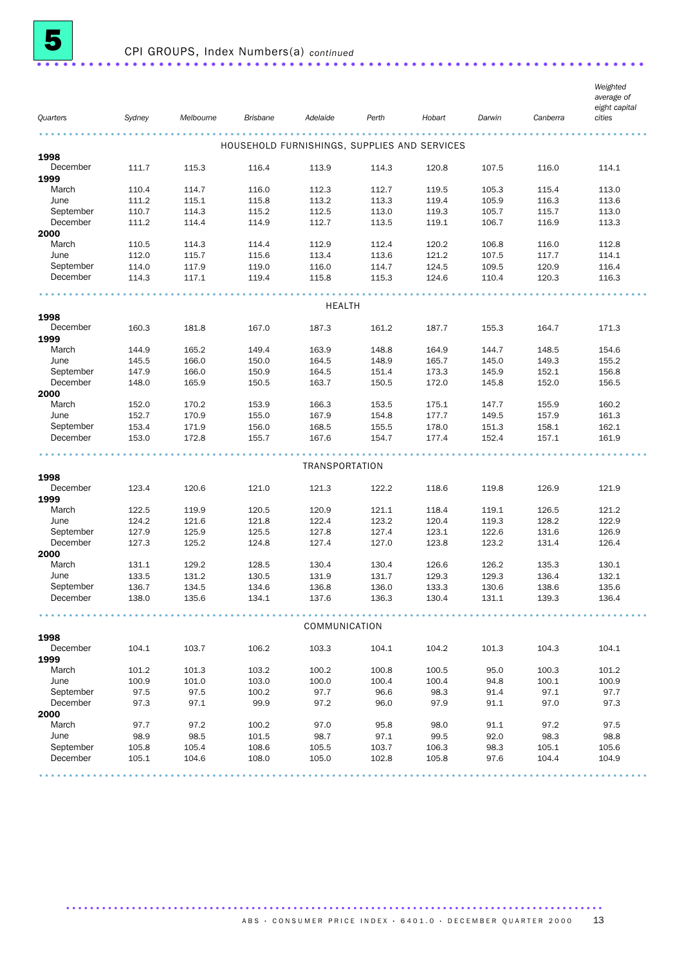

| Quarters              | Sydney         | Melbourne      | <b>Brisbane</b> | Adelaide                                     | Perth          | Hobart         | Darwin         | Canberra       | Weighted<br>average of<br>eight capital<br>cities |
|-----------------------|----------------|----------------|-----------------|----------------------------------------------|----------------|----------------|----------------|----------------|---------------------------------------------------|
|                       |                |                |                 |                                              |                |                |                |                |                                                   |
|                       |                |                |                 |                                              |                |                |                |                |                                                   |
| 1998                  |                |                |                 | HOUSEHOLD FURNISHINGS, SUPPLIES AND SERVICES |                |                |                |                |                                                   |
| December              | 111.7          | 115.3          | 116.4           | 113.9                                        | 114.3          | 120.8          | 107.5          | 116.0          | 114.1                                             |
| 1999                  |                |                |                 |                                              |                |                |                |                |                                                   |
| March                 | 110.4          | 114.7          | 116.0           | 112.3                                        | 112.7          | 119.5          | 105.3          | 115.4          | 113.0                                             |
| June                  | 111.2          | 115.1          | 115.8           | 113.2                                        | 113.3          | 119.4          | 105.9          | 116.3          | 113.6                                             |
| September             | 110.7          | 114.3          | 115.2           | 112.5                                        | 113.0          | 119.3          | 105.7          | 115.7          | 113.0                                             |
| December              | 111.2          | 114.4          | 114.9           | 112.7                                        | 113.5          | 119.1          | 106.7          | 116.9          | 113.3                                             |
| 2000                  |                |                |                 |                                              |                |                |                |                |                                                   |
| March                 | 110.5          | 114.3          | 114.4           | 112.9                                        | 112.4          | 120.2          | 106.8          | 116.0          | 112.8                                             |
| June                  | 112.0          | 115.7          | 115.6           | 113.4                                        | 113.6          | 121.2          | 107.5          | 117.7          | 114.1                                             |
| September             | 114.0          | 117.9          | 119.0           | 116.0                                        | 114.7          | 124.5          | 109.5          | 120.9          | 116.4                                             |
| December              | 114.3          | 117.1          | 119.4           | 115.8                                        | 115.3          | 124.6          | 110.4          | 120.3          | 116.3                                             |
|                       |                |                |                 | <b>HEALTH</b>                                |                |                |                |                |                                                   |
| 1998                  |                |                |                 |                                              |                |                |                |                |                                                   |
| December              | 160.3          | 181.8          | 167.0           | 187.3                                        | 161.2          | 187.7          | 155.3          | 164.7          | 171.3                                             |
| 1999                  |                |                |                 |                                              |                |                |                |                |                                                   |
| March                 | 144.9          | 165.2          | 149.4           | 163.9                                        | 148.8          | 164.9          | 144.7          | 148.5          | 154.6                                             |
| June                  | 145.5          | 166.0          | 150.0           | 164.5                                        | 148.9          | 165.7          | 145.0          | 149.3          | 155.2                                             |
| September             | 147.9          | 166.0          | 150.9           | 164.5                                        | 151.4          | 173.3          | 145.9          | 152.1          | 156.8                                             |
| December              | 148.0          | 165.9          | 150.5           | 163.7                                        | 150.5          | 172.0          | 145.8          | 152.0          | 156.5                                             |
| 2000                  |                |                |                 |                                              |                |                |                |                |                                                   |
| March                 | 152.0          | 170.2          | 153.9           | 166.3                                        | 153.5          | 175.1          | 147.7          | 155.9          | 160.2                                             |
| June                  | 152.7          | 170.9          | 155.0           | 167.9                                        | 154.8          | 177.7          | 149.5          | 157.9          | 161.3                                             |
| September             | 153.4          | 171.9          | 156.0           | 168.5                                        | 155.5          | 178.0          | 151.3          | 158.1          | 162.1                                             |
| December              | 153.0          | 172.8          | 155.7           | 167.6                                        | 154.7          | 177.4          | 152.4          | 157.1          | 161.9                                             |
|                       |                |                |                 | TRANSPORTATION                               |                |                |                |                |                                                   |
| 1998                  |                |                |                 |                                              |                |                |                |                |                                                   |
| December              | 123.4          | 120.6          | 121.0           | 121.3                                        | 122.2          | 118.6          | 119.8          | 126.9          | 121.9                                             |
| 1999                  |                |                |                 |                                              |                |                |                |                |                                                   |
| March                 | 122.5          | 119.9          | 120.5           | 120.9                                        | 121.1          | 118.4          | 119.1          | 126.5          | 121.2                                             |
| June                  | 124.2          | 121.6          | 121.8           | 122.4                                        | 123.2          | 120.4          | 119.3          | 128.2          | 122.9                                             |
| September             | 127.9          | 125.9          | 125.5           | 127.8                                        | 127.4          | 123.1          | 122.6          | 131.6          | 126.9                                             |
| December              | 127.3          | 125.2          | 124.8           | 127.4                                        | 127.0          | 123.8          | 123.2          | 131.4          | 126.4                                             |
| 2000                  |                |                |                 |                                              |                |                |                |                |                                                   |
| March                 | 131.1          | 129.2          | 128.5           | 130.4                                        | 130.4          | 126.6          | 126.2          | 135.3          | 130.1                                             |
| June                  | 133.5          | 131.2          | 130.5           | 131.9                                        | 131.7          | 129.3          | 129.3          | 136.4          | 132.1                                             |
| September<br>December | 136.7<br>138.0 | 134.5<br>135.6 | 134.6<br>134.1  | 136.8<br>137.6                               | 136.0<br>136.3 | 133.3<br>130.4 | 130.6<br>131.1 | 138.6<br>139.3 | 135.6<br>136.4                                    |
|                       |                |                |                 |                                              |                |                |                |                |                                                   |
|                       |                |                |                 | .<br>COMMUNICATION                           |                |                |                |                |                                                   |
| 1998                  |                |                |                 |                                              |                |                |                |                |                                                   |
| December<br>1999      | 104.1          | 103.7          | 106.2           | 103.3                                        | 104.1          | 104.2          | 101.3          | 104.3          | 104.1                                             |
| March                 | 101.2          | 101.3          | 103.2           | 100.2                                        | 100.8          | 100.5          | 95.0           | 100.3          | 101.2                                             |
| June                  | 100.9          | 101.0          | 103.0           | 100.0                                        | 100.4          | 100.4          | 94.8           | 100.1          | 100.9                                             |
| September             | 97.5           | 97.5           | 100.2           | 97.7                                         | 96.6           | 98.3           | 91.4           | 97.1           | 97.7                                              |
| December              | 97.3           | 97.1           | 99.9            | 97.2                                         | 96.0           | 97.9           | 91.1           | 97.0           | 97.3                                              |
| 2000                  |                |                |                 |                                              |                |                |                |                |                                                   |
| March                 | 97.7           | 97.2           | 100.2           | 97.0                                         | 95.8           | 98.0           | 91.1           | 97.2           | 97.5                                              |
| June                  | 98.9           | 98.5           | 101.5           | 98.7                                         | 97.1           | 99.5           | 92.0           | 98.3           | 98.8                                              |
| September             | 105.8          | 105.4          | 108.6           | 105.5                                        | 103.7          | 106.3          | 98.3           | 105.1          | 105.6                                             |
| December              | 105.1          | 104.6          | 108.0           | 105.0                                        | 102.8          | 105.8          | 97.6           | 104.4          | 104.9                                             |
|                       |                |                |                 |                                              |                |                |                |                |                                                   |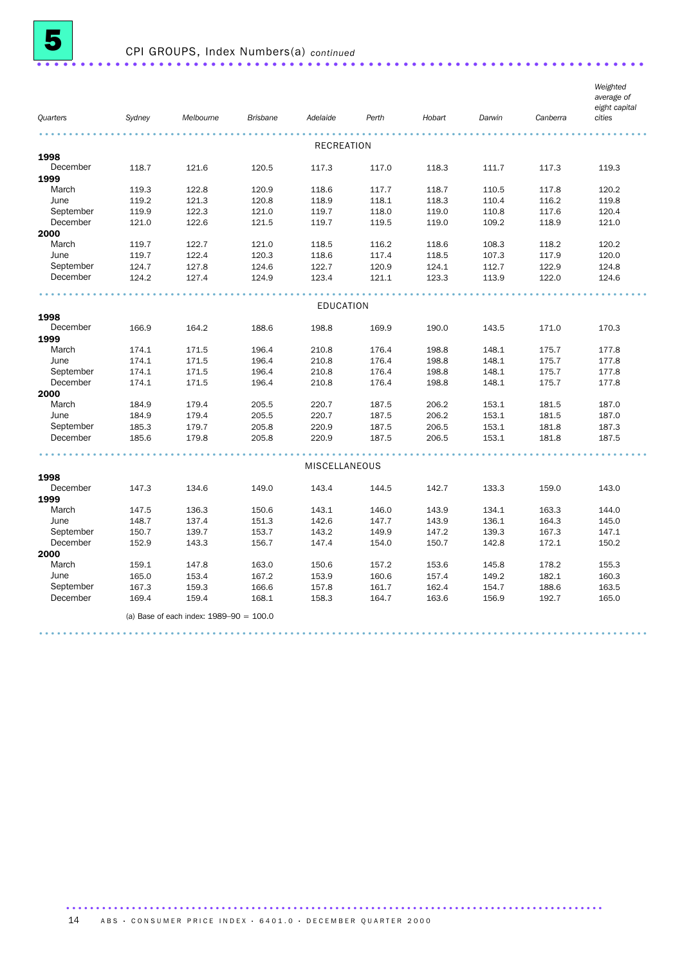

| Quarters  | Sydney | Melbourne                                   | <b>Brisbane</b> | Adelaide          | Perth | Hobart | Darwin | Canberra | Weighted<br>average of<br>eight capital<br>cities |
|-----------|--------|---------------------------------------------|-----------------|-------------------|-------|--------|--------|----------|---------------------------------------------------|
|           |        |                                             |                 |                   |       |        |        |          |                                                   |
| 1998      |        |                                             |                 | <b>RECREATION</b> |       |        |        |          |                                                   |
| December  | 118.7  | 121.6                                       | 120.5           | 117.3             | 117.0 | 118.3  | 111.7  | 117.3    | 119.3                                             |
| 1999      |        |                                             |                 |                   |       |        |        |          |                                                   |
| March     | 119.3  | 122.8                                       | 120.9           | 118.6             | 117.7 | 118.7  | 110.5  | 117.8    | 120.2                                             |
| June      | 119.2  | 121.3                                       | 120.8           | 118.9             | 118.1 | 118.3  | 110.4  | 116.2    | 119.8                                             |
| September | 119.9  | 122.3                                       | 121.0           | 119.7             | 118.0 | 119.0  | 110.8  | 117.6    | 120.4                                             |
| December  | 121.0  | 122.6                                       | 121.5           | 119.7             | 119.5 | 119.0  | 109.2  | 118.9    | 121.0                                             |
| 2000      |        |                                             |                 |                   |       |        |        |          |                                                   |
| March     | 119.7  | 122.7                                       | 121.0           | 118.5             | 116.2 | 118.6  | 108.3  | 118.2    | 120.2                                             |
| June      | 119.7  | 122.4                                       | 120.3           | 118.6             | 117.4 | 118.5  | 107.3  | 117.9    | 120.0                                             |
| September | 124.7  | 127.8                                       | 124.6           | 122.7             | 120.9 | 124.1  | 112.7  | 122.9    | 124.8                                             |
| December  | 124.2  | 127.4                                       | 124.9           | 123.4             | 121.1 | 123.3  | 113.9  | 122.0    | 124.6                                             |
|           |        |                                             |                 |                   |       |        |        |          |                                                   |
|           |        |                                             |                 | <b>EDUCATION</b>  |       |        |        |          |                                                   |
| 1998      |        |                                             |                 |                   |       |        |        |          |                                                   |
| December  | 166.9  | 164.2                                       | 188.6           | 198.8             | 169.9 | 190.0  | 143.5  | 171.0    | 170.3                                             |
| 1999      |        |                                             |                 |                   |       |        |        |          |                                                   |
| March     | 174.1  | 171.5                                       | 196.4           | 210.8             | 176.4 | 198.8  | 148.1  | 175.7    | 177.8                                             |
| June      | 174.1  | 171.5                                       | 196.4           | 210.8             | 176.4 | 198.8  | 148.1  | 175.7    | 177.8                                             |
| September | 174.1  | 171.5                                       | 196.4           | 210.8             | 176.4 | 198.8  | 148.1  | 175.7    | 177.8                                             |
| December  | 174.1  | 171.5                                       | 196.4           | 210.8             | 176.4 | 198.8  | 148.1  | 175.7    | 177.8                                             |
| 2000      |        |                                             |                 |                   |       |        |        |          |                                                   |
| March     | 184.9  | 179.4                                       | 205.5           | 220.7             | 187.5 | 206.2  | 153.1  | 181.5    | 187.0                                             |
| June      | 184.9  | 179.4                                       | 205.5           | 220.7             | 187.5 | 206.2  | 153.1  | 181.5    | 187.0                                             |
| September | 185.3  | 179.7                                       | 205.8           | 220.9             | 187.5 | 206.5  | 153.1  | 181.8    | 187.3                                             |
| December  | 185.6  | 179.8                                       | 205.8           | 220.9             | 187.5 | 206.5  | 153.1  | 181.8    | 187.5                                             |
|           |        |                                             |                 | MISCELLANEOUS     |       |        |        |          |                                                   |
| 1998      |        |                                             |                 |                   |       |        |        |          |                                                   |
| December  | 147.3  | 134.6                                       | 149.0           | 143.4             | 144.5 | 142.7  | 133.3  | 159.0    | 143.0                                             |
| 1999      |        |                                             |                 |                   |       |        |        |          |                                                   |
| March     | 147.5  | 136.3                                       | 150.6           | 143.1             | 146.0 | 143.9  | 134.1  | 163.3    | 144.0                                             |
| June      | 148.7  | 137.4                                       | 151.3           | 142.6             | 147.7 | 143.9  | 136.1  | 164.3    | 145.0                                             |
| September | 150.7  | 139.7                                       | 153.7           | 143.2             | 149.9 | 147.2  | 139.3  | 167.3    | 147.1                                             |
| December  | 152.9  | 143.3                                       | 156.7           | 147.4             | 154.0 | 150.7  | 142.8  | 172.1    | 150.2                                             |
| 2000      |        |                                             |                 |                   |       |        |        |          |                                                   |
| March     | 159.1  | 147.8                                       | 163.0           | 150.6             | 157.2 | 153.6  | 145.8  | 178.2    | 155.3                                             |
| June      | 165.0  | 153.4                                       | 167.2           | 153.9             | 160.6 | 157.4  | 149.2  | 182.1    | 160.3                                             |
| September | 167.3  | 159.3                                       | 166.6           | 157.8             | 161.7 | 162.4  | 154.7  | 188.6    | 163.5                                             |
| December  | 169.4  | 159.4                                       | 168.1           | 158.3             | 164.7 | 163.6  | 156.9  | 192.7    | 165.0                                             |
|           |        |                                             |                 |                   |       |        |        |          |                                                   |
|           |        | (a) Base of each index: $1989 - 90 = 100.0$ |                 |                   |       |        |        |          |                                                   |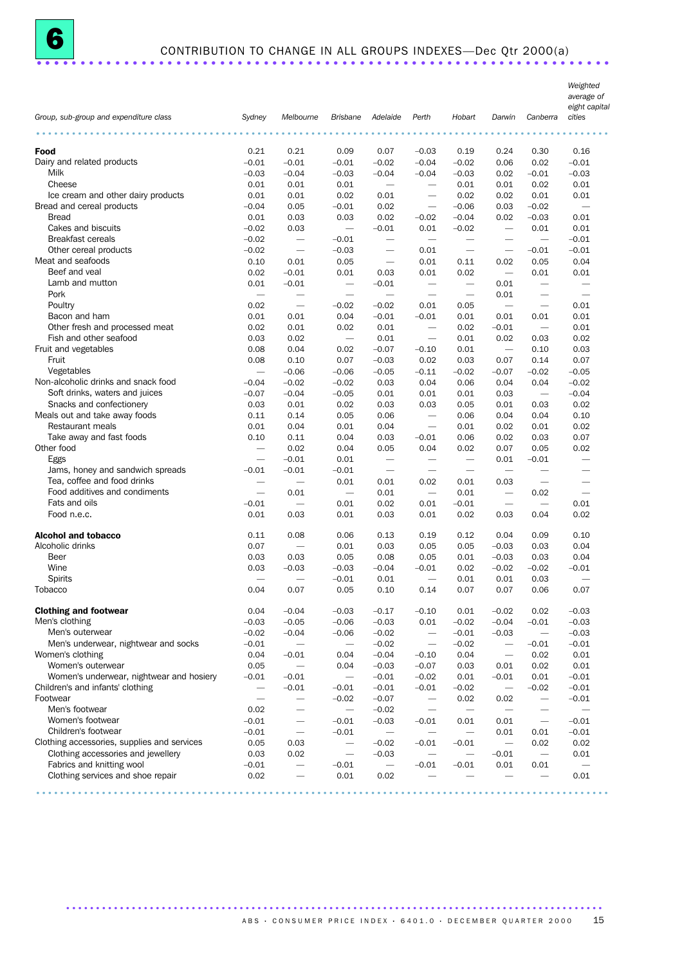|                                             |                          |                                 | <b>Brisbane</b>              |                                  |                                  |                                 |                          |                                 | Weighted<br>average of<br>eight capital<br>cities |
|---------------------------------------------|--------------------------|---------------------------------|------------------------------|----------------------------------|----------------------------------|---------------------------------|--------------------------|---------------------------------|---------------------------------------------------|
| Group, sub-group and expenditure class<br>. | Sydney                   | Melbourne                       |                              | Adelaide                         | Perth                            | Hobart                          | Darwin                   | Canberra                        |                                                   |
| Food                                        | 0.21                     | 0.21                            | 0.09                         | 0.07                             | $-0.03$                          | 0.19                            | 0.24                     | 0.30                            | 0.16                                              |
| Dairy and related products                  | $-0.01$                  | $-0.01$                         | $-0.01$                      | $-0.02$                          | $-0.04$                          | $-0.02$                         | 0.06                     | 0.02                            | $-0.01$                                           |
| Milk                                        | $-0.03$                  | $-0.04$                         | $-0.03$                      | $-0.04$                          | $-0.04$                          | $-0.03$                         | 0.02                     | $-0.01$                         | $-0.03$                                           |
| Cheese                                      | 0.01                     | 0.01                            | 0.01                         |                                  | $\overline{\phantom{m}}$         | 0.01                            | 0.01                     | 0.02                            | 0.01                                              |
| Ice cream and other dairy products          | 0.01                     | 0.01                            | 0.02                         | 0.01                             | $\overbrace{\phantom{1232211}}$  | 0.02                            | 0.02                     | 0.01                            | 0.01                                              |
| Bread and cereal products                   | $-0.04$                  | 0.05                            | $-0.01$                      | 0.02                             |                                  | $-0.06$                         | 0.03                     | $-0.02$                         | $\overline{\phantom{m}}$                          |
| <b>Bread</b>                                | 0.01                     | 0.03                            |                              | 0.02                             | $-0.02$                          | $-0.04$                         | 0.02                     | $-0.03$                         | 0.01                                              |
| Cakes and biscuits                          |                          |                                 | 0.03                         |                                  |                                  |                                 |                          |                                 |                                                   |
| <b>Breakfast cereals</b>                    | $-0.02$<br>$-0.02$       | 0.03                            | $\overline{\phantom{m}}$     | $-0.01$                          | 0.01<br>$\overline{\phantom{0}}$ | $-0.02$                         | $\overline{\phantom{0}}$ | 0.01                            | 0.01                                              |
|                                             |                          | $\overline{\phantom{a}}$        | $-0.01$                      | $\overline{\phantom{0}}$         |                                  | $\overline{\phantom{m}}$        | $\overline{\phantom{m}}$ | $\overline{\phantom{0}}$        | $-0.01$                                           |
| Other cereal products                       | $-0.02$                  | $\overbrace{\phantom{1232211}}$ | $-0.03$                      | $\overbrace{\phantom{12322111}}$ | 0.01                             | $\overbrace{\phantom{1232211}}$ |                          | $-0.01$                         | $-0.01$                                           |
| Meat and seafoods                           | 0.10                     | 0.01                            | 0.05                         | $\overline{\phantom{0}}$         | 0.01                             | 0.11                            | 0.02                     | 0.05                            | 0.04                                              |
| Beef and yeal                               | 0.02                     | $-0.01$                         | 0.01                         | 0.03                             | 0.01                             | 0.02                            | $\overline{\phantom{0}}$ | 0.01                            | 0.01                                              |
| Lamb and mutton                             | 0.01                     | $-0.01$                         | $\overline{\phantom{m}}$     | $-0.01$                          | $\overline{\phantom{m}}$         | $\overline{\phantom{m}}$        | 0.01                     | $\overline{\phantom{m}}$        |                                                   |
| Pork                                        | $\overline{\phantom{m}}$ | $\overline{\phantom{m}}$        | $\overline{\phantom{m}}$     | $\overline{\phantom{0}}$         | $\overline{\phantom{0}}$         | $\overline{\phantom{m}}$        | 0.01                     | $\overbrace{\phantom{1232211}}$ | $\overline{\phantom{m}}$                          |
| Poultry                                     | 0.02                     | $\overbrace{\phantom{1232211}}$ | $-0.02$                      | $-0.02$                          | 0.01                             | 0.05                            | $\overline{\phantom{m}}$ | $\overbrace{\qquad \qquad }^{}$ | 0.01                                              |
| Bacon and ham                               | 0.01                     | 0.01                            | 0.04                         | $-0.01$                          | $-0.01$                          | 0.01                            | 0.01                     | 0.01                            | 0.01                                              |
| Other fresh and processed meat              | 0.02                     | 0.01                            | 0.02                         | 0.01                             | $\overline{\phantom{m}}$         | 0.02                            | $-0.01$                  | $\overline{\phantom{m}}$        | 0.01                                              |
| Fish and other seafood                      | 0.03                     | 0.02                            | $\overline{\phantom{m}}$     | 0.01                             | $\overline{\phantom{m}}$         | 0.01                            | 0.02                     | 0.03                            | 0.02                                              |
| Fruit and vegetables                        | 0.08                     | 0.04                            | 0.02                         | $-0.07$                          | $-0.10$                          | 0.01                            | $\overline{\phantom{m}}$ | 0.10                            | 0.03                                              |
| Fruit                                       | 0.08                     | 0.10                            | 0.07                         | $-0.03$                          | 0.02                             | 0.03                            | 0.07                     | 0.14                            | 0.07                                              |
| Vegetables                                  | $\overline{\phantom{0}}$ | $-0.06$                         | $-0.06$                      | $-0.05$                          | $-0.11$                          | $-0.02$                         | $-0.07$                  | $-0.02$                         | $-0.05$                                           |
| Non-alcoholic drinks and snack food         | $-0.04$                  | $-0.02$                         | $-0.02$                      | 0.03                             | 0.04                             | 0.06                            | 0.04                     | 0.04                            | $-0.02$                                           |
| Soft drinks, waters and juices              | $-0.07$                  | $-0.04$                         | $-0.05$                      | 0.01                             | 0.01                             | 0.01                            | 0.03                     | $\overline{\phantom{m}}$        | $-0.04$                                           |
| Snacks and confectionery                    | 0.03                     | 0.01                            | 0.02                         | 0.03                             | 0.03                             | 0.05                            | 0.01                     | 0.03                            | 0.02                                              |
| Meals out and take away foods               | 0.11                     | 0.14                            | 0.05                         | 0.06                             | $\overline{\phantom{m}}$         | 0.06                            | 0.04                     | 0.04                            | 0.10                                              |
| Restaurant meals                            | 0.01                     | 0.04                            | 0.01                         | 0.04                             | $\overline{\phantom{0}}$         | 0.01                            | 0.02                     | 0.01                            | 0.02                                              |
| Take away and fast foods                    | 0.10                     | 0.11                            | 0.04                         | 0.03                             | $-0.01$                          | 0.06                            | 0.02                     | 0.03                            | 0.07                                              |
| Other food                                  | $\overline{\phantom{m}}$ | 0.02                            | 0.04                         | 0.05                             | 0.04                             | 0.02                            | 0.07                     | 0.05                            | 0.02                                              |
| Eggs                                        | $\overline{\phantom{m}}$ | $-0.01$                         | 0.01                         | $\overline{\phantom{m}}$         | $\overline{\phantom{m}}$         | $\overline{\phantom{m}}$        | 0.01                     | $-0.01$                         | $\overline{\phantom{m}}$                          |
| Jams, honey and sandwich spreads            | $-0.01$                  | $-0.01$                         | $-0.01$                      | $\overbrace{\phantom{1232211}}$  | $\overline{\phantom{m}}$         | $\overbrace{\phantom{1232211}}$ | $\overline{\phantom{0}}$ | $\overbrace{\qquad \qquad }$    | -                                                 |
| Tea, coffee and food drinks                 |                          | $\overline{\phantom{m}}$        | 0.01                         | 0.01                             | 0.02                             | 0.01                            | 0.03                     | $\overbrace{\qquad \qquad }^{}$ | $\overline{\phantom{0}}$                          |
| Food additives and condiments               | $\overline{\phantom{0}}$ | 0.01                            | $\overline{\phantom{m}}$     | 0.01                             | $\overline{\phantom{m}}$         | 0.01                            | $\overline{\phantom{m}}$ | 0.02                            |                                                   |
| Fats and oils                               | $-0.01$                  | $\overline{\phantom{m}}$        | 0.01                         | 0.02                             | 0.01                             | $-0.01$                         | $\overline{\phantom{m}}$ | $\overline{\phantom{m}}$        | 0.01                                              |
| Food n.e.c.                                 | 0.01                     | 0.03                            | 0.01                         | 0.03                             | 0.01                             | 0.02                            | 0.03                     | 0.04                            | 0.02                                              |
| <b>Alcohol and tobacco</b>                  | 0.11                     | 0.08                            | 0.06                         | 0.13                             | 0.19                             | 0.12                            | 0.04                     | 0.09                            | 0.10                                              |
| Alcoholic drinks                            | 0.07                     | $\overline{\phantom{a}}$        | 0.01                         | 0.03                             | 0.05                             | 0.05                            | $-0.03$                  | 0.03                            | 0.04                                              |
| Beer                                        | 0.03                     | 0.03                            | 0.05                         | 0.08                             | 0.05                             | 0.01                            | $-0.03$                  | 0.03                            | 0.04                                              |
| Wine                                        | 0.03                     | $-0.03$                         | $-0.03$                      | $-0.04$                          | $-0.01$                          | 0.02                            | $-0.02$                  | $-0.02$                         | $-0.01$                                           |
| Spirits                                     | $\overline{\phantom{0}}$ | $\overbrace{\phantom{12332}}$   | $-0.01$                      | 0.01                             | $\overline{\phantom{m}}$         | 0.01                            | 0.01                     | 0.03                            |                                                   |
| Tobacco                                     | 0.04                     | 0.07                            | 0.05                         | 0.10                             | 0.14                             | 0.07                            | 0.07                     | 0.06                            | 0.07                                              |
| <b>Clothing and footwear</b>                | 0.04                     | $-0.04$                         | $-0.03$                      | $-0.17$                          | $-0.10$                          | 0.01                            | $-0.02$                  | 0.02                            | $-0.03$                                           |
| Men's clothing                              | $-0.03$                  | $-0.05$                         | $-0.06$                      | $-0.03$                          | 0.01                             | $-0.02$                         | $-0.04$                  | $-0.01$                         | $-0.03$                                           |
| Men's outerwear                             | $-0.02$                  | $-0.04$                         | $-0.06$                      | $-0.02$                          | $\overline{\phantom{m}}$         | $-0.01$                         | $-0.03$                  | $\overline{\phantom{m}}$        | $-0.03$                                           |
| Men's underwear, nightwear and socks        | $-0.01$                  | $\qquad \qquad -$               | $\overline{\phantom{m}}$     | $-0.02$                          | $\qquad \qquad -$                | $-0.02$                         | $\overline{\phantom{m}}$ | $-0.01$                         | $-0.01$                                           |
| Women's clothing                            | 0.04                     | $-0.01$                         | 0.04                         | $-0.04$                          | $-0.10$                          | 0.04                            | $\overline{\phantom{m}}$ | 0.02                            | 0.01                                              |
| Women's outerwear                           | 0.05                     | $\overline{\phantom{m}}$        | 0.04                         | $-0.03$                          | $-0.07$                          | 0.03                            | 0.01                     | 0.02                            | 0.01                                              |
| Women's underwear, nightwear and hosiery    | $-0.01$                  | $-0.01$                         | $\overbrace{\qquad \qquad }$ | $-0.01$                          | $-0.02$                          | 0.01                            | $-0.01$                  | 0.01                            | $-0.01$                                           |
| Children's and infants' clothing            | $\overline{\phantom{0}}$ | $-0.01$                         | $-0.01$                      | $-0.01$                          | $-0.01$                          | $-0.02$                         |                          | $-0.02$                         | $-0.01$                                           |
| Footwear                                    | $\qquad \qquad -$        |                                 | $-0.02$                      | $-0.07$                          |                                  | 0.02                            | 0.02                     | $\overline{\phantom{m}}$        | $-0.01$                                           |
| Men's footwear                              | 0.02                     | -                               | $\overline{\phantom{m}}$     | $-0.02$                          | -                                | $\qquad \qquad -$               | $\overline{\phantom{0}}$ | $\overline{\phantom{0}}$        | $\qquad \qquad -$                                 |
| Women's footwear                            | $-0.01$                  | $\overbrace{\phantom{12332}}$   | $-0.01$                      | $-0.03$                          | $-0.01$                          | 0.01                            | 0.01                     | $\overline{\phantom{m}}$        | $-0.01$                                           |
| Children's footwear                         | $-0.01$                  | $\overbrace{\phantom{1232211}}$ | $-0.01$                      |                                  | $\overline{\phantom{0}}$         | $\overbrace{\phantom{1232211}}$ | 0.01                     | 0.01                            | $-0.01$                                           |
| Clothing accessories, supplies and services | 0.05                     | 0.03                            |                              | $-0.02$                          | $-0.01$                          | $-0.01$                         |                          | 0.02                            | 0.02                                              |
| Clothing accessories and jewellery          | 0.03                     | 0.02                            | $\overline{\phantom{m}}$     | $-0.03$                          | $\overline{\phantom{0}}$         |                                 | $-0.01$                  | $\overline{\phantom{m}}$        | 0.01                                              |
| Fabrics and knitting wool                   | $-0.01$                  | $\overline{\phantom{0}}$        | $-0.01$                      | $\qquad \qquad -$                | $-0.01$                          | $-0.01$                         | 0.01                     | 0.01                            | $\overline{\phantom{m}}$                          |
| Clothing services and shoe repair           | 0.02                     |                                 | 0.01                         | 0.02                             | $\overline{\phantom{0}}$         |                                 |                          |                                 | 0.01                                              |
|                                             |                          |                                 |                              |                                  |                                  |                                 |                          |                                 |                                                   |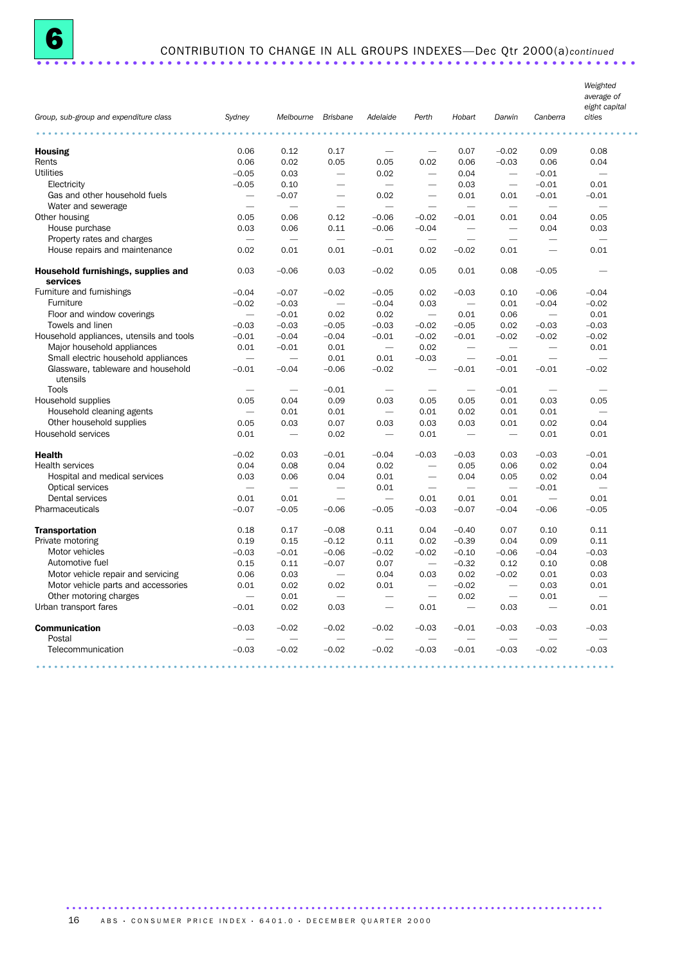| Group, sub-group and expenditure class                        | Sydney                           | Melbourne                | <b>Brisbane</b>          | Adelaide                 | Perth                                                | Hobart                           | Darwin                                               | Canberra                         | Weighted<br>average of<br>eight capital<br>cities |
|---------------------------------------------------------------|----------------------------------|--------------------------|--------------------------|--------------------------|------------------------------------------------------|----------------------------------|------------------------------------------------------|----------------------------------|---------------------------------------------------|
|                                                               |                                  |                          |                          |                          |                                                      |                                  |                                                      |                                  |                                                   |
| <b>Housing</b>                                                | 0.06                             | 0.12                     | 0.17                     |                          | $\overline{\phantom{0}}$                             | 0.07                             | $-0.02$                                              | 0.09                             | 0.08                                              |
| Rents                                                         | 0.06                             | 0.02                     | 0.05                     | 0.05                     | 0.02                                                 | 0.06                             | $-0.03$                                              | 0.06                             | 0.04                                              |
| <b>Utilities</b>                                              | $-0.05$                          | 0.03                     | $\overline{\phantom{0}}$ | 0.02                     | $\overline{\phantom{a}}$                             | 0.04                             | $\sim$                                               | $-0.01$                          | $\overline{\phantom{a}}$                          |
| Electricity                                                   | $-0.05$                          | 0.10                     |                          | $\overline{\phantom{0}}$ | $\overline{\phantom{0}}$                             | 0.03                             |                                                      | $-0.01$                          | 0.01                                              |
| Gas and other household fuels                                 |                                  | $-0.07$                  |                          | 0.02                     |                                                      | 0.01                             | 0.01                                                 | $-0.01$                          | $-0.01$                                           |
| Water and sewerage                                            |                                  | $\overline{\phantom{0}}$ |                          |                          |                                                      | -                                | $\overline{\phantom{0}}$                             |                                  |                                                   |
| Other housing                                                 | 0.05                             | 0.06                     | 0.12                     | $-0.06$                  | $-0.02$                                              | $-0.01$                          | 0.01                                                 | 0.04                             | 0.05                                              |
| House purchase                                                | 0.03                             | 0.06                     | 0.11                     | $-0.06$                  | $-0.04$                                              |                                  | $\overline{\phantom{0}}$                             | 0.04                             | 0.03                                              |
| Property rates and charges                                    | $\overline{\phantom{a}}$         |                          | $\overline{\phantom{0}}$ | $\overline{\phantom{0}}$ | $\overline{\phantom{0}}$                             |                                  | $\overline{\phantom{0}}$                             |                                  | $\overline{\phantom{0}}$                          |
| House repairs and maintenance                                 | 0.02                             | 0.01                     | 0.01                     | $-0.01$                  | 0.02                                                 | $-0.02$                          | 0.01                                                 | $\overline{\phantom{a}}$         | 0.01                                              |
|                                                               |                                  |                          |                          |                          |                                                      |                                  |                                                      |                                  |                                                   |
| Household furnishings, supplies and<br>services               | 0.03                             | $-0.06$                  | 0.03                     | $-0.02$                  | 0.05                                                 | 0.01                             | 0.08                                                 | $-0.05$                          |                                                   |
| Furniture and furnishings                                     | $-0.04$                          | $-0.07$                  | $-0.02$                  | $-0.05$                  | 0.02                                                 | $-0.03$                          | 0.10                                                 | $-0.06$                          | $-0.04$                                           |
| Furniture                                                     | $-0.02$                          | $-0.03$                  | $\overline{\phantom{a}}$ | $-0.04$                  | 0.03                                                 | $\overline{\phantom{0}}$         | 0.01                                                 | $-0.04$                          | $-0.02$                                           |
| Floor and window coverings                                    | $\overline{\phantom{0}}$         | $-0.01$                  | 0.02                     | 0.02                     |                                                      | 0.01                             | 0.06                                                 |                                  | 0.01                                              |
| Towels and linen                                              | $-0.03$                          | $-0.03$                  | $-0.05$                  | $-0.03$                  | $-0.02$                                              | $-0.05$                          | 0.02                                                 | $-0.03$                          | $-0.03$                                           |
| Household appliances, utensils and tools                      | $-0.01$                          | $-0.04$                  | $-0.04$                  | $-0.01$                  | $-0.02$                                              | $-0.01$                          | $-0.02$                                              | $-0.02$                          | $-0.02$                                           |
| Major household appliances                                    | 0.01                             | $-0.01$                  | 0.01                     |                          | 0.02                                                 | $\overline{\phantom{0}}$         | $\overline{\phantom{0}}$                             | $\overline{\phantom{0}}$         | 0.01                                              |
| Small electric household appliances                           | $\overline{\phantom{0}}$         |                          | 0.01                     | 0.01                     | $-0.03$                                              |                                  | $-0.01$                                              |                                  | $\overline{\phantom{0}}$                          |
| Glassware, tableware and household<br>utensils                | $-0.01$                          | $-0.04$                  | $-0.06$                  | $-0.02$                  | $\overline{\phantom{0}}$                             | $-0.01$                          | $-0.01$                                              | $-0.01$                          | $-0.02$                                           |
| Tools                                                         |                                  |                          | $-0.01$                  |                          | $\overline{\phantom{0}}$                             | $\overline{\phantom{0}}$         | $-0.01$                                              |                                  |                                                   |
| Household supplies                                            | 0.05                             | 0.04                     | 0.09                     | 0.03                     | 0.05                                                 | 0.05                             | 0.01                                                 | 0.03                             | 0.05                                              |
| Household cleaning agents                                     |                                  | 0.01                     | 0.01                     |                          | 0.01                                                 | 0.02                             | 0.01                                                 | 0.01                             |                                                   |
| Other household supplies                                      | 0.05                             | 0.03                     | 0.07                     | 0.03                     | 0.03                                                 | 0.03                             | 0.01                                                 | 0.02                             | 0.04                                              |
| Household services                                            | 0.01                             |                          | 0.02                     | $\overline{\phantom{m}}$ | 0.01                                                 |                                  | $\overline{\phantom{a}}$                             | 0.01                             | 0.01                                              |
| <b>Health</b>                                                 | $-0.02$                          | 0.03                     | $-0.01$                  | $-0.04$                  | $-0.03$                                              | $-0.03$                          | 0.03                                                 | $-0.03$                          | $-0.01$                                           |
| Health services                                               | 0.04                             | 0.08                     | 0.04                     | 0.02                     |                                                      | 0.05                             | 0.06                                                 | 0.02                             | 0.04                                              |
| Hospital and medical services                                 | 0.03                             | 0.06                     | 0.04                     | 0.01                     | $\overline{\phantom{0}}$                             | 0.04                             | 0.05                                                 | 0.02                             | 0.04                                              |
| Optical services                                              | $\overline{\phantom{m}}$         |                          | $\overline{\phantom{0}}$ | 0.01                     | $\overline{\phantom{0}}$                             | $\overline{\phantom{0}}$         | $\overline{\phantom{0}}$                             | $-0.01$                          | $\overline{\phantom{0}}$                          |
| Dental services                                               | 0.01                             | 0.01                     |                          |                          | 0.01                                                 | 0.01                             | 0.01                                                 |                                  | 0.01                                              |
| Pharmaceuticals                                               | $-0.07$                          | $-0.05$                  | $-0.06$                  | $-0.05$                  | $-0.03$                                              | $-0.07$                          | $-0.04$                                              | $-0.06$                          | $-0.05$                                           |
|                                                               |                                  |                          |                          |                          |                                                      |                                  |                                                      |                                  |                                                   |
| <b>Transportation</b><br>Private motoring                     | 0.18                             | 0.17                     | $-0.08$                  | 0.11                     | 0.04                                                 | $-0.40$                          | 0.07                                                 | 0.10                             | 0.11                                              |
| Motor vehicles                                                | 0.19<br>$-0.03$                  | 0.15<br>$-0.01$          | $-0.12$                  | 0.11                     | 0.02<br>$-0.02$                                      | $-0.39$                          | 0.04<br>$-0.06$                                      | 0.09<br>$-0.04$                  | 0.11<br>$-0.03$                                   |
|                                                               |                                  |                          | $-0.06$                  | $-0.02$                  | $\overline{\phantom{0}}$                             | $-0.10$                          |                                                      |                                  |                                                   |
| Automotive fuel                                               | 0.15<br>0.06                     | 0.11<br>0.03             | $-0.07$                  | 0.07<br>0.04             | 0.03                                                 | $-0.32$<br>0.02                  | 0.12<br>$-0.02$                                      | 0.10<br>0.01                     | 0.08<br>0.03                                      |
| Motor vehicle repair and servicing                            |                                  |                          |                          |                          |                                                      |                                  |                                                      |                                  |                                                   |
| Motor vehicle parts and accessories<br>Other motoring charges | 0.01<br>$\overline{\phantom{a}}$ | 0.02                     | 0.02                     | 0.01                     | $\overline{\phantom{0}}$<br>$\overline{\phantom{m}}$ | $-0.02$                          | $\overline{\phantom{0}}$<br>$\overline{\phantom{m}}$ | 0.03                             | 0.01                                              |
| Urban transport fares                                         | $-0.01$                          | 0.01<br>0.02             | 0.03                     | $\overline{\phantom{0}}$ | 0.01                                                 | 0.02<br>$\overline{\phantom{m}}$ | 0.03                                                 | 0.01<br>$\overline{\phantom{m}}$ | 0.01                                              |
|                                                               |                                  |                          |                          |                          |                                                      |                                  |                                                      |                                  |                                                   |
| <b>Communication</b>                                          | $-0.03$                          | $-0.02$                  | $-0.02$                  | $-0.02$                  | $-0.03$                                              | $-0.01$                          | $-0.03$                                              | $-0.03$                          | $-0.03$                                           |
| Postal                                                        |                                  |                          |                          |                          |                                                      |                                  |                                                      |                                  |                                                   |
| Telecommunication                                             | $-0.03$                          | $-0.02$                  | $-0.02$                  | $-0.02$                  | $-0.03$                                              | $-0.01$                          | $-0.03$                                              | $-0.02$                          | $-0.03$                                           |
|                                                               |                                  |                          |                          |                          |                                                      |                                  |                                                      |                                  |                                                   |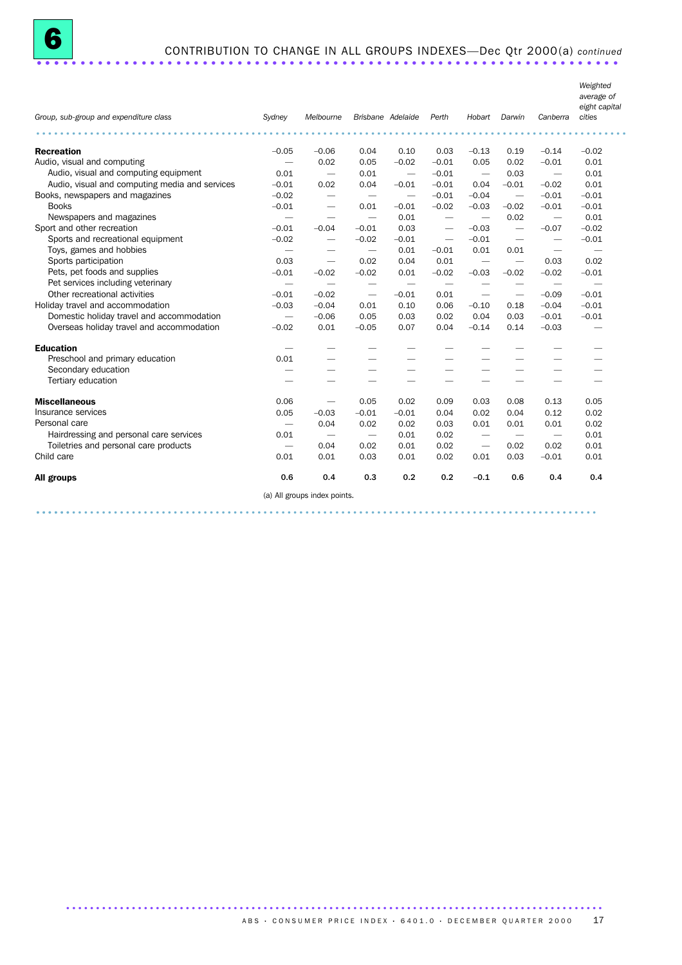| Group, sub-group and expenditure class         | Sydney                        | Melbourne                    |                          | Brisbane Adelaide        | Perth                    | Hobart                          | Darwin                   | Canberra                        | Weighted<br>average of<br>eight capital<br>cities |
|------------------------------------------------|-------------------------------|------------------------------|--------------------------|--------------------------|--------------------------|---------------------------------|--------------------------|---------------------------------|---------------------------------------------------|
| .                                              |                               |                              |                          |                          |                          |                                 |                          |                                 |                                                   |
| <b>Recreation</b>                              | $-0.05$                       | $-0.06$                      | 0.04                     | 0.10                     | 0.03                     | $-0.13$                         | 0.19                     | $-0.14$                         | $-0.02$                                           |
| Audio, visual and computing                    |                               | 0.02                         | 0.05                     | $-0.02$                  | $-0.01$                  | 0.05                            | 0.02                     | $-0.01$                         | 0.01                                              |
| Audio, visual and computing equipment          | 0.01                          | $\overline{\phantom{m}}$     | 0.01                     | $\overline{\phantom{m}}$ | $-0.01$                  | $\overline{\phantom{m}}$        | 0.03                     | $\overline{\phantom{m}}$        | 0.01                                              |
| Audio, visual and computing media and services | $-0.01$                       | 0.02                         | 0.04                     | $-0.01$                  | $-0.01$                  | 0.04                            | $-0.01$                  | $-0.02$                         | 0.01                                              |
| Books, newspapers and magazines                | $-0.02$                       | $\overline{\phantom{0}}$     | $\overline{\phantom{m}}$ | $\overline{\phantom{m}}$ | $-0.01$                  | $-0.04$                         | $\overline{\phantom{0}}$ | $-0.01$                         | $-0.01$                                           |
| <b>Books</b>                                   | $-0.01$                       | $\overline{\phantom{0}}$     | 0.01                     | $-0.01$                  | $-0.02$                  | $-0.03$                         | $-0.02$                  | $-0.01$                         | $-0.01$                                           |
| Newspapers and magazines                       |                               |                              |                          | 0.01                     | $\overline{\phantom{m}}$ |                                 | 0.02                     | $\overbrace{\phantom{1232211}}$ | 0.01                                              |
| Sport and other recreation                     | $-0.01$                       | $-0.04$                      | $-0.01$                  | 0.03                     | $\overline{\phantom{m}}$ | $-0.03$                         | $\overline{\phantom{a}}$ | $-0.07$                         | $-0.02$                                           |
| Sports and recreational equipment              | $-0.02$                       | $\overline{\phantom{0}}$     | $-0.02$                  | $-0.01$                  | $\overline{\phantom{0}}$ | $-0.01$                         | $\overline{\phantom{m}}$ | $\overbrace{\phantom{1232211}}$ | $-0.01$                                           |
| Toys, games and hobbies                        | $\overline{\phantom{m}}$      |                              | $\overline{\phantom{m}}$ | 0.01                     | $-0.01$                  | 0.01                            | 0.01                     | $\hspace{0.1mm}-\hspace{0.1mm}$ | $\overbrace{\phantom{1232211}}$                   |
| Sports participation                           | 0.03                          |                              | 0.02                     | 0.04                     | 0.01                     | $\overbrace{\phantom{1232211}}$ | $\overline{\phantom{m}}$ | 0.03                            | 0.02                                              |
| Pets, pet foods and supplies                   | $-0.01$                       | $-0.02$                      | $-0.02$                  | 0.01                     | $-0.02$                  | $-0.03$                         | $-0.02$                  | $-0.02$                         | $-0.01$                                           |
| Pet services including veterinary              | $\overline{\phantom{m}}$      |                              | $\overline{\phantom{m}}$ | $\overline{\phantom{m}}$ | $\overline{\phantom{m}}$ | $\overline{\phantom{m}}$        | $\overline{\phantom{0}}$ | $\overbrace{\phantom{12332}}$   | $\overline{\phantom{m}}$                          |
| Other recreational activities                  | $-0.01$                       | $-0.02$                      | $\overline{\phantom{m}}$ | $-0.01$                  | 0.01                     | $\overline{\phantom{0}}$        | $\overline{\phantom{m}}$ | $-0.09$                         | $-0.01$                                           |
| Holiday travel and accommodation               | $-0.03$                       | $-0.04$                      | 0.01                     | 0.10                     | 0.06                     | $-0.10$                         | 0.18                     | $-0.04$                         | $-0.01$                                           |
| Domestic holiday travel and accommodation      | $\overline{\phantom{m}}$      | $-0.06$                      | 0.05                     | 0.03                     | 0.02                     | 0.04                            | 0.03                     | $-0.01$                         | $-0.01$                                           |
| Overseas holiday travel and accommodation      | $-0.02$                       | 0.01                         | $-0.05$                  | 0.07                     | 0.04                     | $-0.14$                         | 0.14                     | $-0.03$                         |                                                   |
| <b>Education</b>                               | $\overbrace{\phantom{12333}}$ |                              |                          |                          |                          |                                 |                          |                                 |                                                   |
| Preschool and primary education                | 0.01                          |                              |                          |                          |                          |                                 |                          |                                 |                                                   |
| Secondary education                            | -                             | -                            |                          |                          |                          |                                 |                          |                                 |                                                   |
| Tertiary education                             |                               | -                            |                          |                          |                          |                                 |                          |                                 |                                                   |
| <b>Miscellaneous</b>                           | 0.06                          | $\overline{\phantom{0}}$     | 0.05                     | 0.02                     | 0.09                     | 0.03                            | 0.08                     | 0.13                            | 0.05                                              |
| Insurance services                             | 0.05                          | $-0.03$                      | $-0.01$                  | $-0.01$                  | 0.04                     | 0.02                            | 0.04                     | 0.12                            | 0.02                                              |
| Personal care                                  |                               | 0.04                         | 0.02                     | 0.02                     | 0.03                     | 0.01                            | 0.01                     | 0.01                            | 0.02                                              |
| Hairdressing and personal care services        | 0.01                          |                              |                          | 0.01                     | 0.02                     |                                 |                          |                                 | 0.01                                              |
| Toiletries and personal care products          |                               | 0.04                         | 0.02                     | 0.01                     | 0.02                     |                                 | 0.02                     | 0.02                            | 0.01                                              |
| Child care                                     | 0.01                          | 0.01                         | 0.03                     | 0.01                     | 0.02                     | 0.01                            | 0.03                     | $-0.01$                         | 0.01                                              |
| All groups                                     | 0.6                           | 0.4                          | 0.3                      | 0.2                      | 0.2                      | $-0.1$                          | 0.6                      | 0.4                             | 0.4                                               |
|                                                |                               | (a) All groups index points. |                          |                          |                          |                                 |                          |                                 |                                                   |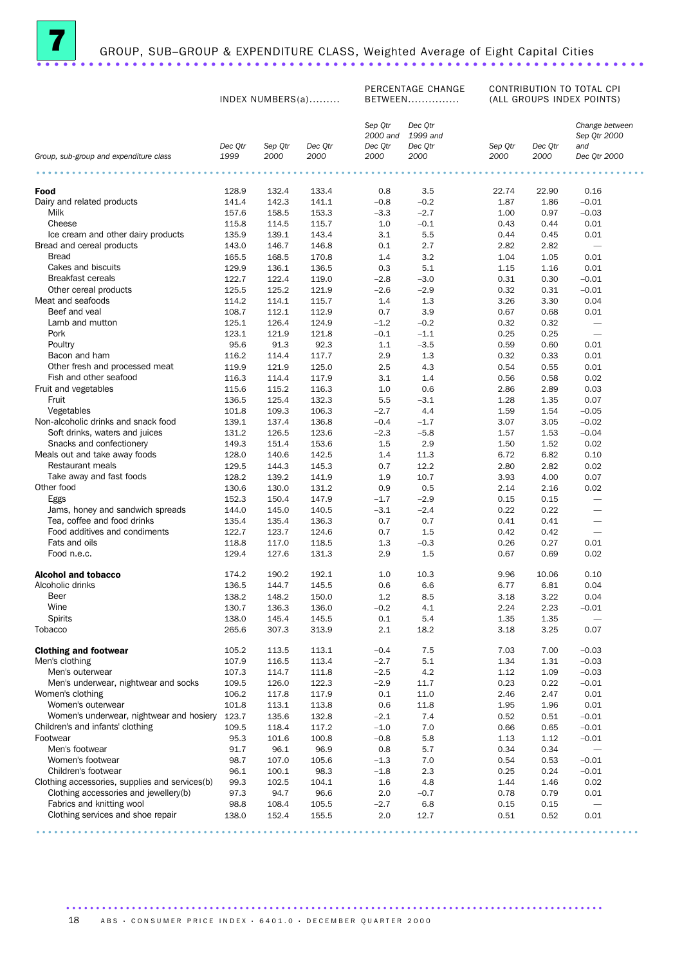

# GROUP, SUB–GROUP & EXPENDITURE CLASS, Weighted Average of Eight Capital Cities ......................................................................

PERCENTAGE CHANGE CONTRIBUTION TO TOTAL CPI

|                                                                    | INDEX NUMBERS(a) |                |                |                                | FLACLIVIAUL CHANGL<br>BETWEEN  | CONTRIBUTION TO TUTAL UFT<br>(ALL GROUPS INDEX POINTS) |              |                                       |
|--------------------------------------------------------------------|------------------|----------------|----------------|--------------------------------|--------------------------------|--------------------------------------------------------|--------------|---------------------------------------|
|                                                                    | Dec Qtr          | Sep Qtr        | Dec Qtr        | Sep Qtr<br>2000 and<br>Dec Qtr | Dec Qtr<br>1999 and<br>Dec Qtr | Sep Qtr                                                | Dec Qtr      | Change between<br>Sep Qtr 2000<br>and |
| Group, sub-group and expenditure class                             | 1999             | 2000           | 2000           | 2000                           | 2000                           | 2000                                                   | 2000         | Dec Qtr 2000                          |
|                                                                    |                  |                |                |                                |                                |                                                        |              |                                       |
| Food                                                               | 128.9            | 132.4          | 133.4          | 0.8                            | 3.5                            | 22.74                                                  | 22.90        | 0.16                                  |
| Dairy and related products                                         | 141.4            | 142.3          | 141.1          | $-0.8$                         | $-0.2$                         | 1.87                                                   | 1.86         | $-0.01$                               |
| Milk                                                               | 157.6            | 158.5          | 153.3          | $-3.3$                         | $-2.7$                         | 1.00                                                   | 0.97         | $-0.03$                               |
| Cheese<br>Ice cream and other dairy products                       | 115.8<br>135.9   | 114.5<br>139.1 | 115.7<br>143.4 | 1.0<br>3.1                     | $-0.1$<br>5.5                  | 0.43<br>0.44                                           | 0.44<br>0.45 | 0.01<br>0.01                          |
| Bread and cereal products                                          | 143.0            | 146.7          | 146.8          | 0.1                            | 2.7                            | 2.82                                                   | 2.82         | $\overline{\phantom{a}}$              |
| <b>Bread</b>                                                       | 165.5            | 168.5          | 170.8          | 1.4                            | 3.2                            | 1.04                                                   | 1.05         | 0.01                                  |
| Cakes and biscuits                                                 | 129.9            | 136.1          | 136.5          | 0.3                            | 5.1                            | 1.15                                                   | 1.16         | 0.01                                  |
| <b>Breakfast cereals</b>                                           | 122.7            | 122.4          | 119.0          | $-2.8$                         | $-3.0$                         | 0.31                                                   | 0.30         | $-0.01$                               |
| Other cereal products                                              | 125.5            | 125.2          | 121.9          | $-2.6$                         | $-2.9$                         | 0.32                                                   | 0.31         | $-0.01$                               |
| Meat and seafoods                                                  | 114.2            | 114.1          | 115.7          | 1.4                            | 1.3                            | 3.26                                                   | 3.30         | 0.04                                  |
| Beef and veal                                                      | 108.7            | 112.1          | 112.9          | 0.7                            | 3.9                            | 0.67                                                   | 0.68         | 0.01                                  |
| Lamb and mutton                                                    | 125.1            | 126.4          | 124.9          | $-1.2$                         | $-0.2$                         | 0.32                                                   | 0.32         | $\overline{\phantom{0}}$              |
| Pork                                                               | 123.1            | 121.9          | 121.8          | $-0.1$                         | $-1.1$                         | 0.25                                                   | 0.25         | $\overline{\phantom{m}}$              |
| Poultry                                                            | 95.6             | 91.3           | 92.3           | 1.1                            | $-3.5$                         | 0.59                                                   | 0.60         | 0.01                                  |
| Bacon and ham                                                      | 116.2            | 114.4          | 117.7          | 2.9                            | 1.3                            | 0.32                                                   | 0.33         | 0.01                                  |
| Other fresh and processed meat                                     | 119.9            | 121.9          | 125.0          | 2.5                            | 4.3                            | 0.54                                                   | 0.55         | 0.01                                  |
| Fish and other seafood<br>Fruit and vegetables                     | 116.3<br>115.6   | 114.4<br>115.2 | 117.9<br>116.3 | 3.1<br>1.0                     | 1.4<br>0.6                     | 0.56<br>2.86                                           | 0.58<br>2.89 | 0.02<br>0.03                          |
| Fruit                                                              | 136.5            | 125.4          | 132.3          | 5.5                            | $-3.1$                         | 1.28                                                   | 1.35         | 0.07                                  |
| Vegetables                                                         | 101.8            | 109.3          | 106.3          | $-2.7$                         | 4.4                            | 1.59                                                   | 1.54         | $-0.05$                               |
| Non-alcoholic drinks and snack food                                | 139.1            | 137.4          | 136.8          | $-0.4$                         | $-1.7$                         | 3.07                                                   | 3.05         | $-0.02$                               |
| Soft drinks, waters and juices                                     | 131.2            | 126.5          | 123.6          | $-2.3$                         | $-5.8$                         | 1.57                                                   | 1.53         | $-0.04$                               |
| Snacks and confectionery                                           | 149.3            | 151.4          | 153.6          | $1.5\,$                        | 2.9                            | 1.50                                                   | 1.52         | 0.02                                  |
| Meals out and take away foods                                      | 128.0            | 140.6          | 142.5          | 1.4                            | 11.3                           | 6.72                                                   | 6.82         | 0.10                                  |
| Restaurant meals                                                   | 129.5            | 144.3          | 145.3          | 0.7                            | 12.2                           | 2.80                                                   | 2.82         | 0.02                                  |
| Take away and fast foods                                           | 128.2            | 139.2          | 141.9          | 1.9                            | 10.7                           | 3.93                                                   | 4.00         | 0.07                                  |
| Other food                                                         | 130.6            | 130.0          | 131.2          | 0.9                            | 0.5                            | 2.14                                                   | 2.16         | 0.02                                  |
| Eggs                                                               | 152.3            | 150.4          | 147.9          | $-1.7$                         | $-2.9$                         | 0.15                                                   | 0.15         | $\overline{\phantom{0}}$              |
| Jams, honey and sandwich spreads                                   | 144.0            | 145.0          | 140.5          | $-3.1$                         | $-2.4$                         | 0.22                                                   | 0.22         |                                       |
| Tea, coffee and food drinks                                        | 135.4            | 135.4          | 136.3          | 0.7                            | 0.7                            | 0.41                                                   | 0.41         | $\overline{\phantom{m}}$              |
| Food additives and condiments                                      | 122.7            | 123.7          | 124.6          | 0.7                            | 1.5                            | 0.42                                                   | 0.42         | $\overline{\phantom{m}}$              |
| Fats and oils<br>Food n.e.c.                                       | 118.8            | 117.0          | 118.5          | 1.3                            | $-0.3$                         | 0.26                                                   | 0.27         | 0.01                                  |
|                                                                    | 129.4            | 127.6          | 131.3          | 2.9                            | 1.5                            | 0.67                                                   | 0.69         | 0.02                                  |
| <b>Alcohol and tobacco</b>                                         | 174.2            | 190.2          | 192.1          | 1.0                            | 10.3                           | 9.96                                                   | 10.06        | 0.10                                  |
| Alcoholic drinks                                                   | 136.5            | 144.7          | 145.5          | 0.6                            | 6.6                            | 6.77                                                   | 6.81         | 0.04                                  |
| Beer                                                               | 138.2            | 148.2          | 150.0          | 1.2                            | 8.5                            | 3.18                                                   | 3.22         | 0.04                                  |
| Wine<br><b>Spirits</b>                                             | 130.7<br>138.0   | 136.3<br>145.4 | 136.0<br>145.5 | $-0.2$<br>0.1                  | 4.1<br>5.4                     | 2.24<br>1.35                                           | 2.23<br>1.35 | $-0.01$                               |
| Tobacco                                                            | 265.6            | 307.3          | 313.9          | 2.1                            | 18.2                           | 3.18                                                   | 3.25         | -<br>0.07                             |
| <b>Clothing and footwear</b>                                       | 105.2            | 113.5          | 113.1          | $-0.4$                         | 7.5                            | 7.03                                                   | 7.00         | $-0.03$                               |
| Men's clothing                                                     | 107.9            | 116.5          | 113.4          | $-2.7$                         | 5.1                            | 1.34                                                   | 1.31         | $-0.03$                               |
| Men's outerwear                                                    | 107.3            | 114.7          | 111.8          | $-2.5$                         | 4.2                            | 1.12                                                   | 1.09         | $-0.03$                               |
| Men's underwear, nightwear and socks                               | 109.5            | 126.0          | 122.3          | $-2.9$                         | 11.7                           | 0.23                                                   | 0.22         | $-0.01$                               |
| Women's clothing                                                   | 106.2            | 117.8          | 117.9          | 0.1                            | 11.0                           | 2.46                                                   | 2.47         | 0.01                                  |
| Women's outerwear                                                  | 101.8            | 113.1          | 113.8          | 0.6                            | 11.8                           | 1.95                                                   | 1.96         | 0.01                                  |
| Women's underwear, nightwear and hosiery                           | 123.7            | 135.6          | 132.8          | $-2.1$                         | 7.4                            | 0.52                                                   | 0.51         | $-0.01$                               |
| Children's and infants' clothing                                   | 109.5            | 118.4          | 117.2          | $-1.0$                         | 7.0                            | 0.66                                                   | 0.65         | $-0.01$                               |
| Footwear                                                           | 95.3             | 101.6          | 100.8          | $-0.8$                         | 5.8                            | 1.13                                                   | 1.12         | $-0.01$                               |
| Men's footwear                                                     | 91.7             | 96.1           | 96.9           | 0.8                            | 5.7                            | 0.34                                                   | 0.34         |                                       |
| Women's footwear                                                   | 98.7             | 107.0          | 105.6          | $-1.3$                         | 7.0                            | 0.54                                                   | 0.53         | $-0.01$                               |
| Children's footwear                                                | 96.1             | 100.1          | 98.3           | $-1.8$                         | 2.3                            | 0.25                                                   | 0.24         | $-0.01$                               |
| Clothing accessories, supplies and services(b)                     | 99.3             | 102.5          | 104.1          | 1.6                            | 4.8                            | 1.44                                                   | 1.46         | 0.02                                  |
| Clothing accessories and jewellery(b)<br>Fabrics and knitting wool | 97.3<br>98.8     | 94.7<br>108.4  | 96.6<br>105.5  | 2.0<br>$-2.7$                  | $-0.7$<br>6.8                  | 0.78<br>0.15                                           | 0.79<br>0.15 | 0.01                                  |
| Clothing services and shoe repair                                  | 138.0            | 152.4          | 155.5          | 2.0                            | 12.7                           | 0.51                                                   | 0.52         | 0.01                                  |
|                                                                    |                  |                |                |                                |                                |                                                        |              |                                       |

.....................................................................................................

..........................................................................................

18 ABS · CONSUMER PRICE INDEX · 6401.0 · DECEMBER QUARTER 2000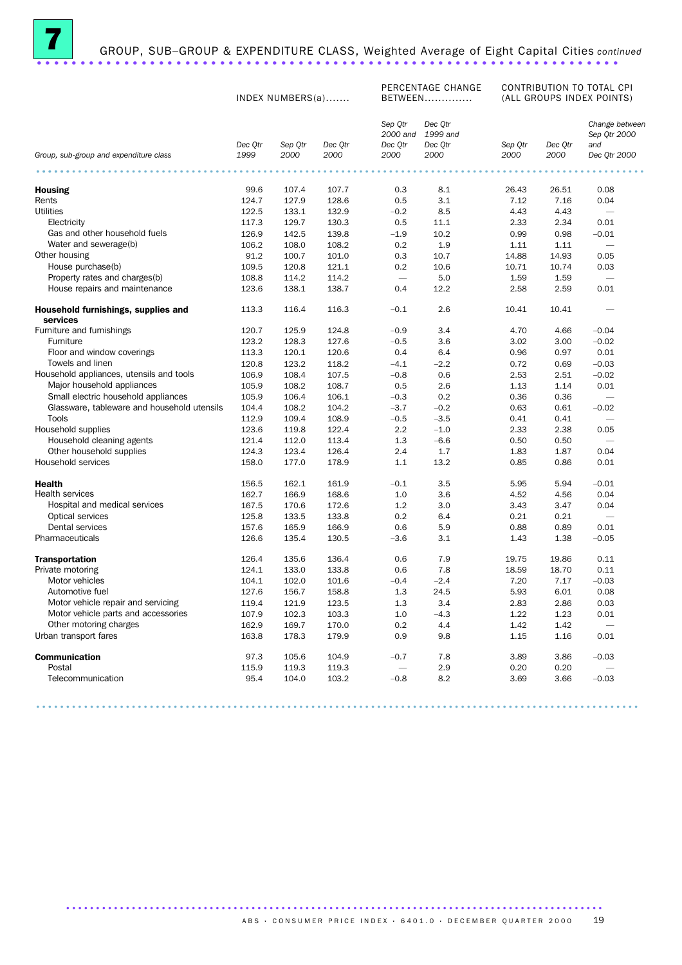

# GROUP, SUB–GROUP & EXPENDITURE CLASS, Weighted Average of Eight Capital Cities continued GROUP, SUB-GROUP & EXPENDITURE CLASS, Weighted Average of Eight Capital Cities continuously

PERCENTAGE CHANGE CONTRIBUTION TO TOTAL CPI

|                                                 |                 | INDEX NUMBERS(a) |                 |                                        | BETWEEN                                |                 |                 | (ALL GROUPS INDEX POINTS)                             |
|-------------------------------------------------|-----------------|------------------|-----------------|----------------------------------------|----------------------------------------|-----------------|-----------------|-------------------------------------------------------|
| Group, sub-group and expenditure class          | Dec Qtr<br>1999 | Sep Qtr<br>2000  | Dec Qtr<br>2000 | Sep Qtr<br>2000 and<br>Dec Qtr<br>2000 | Dec Qtr<br>1999 and<br>Dec Qtr<br>2000 | Sep Qtr<br>2000 | Dec Qtr<br>2000 | Change between<br>Sep Qtr 2000<br>and<br>Dec Qtr 2000 |
|                                                 |                 |                  |                 |                                        |                                        |                 |                 |                                                       |
| <b>Housing</b>                                  | 99.6            | 107.4            | 107.7           | 0.3                                    | 8.1                                    | 26.43           | 26.51           | 0.08                                                  |
| Rents                                           | 124.7           | 127.9            | 128.6           | 0.5                                    | 3.1                                    | 7.12            | 7.16            | 0.04                                                  |
| <b>Utilities</b>                                | 122.5           | 133.1            | 132.9           | $-0.2$                                 | 8.5                                    | 4.43            | 4.43            |                                                       |
| Electricity                                     | 117.3           | 129.7            | 130.3           | 0.5                                    | 11.1                                   | 2.33            | 2.34            | 0.01                                                  |
| Gas and other household fuels                   | 126.9           | 142.5            | 139.8           | $-1.9$                                 | 10.2                                   | 0.99            | 0.98            | $-0.01$                                               |
| Water and sewerage(b)                           | 106.2           | 108.0            | 108.2           | 0.2                                    | 1.9                                    | 1.11            | 1.11            |                                                       |
| Other housing                                   | 91.2            | 100.7            | 101.0           | 0.3                                    | 10.7                                   | 14.88           | 14.93           | 0.05                                                  |
| House purchase(b)                               | 109.5           | 120.8            | 121.1           | 0.2                                    | 10.6                                   | 10.71           | 10.74           | 0.03                                                  |
| Property rates and charges(b)                   | 108.8           | 114.2            | 114.2           |                                        | 5.0                                    | 1.59            | 1.59            | $\overline{\phantom{0}}$                              |
| House repairs and maintenance                   | 123.6           | 138.1            | 138.7           | 0.4                                    | 12.2                                   | 2.58            | 2.59            | 0.01                                                  |
| Household furnishings, supplies and<br>services | 113.3           | 116.4            | 116.3           | $-0.1$                                 | 2.6                                    | 10.41           | 10.41           |                                                       |
| Furniture and furnishings                       | 120.7           | 125.9            | 124.8           | $-0.9$                                 | 3.4                                    | 4.70            | 4.66            | $-0.04$                                               |
| Furniture                                       | 123.2           | 128.3            | 127.6           | $-0.5$                                 | 3.6                                    | 3.02            | 3.00            | $-0.02$                                               |
| Floor and window coverings                      | 113.3           | 120.1            | 120.6           | 0.4                                    | 6.4                                    | 0.96            | 0.97            | 0.01                                                  |
| Towels and linen                                | 120.8           | 123.2            | 118.2           | $-4.1$                                 | $-2.2$                                 | 0.72            | 0.69            | $-0.03$                                               |
| Household appliances, utensils and tools        | 106.9           | 108.4            | 107.5           | $-0.8$                                 | 0.6                                    | 2.53            | 2.51            | $-0.02$                                               |
| Major household appliances                      | 105.9           | 108.2            | 108.7           | 0.5                                    | 2.6                                    | 1.13            | 1.14            | 0.01                                                  |
| Small electric household appliances             | 105.9           | 106.4            | 106.1           | $-0.3$                                 | 0.2                                    | 0.36            | 0.36            |                                                       |
| Glassware, tableware and household utensils     | 104.4           | 108.2            | 104.2           | $-3.7$                                 | $-0.2$                                 | 0.63            | 0.61            | $-0.02$                                               |
| Tools                                           | 112.9           | 109.4            | 108.9           | $-0.5$                                 | $-3.5$                                 | 0.41            | 0.41            | ÷                                                     |
| Household supplies                              | 123.6           | 119.8            | 122.4           | 2.2                                    | $-1.0$                                 | 2.33            | 2.38            | 0.05                                                  |
| Household cleaning agents                       | 121.4           | 112.0            | 113.4           | 1.3                                    | $-6.6$                                 | 0.50            | 0.50            |                                                       |
| Other household supplies                        | 124.3           | 123.4            | 126.4           | 2.4                                    | 1.7                                    | 1.83            | 1.87            | 0.04                                                  |
| Household services                              | 158.0           | 177.0            | 178.9           | 1.1                                    | 13.2                                   | 0.85            | 0.86            | 0.01                                                  |
| <b>Health</b>                                   | 156.5           | 162.1            | 161.9           | $-0.1$                                 | 3.5                                    | 5.95            | 5.94            | $-0.01$                                               |
| <b>Health services</b>                          | 162.7           | 166.9            | 168.6           | 1.0                                    | 3.6                                    | 4.52            | 4.56            | 0.04                                                  |
| Hospital and medical services                   | 167.5           | 170.6            | 172.6           | 1.2                                    | 3.0                                    | 3.43            | 3.47            | 0.04                                                  |
| Optical services                                | 125.8           | 133.5            | 133.8           | 0.2                                    | 6.4                                    | 0.21            | 0.21            | -                                                     |
| Dental services                                 | 157.6           | 165.9            | 166.9           | 0.6                                    | 5.9                                    | 0.88            | 0.89            | 0.01                                                  |
| Pharmaceuticals                                 | 126.6           | 135.4            | 130.5           | $-3.6$                                 | 3.1                                    | 1.43            | 1.38            | $-0.05$                                               |
| <b>Transportation</b>                           | 126.4           | 135.6            | 136.4           | 0.6                                    | 7.9                                    | 19.75           | 19.86           | 0.11                                                  |
| Private motoring                                | 124.1           | 133.0            | 133.8           | 0.6                                    | 7.8                                    | 18.59           | 18.70           | 0.11                                                  |
| Motor vehicles                                  | 104.1           | 102.0            | 101.6           | $-0.4$                                 | $-2.4$                                 | 7.20            | 7.17            | $-0.03$                                               |
| Automotive fuel                                 | 127.6           | 156.7            | 158.8           | 1.3                                    | 24.5                                   | 5.93            | 6.01            | 0.08                                                  |
| Motor vehicle repair and servicing              | 119.4           | 121.9            | 123.5           | 1.3                                    | 3.4                                    | 2.83            | 2.86            | 0.03                                                  |
| Motor vehicle parts and accessories             | 107.9           | 102.3            | 103.3           | 1.0                                    | $-4.3$                                 | 1.22            | 1.23            | 0.01                                                  |
| Other motoring charges                          | 162.9           | 169.7            | 170.0           | 0.2                                    | 4.4                                    | 1.42            | 1.42            | $\overline{\phantom{a}}$                              |
| Urban transport fares                           | 163.8           | 178.3            | 179.9           | 0.9                                    | 9.8                                    | 1.15            | 1.16            | 0.01                                                  |
| <b>Communication</b>                            | 97.3            | 105.6            | 104.9           | $-0.7$                                 | 7.8                                    | 3.89            | 3.86            | $-0.03$                                               |
| Postal                                          | 115.9           | 119.3            | 119.3           | -                                      | 2.9                                    | 0.20            | 0.20            |                                                       |
| Telecommunication                               | 95.4            | 104.0            | 103.2           | $-0.8$                                 | 8.2                                    | 3.69            | 3.66            | $-0.03$                                               |

.....................................................................................................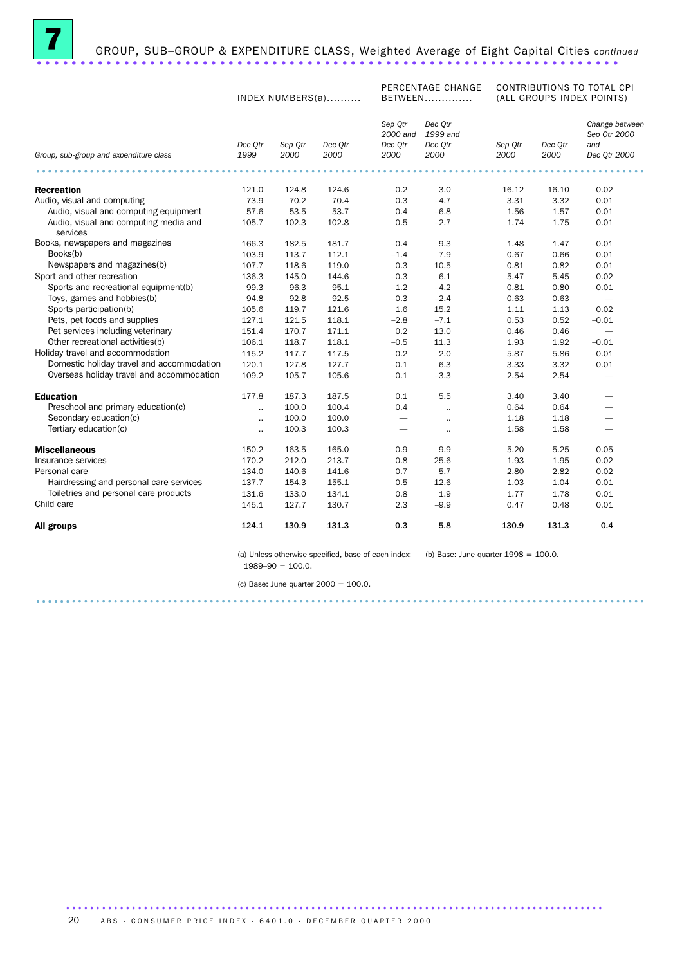

# GROUP, SUB–GROUP & EXPENDITURE CLASS, Weighted Average of Eight Capital Cities *continued* ...................................................................

INDEX NUMBERS(a)..........

PERCENTAGE CHANGE BETWEEN..............

CONTRIBUTIONS TO TOTAL CPI (ALL GROUPS INDEX POINTS)

|                                                   | Dec Otr   | Sep Otr | Dec Otr | Sep Otr<br>2000 and<br>Dec Otr | Dec Otr<br>1999 and<br>Dec Otr | Sep Otr | Dec Otr | Change between<br>Sep Qtr 2000<br>and |
|---------------------------------------------------|-----------|---------|---------|--------------------------------|--------------------------------|---------|---------|---------------------------------------|
| Group, sub-group and expenditure class            | 1999      | 2000    | 2000    | 2000                           | 2000                           | 2000    | 2000    | Dec Qtr 2000                          |
|                                                   |           |         |         |                                |                                |         |         |                                       |
| <b>Recreation</b>                                 | 121.0     | 124.8   | 124.6   | $-0.2$                         | 3.0                            | 16.12   | 16.10   | $-0.02$                               |
| Audio, visual and computing                       | 73.9      | 70.2    | 70.4    | 0.3                            | $-4.7$                         | 3.31    | 3.32    | 0.01                                  |
| Audio, visual and computing equipment             | 57.6      | 53.5    | 53.7    | 0.4                            | $-6.8$                         | 1.56    | 1.57    | 0.01                                  |
| Audio, visual and computing media and<br>services | 105.7     | 102.3   | 102.8   | 0.5                            | $-2.7$                         | 1.74    | 1.75    | 0.01                                  |
| Books, newspapers and magazines                   | 166.3     | 182.5   | 181.7   | $-0.4$                         | 9.3                            | 1.48    | 1.47    | $-0.01$                               |
| Books(b)                                          | 103.9     | 113.7   | 112.1   | $-1.4$                         | 7.9                            | 0.67    | 0.66    | $-0.01$                               |
| Newspapers and magazines(b)                       | 107.7     | 118.6   | 119.0   | 0.3                            | 10.5                           | 0.81    | 0.82    | 0.01                                  |
| Sport and other recreation                        | 136.3     | 145.0   | 144.6   | $-0.3$                         | 6.1                            | 5.47    | 5.45    | $-0.02$                               |
| Sports and recreational equipment(b)              | 99.3      | 96.3    | 95.1    | $-1.2$                         | $-4.2$                         | 0.81    | 0.80    | $-0.01$                               |
| Toys, games and hobbies(b)                        | 94.8      | 92.8    | 92.5    | $-0.3$                         | $-2.4$                         | 0.63    | 0.63    | $\overline{\phantom{0}}$              |
| Sports participation(b)                           | 105.6     | 119.7   | 121.6   | 1.6                            | 15.2                           | 1.11    | 1.13    | 0.02                                  |
| Pets, pet foods and supplies                      | 127.1     | 121.5   | 118.1   | $-2.8$                         | $-7.1$                         | 0.53    | 0.52    | $-0.01$                               |
| Pet services including veterinary                 | 151.4     | 170.7   | 171.1   | 0.2                            | 13.0                           | 0.46    | 0.46    |                                       |
| Other recreational activities(b)                  | 106.1     | 118.7   | 118.1   | $-0.5$                         | 11.3                           | 1.93    | 1.92    | $-0.01$                               |
| Holiday travel and accommodation                  | 115.2     | 117.7   | 117.5   | $-0.2$                         | 2.0                            | 5.87    | 5.86    | $-0.01$                               |
| Domestic holiday travel and accommodation         | 120.1     | 127.8   | 127.7   | $-0.1$                         | 6.3                            | 3.33    | 3.32    | $-0.01$                               |
| Overseas holiday travel and accommodation         | 109.2     | 105.7   | 105.6   | $-0.1$                         | $-3.3$                         | 2.54    | 2.54    |                                       |
| <b>Education</b>                                  | 177.8     | 187.3   | 187.5   | 0.1                            | 5.5                            | 3.40    | 3.40    |                                       |
| Preschool and primary education(c)                | $\ddotsc$ | 100.0   | 100.4   | 0.4                            | $\ddot{\phantom{a}}$           | 0.64    | 0.64    |                                       |
| Secondary education(c)                            | $\ddotsc$ | 100.0   | 100.0   | $\overline{\phantom{0}}$       | $\ddotsc$                      | 1.18    | 1.18    |                                       |
| Tertiary education(c)                             | $\ddotsc$ | 100.3   | 100.3   |                                | $\ddot{\phantom{a}}$           | 1.58    | 1.58    |                                       |
| <b>Miscellaneous</b>                              | 150.2     | 163.5   | 165.0   | 0.9                            | 9.9                            | 5.20    | 5.25    | 0.05                                  |
| Insurance services                                | 170.2     | 212.0   | 213.7   | 0.8                            | 25.6                           | 1.93    | 1.95    | 0.02                                  |
| Personal care                                     | 134.0     | 140.6   | 141.6   | 0.7                            | 5.7                            | 2.80    | 2.82    | 0.02                                  |
| Hairdressing and personal care services           | 137.7     | 154.3   | 155.1   | 0.5                            | 12.6                           | 1.03    | 1.04    | 0.01                                  |
| Toiletries and personal care products             | 131.6     | 133.0   | 134.1   | 0.8                            | 1.9                            | 1.77    | 1.78    | 0.01                                  |
| Child care                                        | 145.1     | 127.7   | 130.7   | 2.3                            | $-9.9$                         | 0.47    | 0.48    | 0.01                                  |
| All groups                                        | 124.1     | 130.9   | 131.3   | 0.3                            | 5.8                            | 130.9   | 131.3   | 0.4                                   |

(a) Unless otherwise specified, base of each index: (b) Base: June quarter  $1998 = 100.0$ .  $1989-90 = 100.0$ .

(c) Base: June quarter 2000 = 100.0.

...................................................................................................... ......

..........................................................................................

20 ABS · CONSUMER PRICE INDEX · 6401.0 · DECEMBER QUARTER 2000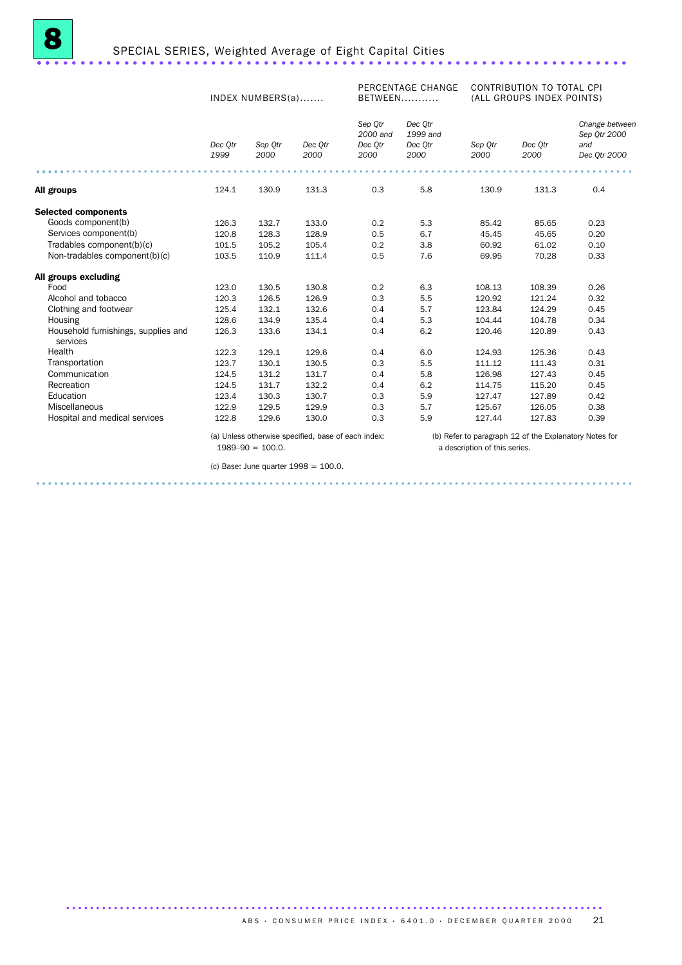|                                                 |                 | INDEX NUMBERS(a) |                                                     | PERCENTAGE CHANGE<br>BETWEEN           |                                        | CONTRIBUTION TO TOTAL CPI<br>(ALL GROUPS INDEX POINTS) |                                                        |                                                       |  |
|-------------------------------------------------|-----------------|------------------|-----------------------------------------------------|----------------------------------------|----------------------------------------|--------------------------------------------------------|--------------------------------------------------------|-------------------------------------------------------|--|
|                                                 | Dec Otr<br>1999 | Sep Otr<br>2000  | Dec Otr<br>2000                                     | Sep Otr<br>2000 and<br>Dec Otr<br>2000 | Dec Otr<br>1999 and<br>Dec Otr<br>2000 | Sep Otr<br>2000                                        | Dec Otr<br>2000                                        | Change between<br>Sep Otr 2000<br>and<br>Dec Qtr 2000 |  |
| All groups                                      | 124.1           | 130.9            | 131.3                                               | 0.3                                    | 5.8                                    | 130.9                                                  | 131.3                                                  | 0.4                                                   |  |
|                                                 |                 |                  |                                                     |                                        |                                        |                                                        |                                                        |                                                       |  |
| <b>Selected components</b>                      |                 |                  |                                                     |                                        |                                        |                                                        |                                                        |                                                       |  |
| Goods component(b)                              | 126.3           | 132.7            | 133.0                                               | 0.2                                    | 5.3                                    | 85.42                                                  | 85.65                                                  | 0.23                                                  |  |
| Services component(b)                           | 120.8           | 128.3            | 128.9                                               | 0.5                                    | 6.7                                    | 45.45                                                  | 45.65                                                  | 0.20                                                  |  |
| Tradables component(b)(c)                       | 101.5           | 105.2            | 105.4                                               | 0.2                                    | 3.8                                    | 60.92                                                  | 61.02                                                  | 0.10                                                  |  |
| Non-tradables component(b)(c)                   | 103.5           | 110.9            | 111.4                                               | 0.5                                    | 7.6                                    | 69.95                                                  | 70.28                                                  | 0.33                                                  |  |
| All groups excluding                            |                 |                  |                                                     |                                        |                                        |                                                        |                                                        |                                                       |  |
| Food                                            | 123.0           | 130.5            | 130.8                                               | 0.2                                    | 6.3                                    | 108.13                                                 | 108.39                                                 | 0.26                                                  |  |
| Alcohol and tobacco                             | 120.3           | 126.5            | 126.9                                               | 0.3                                    | 5.5                                    | 120.92                                                 | 121.24                                                 | 0.32                                                  |  |
| Clothing and footwear                           | 125.4           | 132.1            | 132.6                                               | 0.4                                    | 5.7                                    | 123.84                                                 | 124.29                                                 | 0.45                                                  |  |
| Housing                                         | 128.6           | 134.9            | 135.4                                               | 0.4                                    | 5.3                                    | 104.44                                                 | 104.78                                                 | 0.34                                                  |  |
| Household furnishings, supplies and<br>services | 126.3           | 133.6            | 134.1                                               | 0.4                                    | 6.2                                    | 120.46                                                 | 120.89                                                 | 0.43                                                  |  |
| Health                                          | 122.3           | 129.1            | 129.6                                               | 0.4                                    | 6.0                                    | 124.93                                                 | 125.36                                                 | 0.43                                                  |  |
| Transportation                                  | 123.7           | 130.1            | 130.5                                               | 0.3                                    | 5.5                                    | 111.12                                                 | 111.43                                                 | 0.31                                                  |  |
| Communication                                   | 124.5           | 131.2            | 131.7                                               | 0.4                                    | 5.8                                    | 126.98                                                 | 127.43                                                 | 0.45                                                  |  |
| Recreation                                      | 124.5           | 131.7            | 132.2                                               | 0.4                                    | 6.2                                    | 114.75                                                 | 115.20                                                 | 0.45                                                  |  |
| Education                                       | 123.4           | 130.3            | 130.7                                               | 0.3                                    | 5.9                                    | 127.47                                                 | 127.89                                                 | 0.42                                                  |  |
| Miscellaneous                                   | 122.9           | 129.5            | 129.9                                               | 0.3                                    | 5.7                                    | 125.67                                                 | 126.05                                                 | 0.38                                                  |  |
| Hospital and medical services                   | 122.8           | 129.6            | 130.0                                               | 0.3                                    | 5.9                                    | 127.44                                                 | 127.83                                                 | 0.39                                                  |  |
|                                                 |                 |                  | (a) Unless otherwise specified, base of each index: |                                        |                                        |                                                        | (b) Refer to paragraph 12 of the Explanatory Notes for |                                                       |  |

.................................................................................................... ......................................

..........................................................................................

 $1989-90 = 100.0$ .

a description of this series.

(c) Base: June quarter 1998 = 100.0.

ABS • CONSUMER PRICE INDEX • 6401.0 • DECEMBER QUARTER 2000 21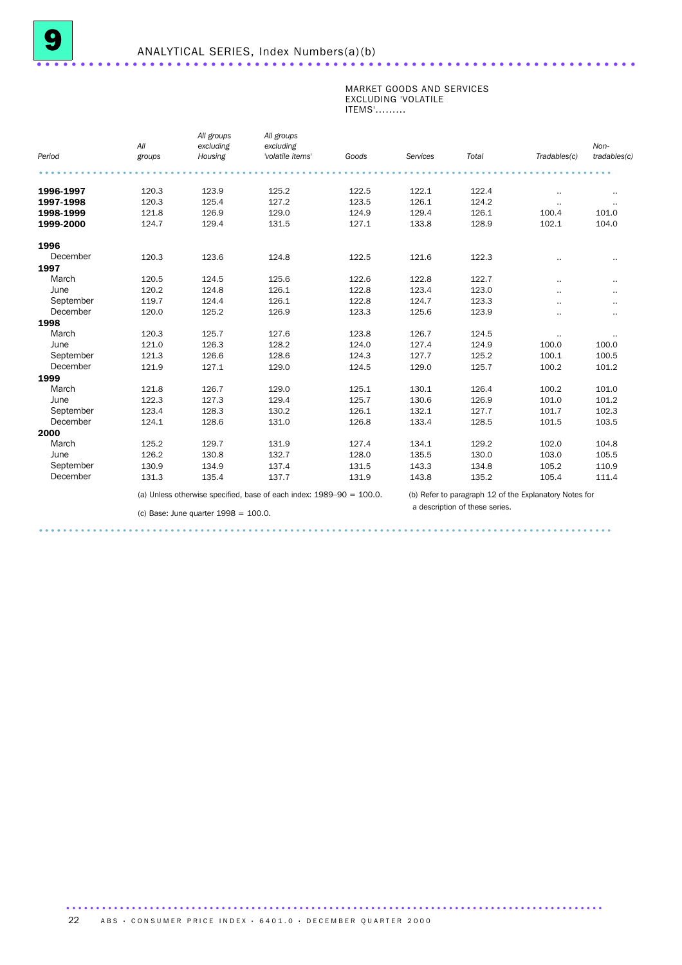#### MARKET GOODS AND SERVICES EXCLUDING 'VOLATILE ITEMS'.........

| Period    | All<br>groups | All groups<br>excluding<br>Housing | All groups<br>excluding<br>'volatile items'                             | Goods | Services | Total | Tradables(c)                                           | Non-<br>tradables(c) |
|-----------|---------------|------------------------------------|-------------------------------------------------------------------------|-------|----------|-------|--------------------------------------------------------|----------------------|
|           |               |                                    |                                                                         |       |          |       |                                                        |                      |
| 1996-1997 | 120.3         | 123.9                              | 125.2                                                                   | 122.5 | 122.1    | 122.4 | $\cdot$ .                                              | $\cdot$ .            |
| 1997-1998 | 120.3         | 125.4                              | 127.2                                                                   | 123.5 | 126.1    | 124.2 | $\ddotsc$                                              | $\cdot$ .            |
| 1998-1999 | 121.8         | 126.9                              | 129.0                                                                   | 124.9 | 129.4    | 126.1 | 100.4                                                  | 101.0                |
| 1999-2000 | 124.7         | 129.4                              | 131.5                                                                   | 127.1 | 133.8    | 128.9 | 102.1                                                  | 104.0                |
| 1996      |               |                                    |                                                                         |       |          |       |                                                        |                      |
| December  | 120.3         | 123.6                              | 124.8                                                                   | 122.5 | 121.6    | 122.3 |                                                        | $\cdot$ .            |
| 1997      |               |                                    |                                                                         |       |          |       |                                                        |                      |
| March     | 120.5         | 124.5                              | 125.6                                                                   | 122.6 | 122.8    | 122.7 |                                                        | $\cdot$ .            |
| June      | 120.2         | 124.8                              | 126.1                                                                   | 122.8 | 123.4    | 123.0 |                                                        | $\cdot$ .            |
| September | 119.7         | 124.4                              | 126.1                                                                   | 122.8 | 124.7    | 123.3 |                                                        | $\cdot$ .            |
| December  | 120.0         | 125.2                              | 126.9                                                                   | 123.3 | 125.6    | 123.9 |                                                        | $\cdot$ .            |
| 1998      |               |                                    |                                                                         |       |          |       |                                                        |                      |
| March     | 120.3         | 125.7                              | 127.6                                                                   | 123.8 | 126.7    | 124.5 | $\cdot$ .                                              | $\cdot$ .            |
| June      | 121.0         | 126.3                              | 128.2                                                                   | 124.0 | 127.4    | 124.9 | 100.0                                                  | 100.0                |
| September | 121.3         | 126.6                              | 128.6                                                                   | 124.3 | 127.7    | 125.2 | 100.1                                                  | 100.5                |
| December  | 121.9         | 127.1                              | 129.0                                                                   | 124.5 | 129.0    | 125.7 | 100.2                                                  | 101.2                |
| 1999      |               |                                    |                                                                         |       |          |       |                                                        |                      |
| March     | 121.8         | 126.7                              | 129.0                                                                   | 125.1 | 130.1    | 126.4 | 100.2                                                  | 101.0                |
| June      | 122.3         | 127.3                              | 129.4                                                                   | 125.7 | 130.6    | 126.9 | 101.0                                                  | 101.2                |
| September | 123.4         | 128.3                              | 130.2                                                                   | 126.1 | 132.1    | 127.7 | 101.7                                                  | 102.3                |
| December  | 124.1         | 128.6                              | 131.0                                                                   | 126.8 | 133.4    | 128.5 | 101.5                                                  | 103.5                |
| 2000      |               |                                    |                                                                         |       |          |       |                                                        |                      |
| March     | 125.2         | 129.7                              | 131.9                                                                   | 127.4 | 134.1    | 129.2 | 102.0                                                  | 104.8                |
| June      | 126.2         | 130.8                              | 132.7                                                                   | 128.0 | 135.5    | 130.0 | 103.0                                                  | 105.5                |
| September | 130.9         | 134.9                              | 137.4                                                                   | 131.5 | 143.3    | 134.8 | 105.2                                                  | 110.9                |
| December  | 131.3         | 135.4                              | 137.7                                                                   | 131.9 | 143.8    | 135.2 | 105.4                                                  | 111.4                |
|           |               |                                    | (a) Unless otherwise specified, base of each index: $1989-90 = 100.0$ . |       |          |       | (b) Refer to paragraph 12 of the Explanatory Notes for |                      |

 (b) Refer to paragraph 12 of the Explanatory Notes for a description of these series.

(c) Base: June quarter 1998 = 100.0.

................................................................................................ ....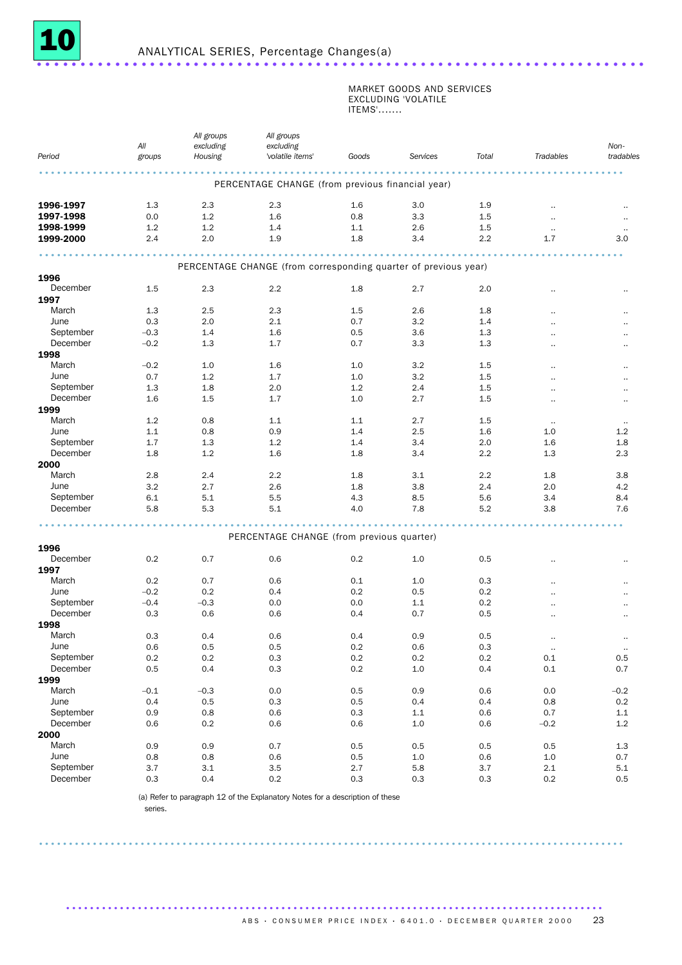

#### MARKET GOODS AND SERVICES EXCLUDING 'VOLATILE ITEMS'.......

|           | All     | All groups<br>excluding | All groups<br>excluding                                         |         |          |         |                      | Non-                 |
|-----------|---------|-------------------------|-----------------------------------------------------------------|---------|----------|---------|----------------------|----------------------|
| Period    | groups  | Housing                 | 'volatile items'                                                | Goods   | Services | Total   | Tradables            | tradables            |
|           |         |                         |                                                                 |         |          |         |                      |                      |
|           |         |                         | PERCENTAGE CHANGE (from previous financial year)                |         |          |         |                      |                      |
| 1996-1997 | 1.3     | 2.3                     | 2.3                                                             | 1.6     | 3.0      | 1.9     |                      |                      |
| 1997-1998 | 0.0     | 1.2                     | 1.6                                                             | 0.8     | 3.3      | 1.5     | $\cdot$ .            | $\sim$               |
| 1998-1999 | 1.2     | 1.2                     | 1.4                                                             | 1.1     | 2.6      | 1.5     | $\cdot$ .            |                      |
| 1999-2000 | 2.4     | 2.0                     | 1.9                                                             | 1.8     | 3.4      | 2.2     | 1.7                  | 3.0                  |
|           |         |                         |                                                                 |         |          |         |                      |                      |
|           |         |                         | PERCENTAGE CHANGE (from corresponding quarter of previous year) |         |          |         |                      |                      |
| 1996      |         |                         |                                                                 |         |          |         |                      |                      |
| December  | 1.5     | 2.3                     | 2.2                                                             | 1.8     | 2.7      | 2.0     |                      |                      |
| 1997      |         |                         |                                                                 |         |          |         |                      |                      |
| March     | 1.3     | 2.5                     | 2.3                                                             | 1.5     | 2.6      | 1.8     |                      |                      |
| June      | 0.3     | 2.0                     | 2.1                                                             | 0.7     | 3.2      | 1.4     | $\ddot{\phantom{a}}$ |                      |
| September | $-0.3$  | 1.4                     | 1.6                                                             | 0.5     | 3.6      | 1.3     |                      |                      |
| December  | $-0.2$  | 1.3                     | 1.7                                                             | 0.7     | 3.3      | 1.3     |                      |                      |
| 1998      |         |                         |                                                                 |         |          |         |                      |                      |
| March     | $-0.2$  | 1.0                     | 1.6                                                             | 1.0     | 3.2      | 1.5     |                      |                      |
| June      | 0.7     | 1.2                     | 1.7                                                             | 1.0     | 3.2      | 1.5     |                      | $\ddot{\phantom{0}}$ |
| September | 1.3     | 1.8                     | 2.0                                                             | 1.2     | 2.4      | 1.5     |                      |                      |
| December  | 1.6     | 1.5                     | 1.7                                                             | 1.0     | 2.7      | 1.5     |                      |                      |
| 1999      |         |                         |                                                                 |         |          |         |                      |                      |
| March     | 1.2     | 0.8                     | 1.1                                                             | 1.1     | 2.7      | 1.5     |                      |                      |
|           |         |                         |                                                                 |         |          |         | $\cdot$ .            | $\sim$               |
| June      | 1.1     | 0.8                     | 0.9                                                             | 1.4     | 2.5      | 1.6     | 1.0                  | 1.2                  |
| September | 1.7     | 1.3                     | 1.2                                                             | 1.4     | 3.4      | 2.0     | 1.6                  | 1.8                  |
| December  | 1.8     | 1.2                     | 1.6                                                             | 1.8     | 3.4      | 2.2     | 1.3                  | 2.3                  |
| 2000      |         |                         |                                                                 |         |          |         |                      |                      |
| March     | 2.8     | 2.4                     | 2.2                                                             | 1.8     | 3.1      | 2.2     | 1.8                  | 3.8                  |
| June      | 3.2     | 2.7                     | 2.6                                                             | 1.8     | 3.8      | 2.4     | 2.0                  | 4.2                  |
| September | 6.1     | 5.1                     | 5.5                                                             | 4.3     | 8.5      | 5.6     | 3.4                  | 8.4                  |
| December  | 5.8     | 5.3                     | 5.1                                                             | 4.0     | 7.8      | 5.2     | 3.8                  | 7.6                  |
|           |         |                         |                                                                 |         |          |         |                      |                      |
|           |         |                         | PERCENTAGE CHANGE (from previous quarter)                       |         |          |         |                      |                      |
| 1996      |         |                         |                                                                 |         |          |         |                      |                      |
| December  | 0.2     | 0.7                     | 0.6                                                             | 0.2     | 1.0      | 0.5     |                      |                      |
| 1997      |         |                         |                                                                 |         |          |         |                      |                      |
| March     | 0.2     | 0.7                     | 0.6                                                             | 0.1     | 1.0      | 0.3     |                      |                      |
| June      | $-0.2$  | 0.2                     | 0.4                                                             | 0.2     | 0.5      | 0.2     |                      |                      |
| September | $-0.4$  | $-0.3$                  | 0.0                                                             | 0.0     | 1.1      | 0.2     |                      |                      |
| December  | 0.3     | 0.6                     | 0.6                                                             | 0.4     | 0.7      | 0.5     |                      |                      |
| 1998      |         |                         |                                                                 |         |          |         |                      |                      |
| March     | 0.3     | 0.4                     | 0.6                                                             | 0.4     | 0.9      | 0.5     |                      |                      |
| June      | 0.6     | 0.5                     | 0.5                                                             | 0.2     | 0.6      | 0.3     | $\cdot$ .            | $\cdot$              |
| September | $0.2\,$ | $0.2\,$                 | $0.3\,$                                                         | $0.2\,$ | 0.2      | $0.2\,$ | 0.1                  | $0.5\,$              |
| December  | 0.5     | 0.4                     | 0.3                                                             | 0.2     | $1.0\,$  | 0.4     | 0.1                  | 0.7                  |
| 1999      |         |                         |                                                                 |         |          |         |                      |                      |
| March     | $-0.1$  | $-0.3$                  | 0.0                                                             | $0.5\,$ | 0.9      | 0.6     | 0.0                  | $-0.2$               |
| June      | 0.4     | $0.5\,$                 | 0.3                                                             | 0.5     | 0.4      | 0.4     | $0.8\,$              | 0.2                  |
| September | 0.9     | $0.8\,$                 | 0.6                                                             | $0.3\,$ | $1.1\,$  | $0.6\,$ | 0.7                  | 1.1                  |
| December  |         |                         |                                                                 |         |          |         |                      |                      |
|           | 0.6     | $0.2\,$                 | 0.6                                                             | 0.6     | $1.0\,$  | 0.6     | $-0.2$               | 1.2                  |
| 2000      |         |                         |                                                                 |         |          |         |                      |                      |
| March     | 0.9     | 0.9                     | 0.7                                                             | 0.5     | 0.5      | 0.5     | 0.5                  | 1.3                  |
| June      | $0.8\,$ | $0.8\,$                 | 0.6                                                             | $0.5\,$ | $1.0\,$  | 0.6     | $1.0\,$              | 0.7                  |
| September | $3.7\,$ | 3.1                     | $3.5\,$                                                         | 2.7     | 5.8      | 3.7     | $2.1\,$              | 5.1                  |
| December  | $0.3\,$ | 0.4                     | $0.2\,$                                                         | $0.3\,$ | $0.3\,$  | 0.3     | $0.2\,$              | 0.5                  |

..................................................................................................

..........................................................................................

(a) Refer to paragraph 12 of the Explanatory Notes for a description of these

series.

ABS • CONSUMER PRICE INDEX • 6401.0 • DECEMBER QUARTER 2000 23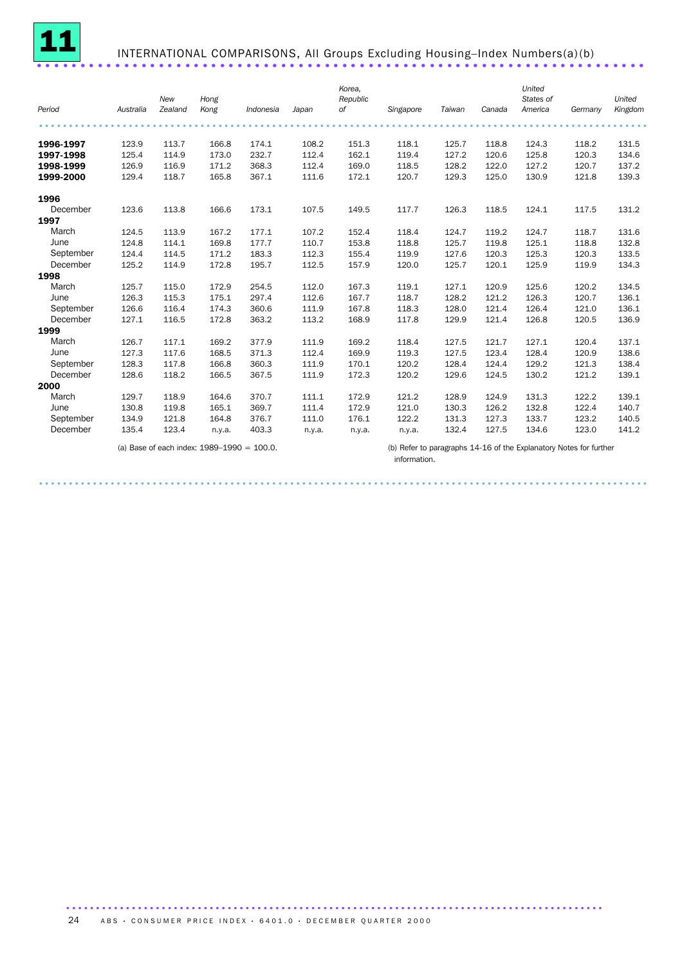

# INTERNATIONAL COMPARISONS, All Groups Excluding Housing–Index Numbers(a)(b) ......................................................................

| Period    | Australia | New<br>Zealand | Hong<br>Kong | Indonesia | Japan  | Korea,<br>Republic<br>0f | Singapore | Taiwan | Canada | United<br>States of<br>America | Germany | United<br>Kingdom |
|-----------|-----------|----------------|--------------|-----------|--------|--------------------------|-----------|--------|--------|--------------------------------|---------|-------------------|
|           |           |                |              |           |        |                          |           |        |        |                                |         |                   |
|           |           |                |              |           |        |                          |           |        |        |                                |         |                   |
| 1996-1997 | 123.9     | 113.7          | 166.8        | 174.1     | 108.2  | 151.3                    | 118.1     | 125.7  | 118.8  | 124.3                          | 118.2   | 131.5             |
| 1997-1998 | 125.4     | 114.9          | 173.0        | 232.7     | 112.4  | 162.1                    | 119.4     | 127.2  | 120.6  | 125.8                          | 120.3   | 134.6             |
| 1998-1999 | 126.9     | 116.9          | 171.2        | 368.3     | 112.4  | 169.0                    | 118.5     | 128.2  | 122.0  | 127.2                          | 120.7   | 137.2             |
| 1999-2000 | 129.4     | 118.7          | 165.8        | 367.1     | 111.6  | 172.1                    | 120.7     | 129.3  | 125.0  | 130.9                          | 121.8   | 139.3             |
| 1996      |           |                |              |           |        |                          |           |        |        |                                |         |                   |
| December  | 123.6     | 113.8          | 166.6        | 173.1     | 107.5  | 149.5                    | 117.7     | 126.3  | 118.5  | 124.1                          | 117.5   | 131.2             |
| 1997      |           |                |              |           |        |                          |           |        |        |                                |         |                   |
| March     | 124.5     | 113.9          | 167.2        | 177.1     | 107.2  | 152.4                    | 118.4     | 124.7  | 119.2  | 124.7                          | 118.7   | 131.6             |
| June      | 124.8     | 114.1          | 169.8        | 177.7     | 110.7  | 153.8                    | 118.8     | 125.7  | 119.8  | 125.1                          | 118.8   | 132.8             |
| September | 124.4     | 114.5          | 171.2        | 183.3     | 112.3  | 155.4                    | 119.9     | 127.6  | 120.3  | 125.3                          | 120.3   | 133.5             |
| December  | 125.2     | 114.9          | 172.8        | 195.7     | 112.5  | 157.9                    | 120.0     | 125.7  | 120.1  | 125.9                          | 119.9   | 134.3             |
| 1998      |           |                |              |           |        |                          |           |        |        |                                |         |                   |
| March     | 125.7     | 115.0          | 172.9        | 254.5     | 112.0  | 167.3                    | 119.1     | 127.1  | 120.9  | 125.6                          | 120.2   | 134.5             |
| June      | 126.3     | 115.3          | 175.1        | 297.4     | 112.6  | 167.7                    | 118.7     | 128.2  | 121.2  | 126.3                          | 120.7   | 136.1             |
| September | 126.6     | 116.4          | 174.3        | 360.6     | 111.9  | 167.8                    | 118.3     | 128.0  | 121.4  | 126.4                          | 121.0   | 136.1             |
| December  | 127.1     | 116.5          | 172.8        | 363.2     | 113.2  | 168.9                    | 117.8     | 129.9  | 121.4  | 126.8                          | 120.5   | 136.9             |
| 1999      |           |                |              |           |        |                          |           |        |        |                                |         |                   |
| March     | 126.7     | 117.1          | 169.2        | 377.9     | 111.9  | 169.2                    | 118.4     | 127.5  | 121.7  | 127.1                          | 120.4   | 137.1             |
| June      | 127.3     | 117.6          | 168.5        | 371.3     | 112.4  | 169.9                    | 119.3     | 127.5  | 123.4  | 128.4                          | 120.9   | 138.6             |
| September | 128.3     | 117.8          | 166.8        | 360.3     | 111.9  | 170.1                    | 120.2     | 128.4  | 124.4  | 129.2                          | 121.3   | 138.4             |
| December  | 128.6     | 118.2          | 166.5        | 367.5     | 111.9  | 172.3                    | 120.2     | 129.6  | 124.5  | 130.2                          | 121.2   | 139.1             |
| 2000      |           |                |              |           |        |                          |           |        |        |                                |         |                   |
| March     | 129.7     | 118.9          | 164.6        | 370.7     | 111.1  | 172.9                    | 121.2     | 128.9  | 124.9  | 131.3                          | 122.2   | 139.1             |
| June      | 130.8     | 119.8          | 165.1        | 369.7     | 111.4  | 172.9                    | 121.0     | 130.3  | 126.2  | 132.8                          | 122.4   | 140.7             |
| September | 134.9     | 121.8          | 164.8        | 376.7     | 111.0  | 176.1                    | 122.2     | 131.3  | 127.3  | 133.7                          | 123.2   | 140.5             |
| December  | 135.4     | 123.4          | n.y.a.       | 403.3     | n.y.a. | n.y.a.                   | n.y.a.    | 132.4  | 127.5  | 134.6                          | 123.0   | 141.2             |

......................................................................................................

(a) Base of each index: 1989–1990 = 100.0. (b) Refer to paragraphs 14-16 of the Explanatory Notes for further information.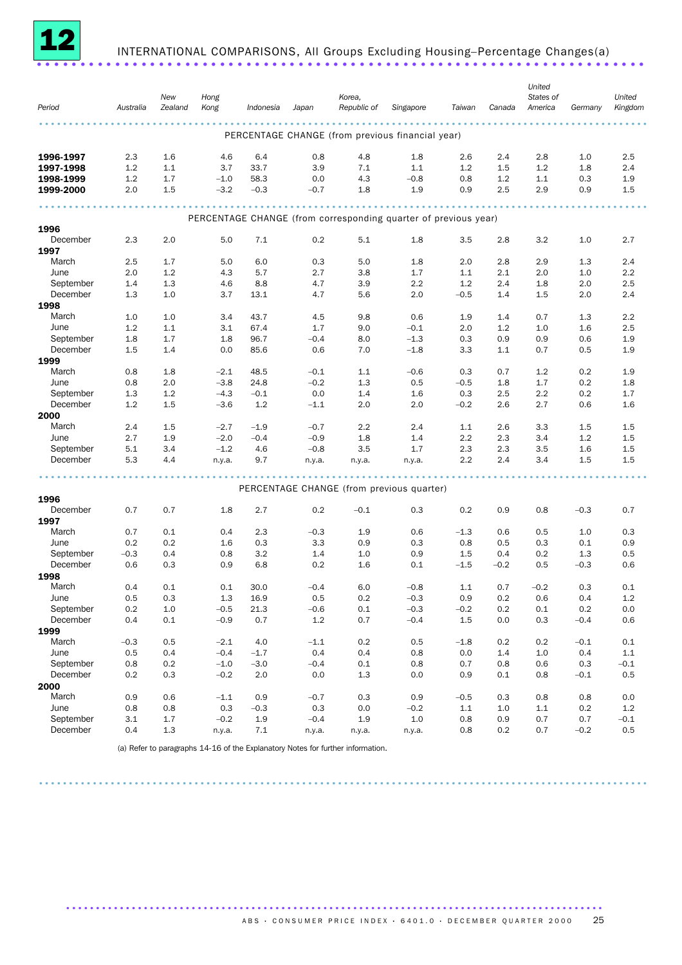

# INTERNATIONAL COMPARISONS, All Groups Excluding Housing–Percentage Changes(a) ......................................................................

| Period    | Australia | New<br>Zealand | Hong<br>Kong | Indonesia | Japan   | Korea,<br>Republic of | Singapore                                                       | Taiwan  | Canada  | United<br>States of<br>America | Germany | United<br>Kingdom |
|-----------|-----------|----------------|--------------|-----------|---------|-----------------------|-----------------------------------------------------------------|---------|---------|--------------------------------|---------|-------------------|
|           |           |                |              |           |         |                       | PERCENTAGE CHANGE (from previous financial year)                |         |         |                                |         |                   |
| 1996-1997 | 2.3       | 1.6            | 4.6          | 6.4       | 0.8     | 4.8                   | 1.8                                                             | 2.6     | 2.4     | 2.8                            | 1.0     | 2.5               |
| 1997-1998 | 1.2       | 1.1            | 3.7          | 33.7      | 3.9     | 7.1                   | 1.1                                                             | 1.2     | 1.5     | 1.2                            | 1.8     | 2.4               |
| 1998-1999 | 1.2       | 1.7            | $-1.0$       | 58.3      | 0.0     | 4.3                   | $-0.8$                                                          | 0.8     | 1.2     | 1.1                            | 0.3     | 1.9               |
| 1999-2000 | 2.0       | 1.5            | $-3.2$       | $-0.3$    | $-0.7$  | 1.8                   | 1.9                                                             | 0.9     | 2.5     | 2.9                            | 0.9     | 1.5               |
|           |           |                |              |           |         |                       | PERCENTAGE CHANGE (from corresponding quarter of previous year) |         |         |                                |         |                   |
| 1996      |           |                |              |           |         |                       |                                                                 |         |         |                                |         |                   |
| December  | 2.3       | 2.0            | 5.0          | 7.1       | 0.2     | 5.1                   | 1.8                                                             | 3.5     | 2.8     | 3.2                            | 1.0     | 2.7               |
| 1997      |           |                |              |           |         |                       |                                                                 |         |         |                                |         |                   |
| March     | 2.5       | 1.7            | 5.0          | 6.0       | 0.3     | 5.0                   | 1.8                                                             | 2.0     | 2.8     | 2.9                            | 1.3     | 2.4               |
| June      | 2.0       | 1.2            | 4.3          | 5.7       | 2.7     | 3.8                   | 1.7                                                             | 1.1     | 2.1     | 2.0                            | 1.0     | 2.2               |
| September | 1.4       | 1.3            | 4.6          | 8.8       | 4.7     | 3.9                   | $2.2\,$                                                         | 1.2     | 2.4     | 1.8                            | 2.0     | 2.5               |
| December  | 1.3       | 1.0            | 3.7          | 13.1      | 4.7     | 5.6                   | 2.0                                                             | $-0.5$  | 1.4     | 1.5                            | 2.0     | 2.4               |
| 1998      |           |                |              |           |         |                       |                                                                 |         |         |                                |         |                   |
| March     | 1.0       | 1.0            | 3.4          | 43.7      | 4.5     | 9.8                   | 0.6                                                             | 1.9     | 1.4     | 0.7                            | 1.3     | 2.2               |
| June      | 1.2       | 1.1            | 3.1          | 67.4      | 1.7     | 9.0                   | $-0.1$                                                          | 2.0     | 1.2     | 1.0                            | 1.6     | 2.5               |
| September | 1.8       | 1.7            | 1.8          | 96.7      | $-0.4$  | 8.0                   | $-1.3$                                                          | 0.3     | 0.9     | 0.9                            | 0.6     | 1.9               |
| December  | 1.5       | 1.4            | 0.0          | 85.6      | 0.6     | 7.0                   | $-1.8$                                                          | 3.3     | 1.1     | 0.7                            | 0.5     | 1.9               |
| 1999      |           |                |              |           |         |                       |                                                                 |         |         |                                |         |                   |
| March     | 0.8       | 1.8            | $-2.1$       | 48.5      | $-0.1$  | 1.1                   | $-0.6$                                                          | 0.3     | 0.7     | 1.2                            | 0.2     | 1.9               |
| June      | 0.8       | 2.0            | $-3.8$       | 24.8      | $-0.2$  | 1.3                   | 0.5                                                             | $-0.5$  | 1.8     | 1.7                            | 0.2     | 1.8               |
| September | 1.3       | 1.2            | $-4.3$       | $-0.1$    | 0.0     | 1.4                   | 1.6                                                             | 0.3     | 2.5     | 2.2                            | 0.2     | 1.7               |
| December  | 1.2       | 1.5            | $-3.6$       | 1.2       | $-1.1$  | 2.0                   | 2.0                                                             | $-0.2$  | 2.6     | 2.7                            | 0.6     | 1.6               |
| 2000      |           |                |              |           |         |                       |                                                                 |         |         |                                |         |                   |
| March     | 2.4       | 1.5            | $-2.7$       | $-1.9$    | $-0.7$  | 2.2                   | 2.4                                                             | 1.1     | 2.6     | 3.3                            | 1.5     | 1.5               |
| June      | 2.7       | 1.9            | $-2.0$       | $-0.4$    | $-0.9$  | 1.8                   | 1.4                                                             | 2.2     | 2.3     | 3.4                            | 1.2     | 1.5               |
| September | 5.1       | 3.4            | $-1.2$       | 4.6       | $-0.8$  | 3.5                   | 1.7                                                             | 2.3     | 2.3     | 3.5                            | 1.6     | 1.5               |
| December  | 5.3       | 4.4            | n.y.a.       | 9.7       | n.y.a.  | n.y.a.                | n.y.a.                                                          | 2.2     | 2.4     | 3.4                            | 1.5     | 1.5               |
|           |           |                |              |           |         |                       | PERCENTAGE CHANGE (from previous quarter)                       |         |         |                                |         |                   |
| 1996      |           |                |              |           |         |                       |                                                                 |         |         |                                |         |                   |
| December  | 0.7       | 0.7            | 1.8          | 2.7       | 0.2     | $-0.1$                | 0.3                                                             | 0.2     | 0.9     | 0.8                            | $-0.3$  | 0.7               |
| 1997      |           |                |              |           |         |                       |                                                                 |         |         |                                |         |                   |
| March     | 0.7       | 0.1            | 0.4          | 2.3       | $-0.3$  | 1.9                   | 0.6                                                             | $-1.3$  | 0.6     | 0.5                            | 1.0     | 0.3               |
| June      | 0.2       | 0.2            | 1.6          | 0.3       | 3.3     | 0.9                   | 0.3                                                             | 0.8     | 0.5     | 0.3                            | 0.1     | 0.9               |
| September | $-0.3$    | 0.4            | 0.8          | 3.2       | 1.4     | 1.0                   | 0.9                                                             | 1.5     | 0.4     | 0.2                            | 1.3     | 0.5               |
| December  | 0.6       | 0.3            | 0.9          | 6.8       | 0.2     | 1.6                   | 0.1                                                             | $-1.5$  | $-0.2$  | 0.5                            | $-0.3$  | 0.6               |
| 1998      |           |                |              |           |         |                       |                                                                 |         |         |                                |         |                   |
| March     | 0.4       | 0.1            | 0.1          | 30.0      | $-0.4$  | 6.0                   | $-0.8$                                                          | 1.1     | 0.7     | $-0.2$                         | 0.3     | 0.1               |
| June      | $0.5\,$   | $0.3\,$        | $1.3\,$      | 16.9      | 0.5     | 0.2                   | $-0.3$                                                          | 0.9     | $0.2\,$ | 0.6                            | $0.4\,$ | 1.2               |
| September | 0.2       | $1.0$          | $-0.5$       | 21.3      | $-0.6$  | 0.1                   | $-0.3$                                                          | $-0.2$  | 0.2     | $0.1\,$                        | $0.2\,$ | 0.0               |
| December  | 0.4       | $0.1\,$        | $-0.9$       | 0.7       | $1.2\,$ | 0.7                   | $-0.4$                                                          | $1.5\,$ | 0.0     | 0.3                            | $-0.4$  | 0.6               |
| 1999      |           |                |              |           |         |                       |                                                                 |         |         |                                |         |                   |
| March     | $-0.3$    | 0.5            | $-2.1$       | 4.0       | $-1.1$  | 0.2                   | 0.5                                                             | $-1.8$  | 0.2     | 0.2                            | $-0.1$  | 0.1               |
| June      | 0.5       | 0.4            | $-0.4$       | $-1.7$    | 0.4     | 0.4                   | 0.8                                                             | 0.0     | 1.4     | $1.0\,$                        | 0.4     | 1.1               |
| September | 0.8       | $0.2\,$        | $-1.0$       | $-3.0$    | $-0.4$  | 0.1                   | 0.8                                                             | 0.7     | 0.8     | 0.6                            | 0.3     | $-0.1$            |
| December  | 0.2       | $0.3\,$        | $-0.2$       | $2.0\,$   | 0.0     | $1.3\,$               | 0.0                                                             | 0.9     | 0.1     | 0.8                            | $-0.1$  | 0.5               |
| 2000      |           |                |              |           |         |                       |                                                                 |         |         |                                |         |                   |
| March     | 0.9       | 0.6            | $-1.1$       | 0.9       | $-0.7$  | 0.3                   | 0.9                                                             | $-0.5$  | 0.3     | 0.8                            | 0.8     | 0.0               |
| June      | 0.8       | 0.8            | $0.3\,$      | $-0.3$    | 0.3     | 0.0                   | $-0.2$                                                          | $1.1\,$ | 1.0     | $1.1\,$                        | 0.2     | 1.2               |
| September | 3.1       | 1.7            | $-0.2$       | 1.9       | $-0.4$  | 1.9                   | $1.0\,$                                                         | 0.8     | 0.9     | 0.7                            | 0.7     | $-0.1$            |
| December  | 0.4       | $1.3\,$        | n.y.a.       | $7.1\,$   | n.y.a.  | n.y.a.                | n.y.a.                                                          | 0.8     | 0.2     | 0.7                            | $-0.2$  | 0.5               |

......................................................................................................

..........................................................................................

(a) Refer to paragraphs 14-16 of the Explanatory Notes for further information.

ABS • CONSUMER PRICE INDEX • 6401.0 • DECEMBER QUARTER 2000 25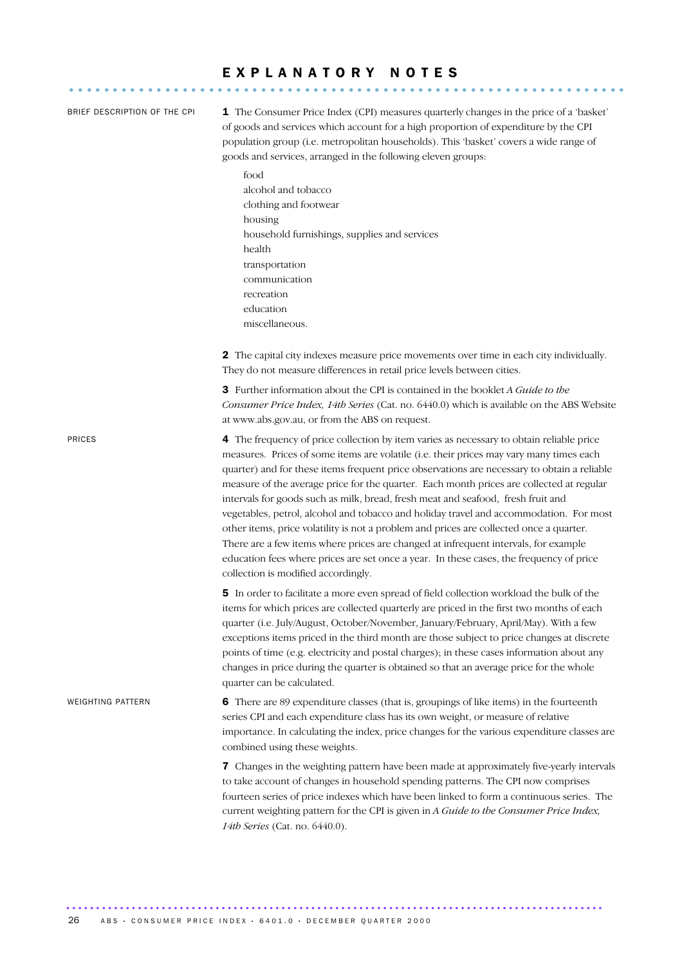### E X P L A N A T O R Y N O T E S ................................................................

| BRIEF DESCRIPTION OF THE CPI | <b>1</b> The Consumer Price Index (CPI) measures quarterly changes in the price of a 'basket'<br>of goods and services which account for a high proportion of expenditure by the CPI<br>population group (i.e. metropolitan households). This 'basket' covers a wide range of<br>goods and services, arranged in the following eleven groups:                                                                                                                                                                                                                                                                                                                                                                                                                                                                                                                                    |  |  |  |  |  |
|------------------------------|----------------------------------------------------------------------------------------------------------------------------------------------------------------------------------------------------------------------------------------------------------------------------------------------------------------------------------------------------------------------------------------------------------------------------------------------------------------------------------------------------------------------------------------------------------------------------------------------------------------------------------------------------------------------------------------------------------------------------------------------------------------------------------------------------------------------------------------------------------------------------------|--|--|--|--|--|
|                              | food<br>alcohol and tobacco<br>clothing and footwear<br>housing<br>household furnishings, supplies and services<br>health<br>transportation<br>communication<br>recreation<br>education<br>miscellaneous.                                                                                                                                                                                                                                                                                                                                                                                                                                                                                                                                                                                                                                                                        |  |  |  |  |  |
|                              | 2 The capital city indexes measure price movements over time in each city individually.<br>They do not measure differences in retail price levels between cities.                                                                                                                                                                                                                                                                                                                                                                                                                                                                                                                                                                                                                                                                                                                |  |  |  |  |  |
|                              | <b>3</b> Further information about the CPI is contained in the booklet A Guide to the<br>Consumer Price Index, 14th Series (Cat. no. 6440.0) which is available on the ABS Website<br>at www.abs.gov.au, or from the ABS on request.                                                                                                                                                                                                                                                                                                                                                                                                                                                                                                                                                                                                                                             |  |  |  |  |  |
| PRICES                       | 4 The frequency of price collection by item varies as necessary to obtain reliable price<br>measures. Prices of some items are volatile (i.e. their prices may vary many times each<br>quarter) and for these items frequent price observations are necessary to obtain a reliable<br>measure of the average price for the quarter. Each month prices are collected at regular<br>intervals for goods such as milk, bread, fresh meat and seafood, fresh fruit and<br>vegetables, petrol, alcohol and tobacco and holiday travel and accommodation. For most<br>other items, price volatility is not a problem and prices are collected once a quarter.<br>There are a few items where prices are changed at infrequent intervals, for example<br>education fees where prices are set once a year. In these cases, the frequency of price<br>collection is modified accordingly. |  |  |  |  |  |
|                              | 5 In order to facilitate a more even spread of field collection workload the bulk of the<br>items for which prices are collected quarterly are priced in the first two months of each<br>quarter (i.e. July/August, October/November, January/February, April/May). With a few<br>exceptions items priced in the third month are those subject to price changes at discrete<br>points of time (e.g. electricity and postal charges); in these cases information about any<br>changes in price during the quarter is obtained so that an average price for the whole<br>quarter can be calculated.                                                                                                                                                                                                                                                                                |  |  |  |  |  |
| WEIGHTING PATTERN            | 6 There are 89 expenditure classes (that is, groupings of like items) in the fourteenth<br>series CPI and each expenditure class has its own weight, or measure of relative<br>importance. In calculating the index, price changes for the various expenditure classes are<br>combined using these weights.                                                                                                                                                                                                                                                                                                                                                                                                                                                                                                                                                                      |  |  |  |  |  |
|                              | 7 Changes in the weighting pattern have been made at approximately five-yearly intervals<br>to take account of changes in household spending patterns. The CPI now comprises<br>fourteen series of price indexes which have been linked to form a continuous series. The<br>current weighting pattern for the CPI is given in A Guide to the Consumer Price Index,<br>14th Series (Cat. no. 6440.0).                                                                                                                                                                                                                                                                                                                                                                                                                                                                             |  |  |  |  |  |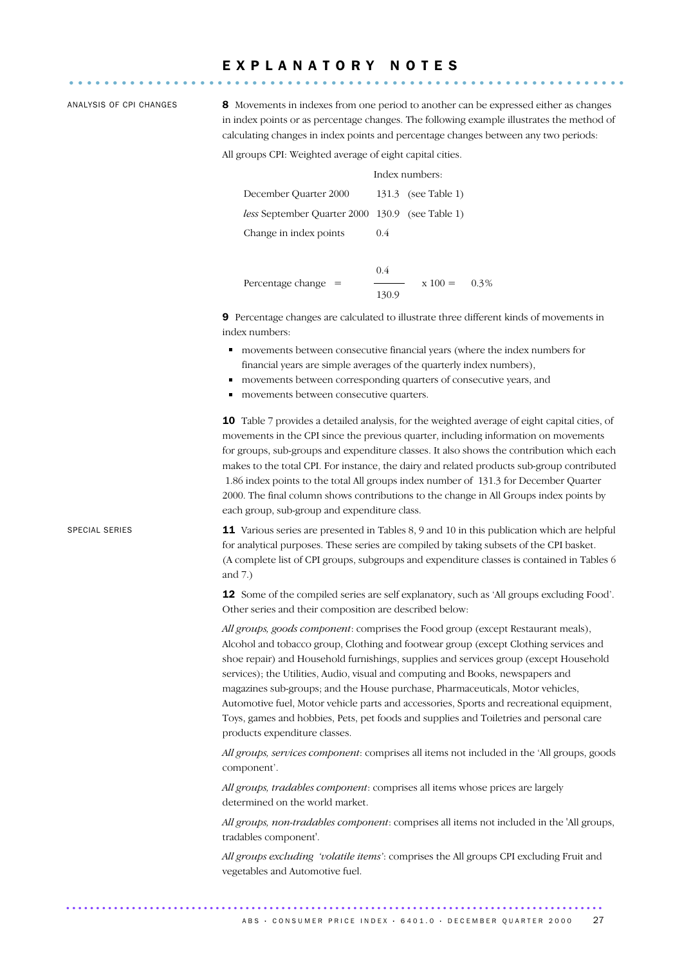## E X P L A N A T O R Y N O T E S ................................................................

ANALYSIS OF CPI CHANGES 8 Movements in indexes from one period to another can be expressed either as changes in index points or as percentage changes. The following example illustrates the method of calculating changes in index points and percentage changes between any two periods:

Index numbers:

All groups CPI: Weighted average of eight capital cities.

|                                                 |     | піцел пипіцету.     |
|-------------------------------------------------|-----|---------------------|
| December Ouarter 2000                           |     | 131.3 (see Table 1) |
| less September Quarter 2000 130.9 (see Table 1) |     |                     |
| Change in index points                          | 0.4 |                     |
|                                                 |     |                     |

Percentage change = 
$$
\frac{0.4}{130.9}
$$
 x 100 = 0.3%

9 Percentage changes are calculated to illustrate three different kinds of movements in index numbers:

- movements between consecutive financial years (where the index numbers for financial years are simple averages of the quarterly index numbers),
- movements between corresponding quarters of consecutive years, and
- movements between consecutive quarters.

10 Table 7 provides a detailed analysis, for the weighted average of eight capital cities, of movements in the CPI since the previous quarter, including information on movements for groups, sub-groups and expenditure classes. It also shows the contribution which each makes to the total CPI. For instance, the dairy and related products sub-group contributed 1.86 index points to the total All groups index number of 131.3 for December Quarter 2000. The final column shows contributions to the change in All Groups index points by each group, sub-group and expenditure class.

SPECIAL SERIES 11 Various series are presented in Tables 8, 9 and 10 in this publication which are helpful for analytical purposes. These series are compiled by taking subsets of the CPI basket. (A complete list of CPI groups, subgroups and expenditure classes is contained in Tables 6 and 7.)

> 12 Some of the compiled series are self explanatory, such as 'All groups excluding Food'. Other series and their composition are described below:

> *All groups, goods component*: comprises the Food group (except Restaurant meals), Alcohol and tobacco group, Clothing and footwear group (except Clothing services and shoe repair) and Household furnishings, supplies and services group (except Household services); the Utilities, Audio, visual and computing and Books, newspapers and magazines sub-groups; and the House purchase, Pharmaceuticals, Motor vehicles, Automotive fuel, Motor vehicle parts and accessories, Sports and recreational equipment, Toys, games and hobbies, Pets, pet foods and supplies and Toiletries and personal care products expenditure classes.

> *All groups, services component*: comprises all items not included in the 'All groups, goods component'.

*All groups, tradables component*: comprises all items whose prices are largely determined on the world market.

*All groups, non-tradables component*: comprises all items not included in the 'All groups, tradables component'.

*All groups excluding 'volatile items'*: comprises the All groups CPI excluding Fruit and vegetables and Automotive fuel.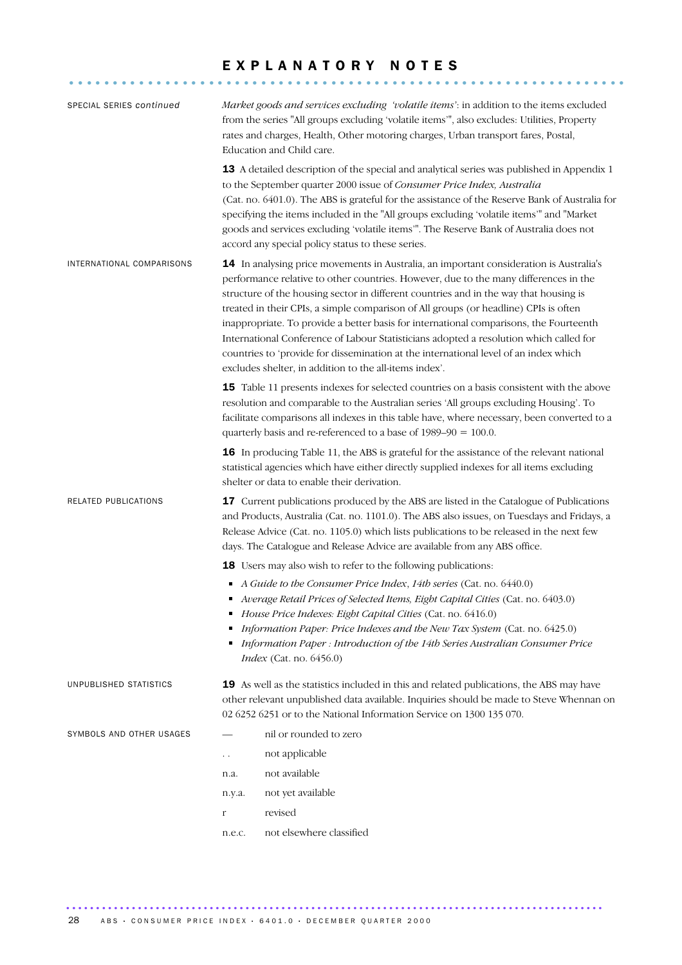# E X P L A N A T O R Y N O T E S ................................................................

| SPECIAL SERIES continued  |                                                                                                                                                                                                                                                                                                                                                                                                                                                                                                                                                                                                                                                                                                        | Market goods and services excluding 'volatile items': in addition to the items excluded<br>from the series "All groups excluding 'volatile items'", also excludes: Utilities, Property<br>rates and charges, Health, Other motoring charges, Urban transport fares, Postal,<br>Education and Child care.                                                                                                                                                                                                                 |  |  |  |  |
|---------------------------|--------------------------------------------------------------------------------------------------------------------------------------------------------------------------------------------------------------------------------------------------------------------------------------------------------------------------------------------------------------------------------------------------------------------------------------------------------------------------------------------------------------------------------------------------------------------------------------------------------------------------------------------------------------------------------------------------------|--------------------------------------------------------------------------------------------------------------------------------------------------------------------------------------------------------------------------------------------------------------------------------------------------------------------------------------------------------------------------------------------------------------------------------------------------------------------------------------------------------------------------|--|--|--|--|
|                           |                                                                                                                                                                                                                                                                                                                                                                                                                                                                                                                                                                                                                                                                                                        | <b>13</b> A detailed description of the special and analytical series was published in Appendix 1<br>to the September quarter 2000 issue of Consumer Price Index, Australia<br>(Cat. no. 6401.0). The ABS is grateful for the assistance of the Reserve Bank of Australia for<br>specifying the items included in the "All groups excluding 'volatile items'" and "Market<br>goods and services excluding 'volatile items'". The Reserve Bank of Australia does not<br>accord any special policy status to these series. |  |  |  |  |
| INTERNATIONAL COMPARISONS | 14 In analysing price movements in Australia, an important consideration is Australia's<br>performance relative to other countries. However, due to the many differences in the<br>structure of the housing sector in different countries and in the way that housing is<br>treated in their CPIs, a simple comparison of All groups (or headline) CPIs is often<br>inappropriate. To provide a better basis for international comparisons, the Fourteenth<br>International Conference of Labour Statisticians adopted a resolution which called for<br>countries to 'provide for dissemination at the international level of an index which<br>excludes shelter, in addition to the all-items index'. |                                                                                                                                                                                                                                                                                                                                                                                                                                                                                                                          |  |  |  |  |
|                           |                                                                                                                                                                                                                                                                                                                                                                                                                                                                                                                                                                                                                                                                                                        | 15 Table 11 presents indexes for selected countries on a basis consistent with the above<br>resolution and comparable to the Australian series 'All groups excluding Housing'. To<br>facilitate comparisons all indexes in this table have, where necessary, been converted to a<br>quarterly basis and re-referenced to a base of $1989-90 = 100.0$ .                                                                                                                                                                   |  |  |  |  |
|                           |                                                                                                                                                                                                                                                                                                                                                                                                                                                                                                                                                                                                                                                                                                        | <b>16</b> In producing Table 11, the ABS is grateful for the assistance of the relevant national<br>statistical agencies which have either directly supplied indexes for all items excluding<br>shelter or data to enable their derivation.                                                                                                                                                                                                                                                                              |  |  |  |  |
| RELATED PUBLICATIONS      | <b>17</b> Current publications produced by the ABS are listed in the Catalogue of Publications<br>and Products, Australia (Cat. no. 1101.0). The ABS also issues, on Tuesdays and Fridays, a<br>Release Advice (Cat. no. 1105.0) which lists publications to be released in the next few<br>days. The Catalogue and Release Advice are available from any ABS office.                                                                                                                                                                                                                                                                                                                                  |                                                                                                                                                                                                                                                                                                                                                                                                                                                                                                                          |  |  |  |  |
|                           |                                                                                                                                                                                                                                                                                                                                                                                                                                                                                                                                                                                                                                                                                                        | <b>18</b> Users may also wish to refer to the following publications:                                                                                                                                                                                                                                                                                                                                                                                                                                                    |  |  |  |  |
|                           |                                                                                                                                                                                                                                                                                                                                                                                                                                                                                                                                                                                                                                                                                                        | A Guide to the Consumer Price Index, 14th series (Cat. no. 6440.0)<br>Average Retail Prices of Selected Items, Eight Capital Cities (Cat. no. 6403.0)<br>House Price Indexes: Eight Capital Cities (Cat. no. 6416.0)<br>Information Paper: Price Indexes and the New Tax System (Cat. no. 6425.0)<br>Information Paper : Introduction of the 14th Series Australian Consumer Price<br><i>Index</i> (Cat. no. 6456.0)                                                                                                     |  |  |  |  |
| UNPUBLISHED STATISTICS    |                                                                                                                                                                                                                                                                                                                                                                                                                                                                                                                                                                                                                                                                                                        | 19 As well as the statistics included in this and related publications, the ABS may have<br>other relevant unpublished data available. Inquiries should be made to Steve Whennan on<br>02 6252 6251 or to the National Information Service on 1300 135 070.                                                                                                                                                                                                                                                              |  |  |  |  |
| SYMBOLS AND OTHER USAGES  |                                                                                                                                                                                                                                                                                                                                                                                                                                                                                                                                                                                                                                                                                                        | nil or rounded to zero                                                                                                                                                                                                                                                                                                                                                                                                                                                                                                   |  |  |  |  |
|                           | . .                                                                                                                                                                                                                                                                                                                                                                                                                                                                                                                                                                                                                                                                                                    | not applicable                                                                                                                                                                                                                                                                                                                                                                                                                                                                                                           |  |  |  |  |
|                           | n.a.                                                                                                                                                                                                                                                                                                                                                                                                                                                                                                                                                                                                                                                                                                   | not available                                                                                                                                                                                                                                                                                                                                                                                                                                                                                                            |  |  |  |  |
|                           | n.y.a.                                                                                                                                                                                                                                                                                                                                                                                                                                                                                                                                                                                                                                                                                                 | not yet available                                                                                                                                                                                                                                                                                                                                                                                                                                                                                                        |  |  |  |  |
|                           | r                                                                                                                                                                                                                                                                                                                                                                                                                                                                                                                                                                                                                                                                                                      | revised                                                                                                                                                                                                                                                                                                                                                                                                                                                                                                                  |  |  |  |  |
|                           | n.e.c.                                                                                                                                                                                                                                                                                                                                                                                                                                                                                                                                                                                                                                                                                                 | not elsewhere classified                                                                                                                                                                                                                                                                                                                                                                                                                                                                                                 |  |  |  |  |